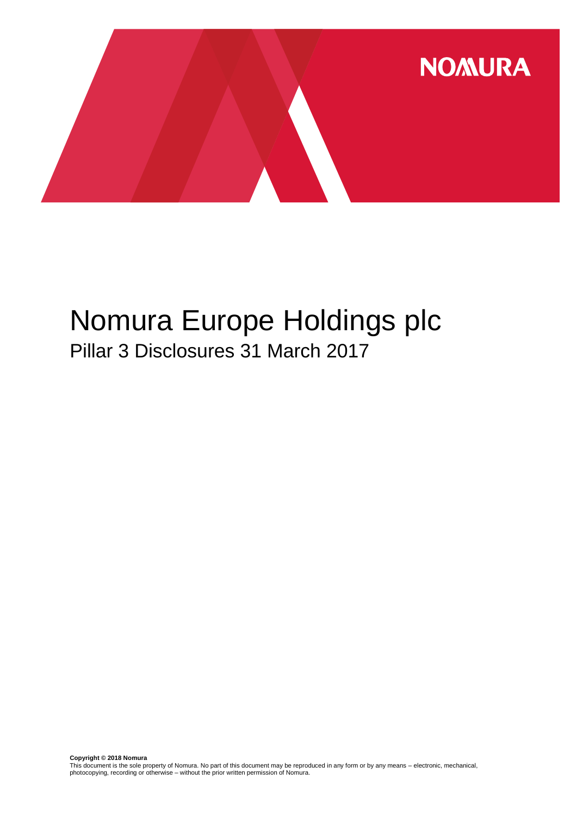

# Nomura Europe Holdings plc Pillar 3 Disclosures 31 March 2017

**Copyright © 2018 Nomura**<br>This document is the sole property of Nomura. No part of this document may be reproduced in any form or by any means – electronic, mechanical,<br>photocopying, recording or otherwise – without the pr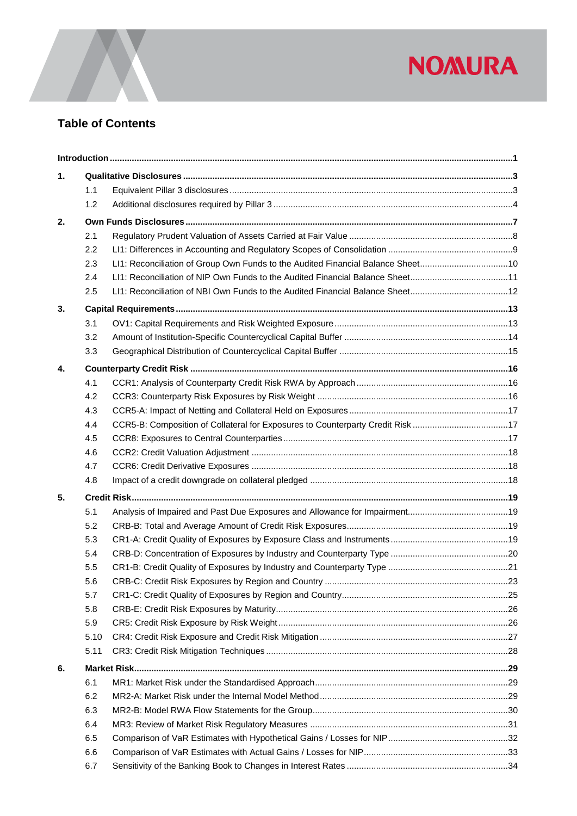

## **Table of Contents**

| 1. |      |                                                                                 |  |
|----|------|---------------------------------------------------------------------------------|--|
|    | 1.1  |                                                                                 |  |
|    | 1.2  |                                                                                 |  |
| 2. |      |                                                                                 |  |
|    | 2.1  |                                                                                 |  |
|    | 2.2  |                                                                                 |  |
|    | 2.3  | LI1: Reconciliation of Group Own Funds to the Audited Financial Balance Sheet10 |  |
|    | 2.4  | LI1: Reconciliation of NIP Own Funds to the Audited Financial Balance Sheet11   |  |
|    | 2.5  |                                                                                 |  |
| 3. |      |                                                                                 |  |
|    | 3.1  |                                                                                 |  |
|    | 3.2  |                                                                                 |  |
|    | 3.3  |                                                                                 |  |
| 4. |      |                                                                                 |  |
|    | 4.1  |                                                                                 |  |
|    | 4.2  |                                                                                 |  |
|    | 4.3  |                                                                                 |  |
|    | 4.4  | CCR5-B: Composition of Collateral for Exposures to Counterparty Credit Risk 17  |  |
|    | 4.5  |                                                                                 |  |
|    | 4.6  |                                                                                 |  |
|    | 4.7  |                                                                                 |  |
|    | 4.8  |                                                                                 |  |
| 5. |      |                                                                                 |  |
|    | 5.1  |                                                                                 |  |
|    | 5.2  |                                                                                 |  |
|    | 5.3  |                                                                                 |  |
|    | 5.4  |                                                                                 |  |
|    | 5.5  |                                                                                 |  |
|    | 5.6  |                                                                                 |  |
|    | 5.7  |                                                                                 |  |
|    | 5.8  |                                                                                 |  |
|    | 5.9  |                                                                                 |  |
|    | 5.10 |                                                                                 |  |
|    | 5.11 |                                                                                 |  |
| 6. |      |                                                                                 |  |
|    | 6.1  |                                                                                 |  |
|    | 6.2  |                                                                                 |  |
|    | 6.3  |                                                                                 |  |
|    | 6.4  |                                                                                 |  |
|    | 6.5  |                                                                                 |  |
|    | 6.6  |                                                                                 |  |
|    | 6.7  |                                                                                 |  |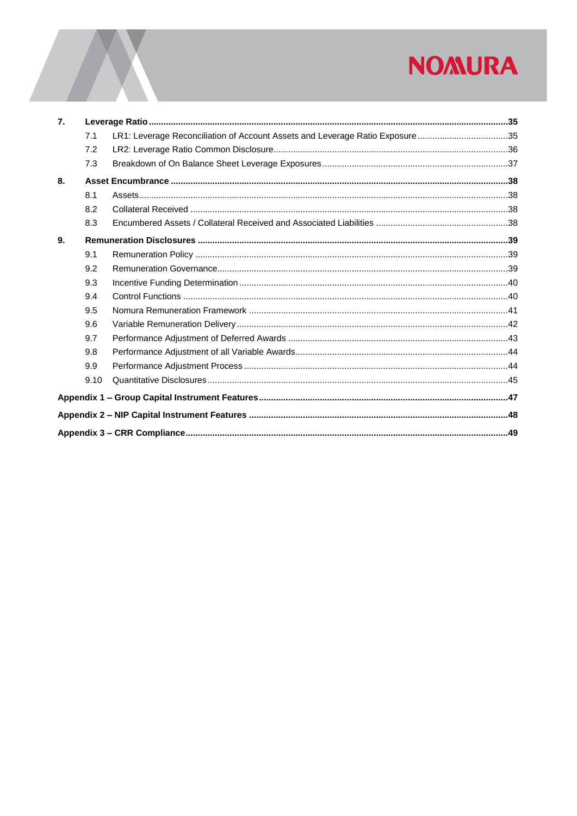# **NOMURA**

| $\overline{7}$ . |      |                                                                              |  |
|------------------|------|------------------------------------------------------------------------------|--|
|                  | 7.1  | LR1: Leverage Reconciliation of Account Assets and Leverage Ratio Exposure35 |  |
|                  | 7.2  |                                                                              |  |
|                  | 7.3  |                                                                              |  |
| 8.               |      |                                                                              |  |
|                  | 8.1  |                                                                              |  |
|                  | 8.2  |                                                                              |  |
|                  | 8.3  |                                                                              |  |
| 9.               |      |                                                                              |  |
|                  | 9.1  |                                                                              |  |
|                  | 9.2  |                                                                              |  |
|                  | 9.3  |                                                                              |  |
|                  | 9.4  |                                                                              |  |
|                  | 9.5  |                                                                              |  |
|                  | 9.6  |                                                                              |  |
|                  | 9.7  |                                                                              |  |
|                  | 9.8  |                                                                              |  |
|                  | 9.9  |                                                                              |  |
|                  | 9.10 |                                                                              |  |
|                  |      |                                                                              |  |
|                  |      |                                                                              |  |
|                  |      |                                                                              |  |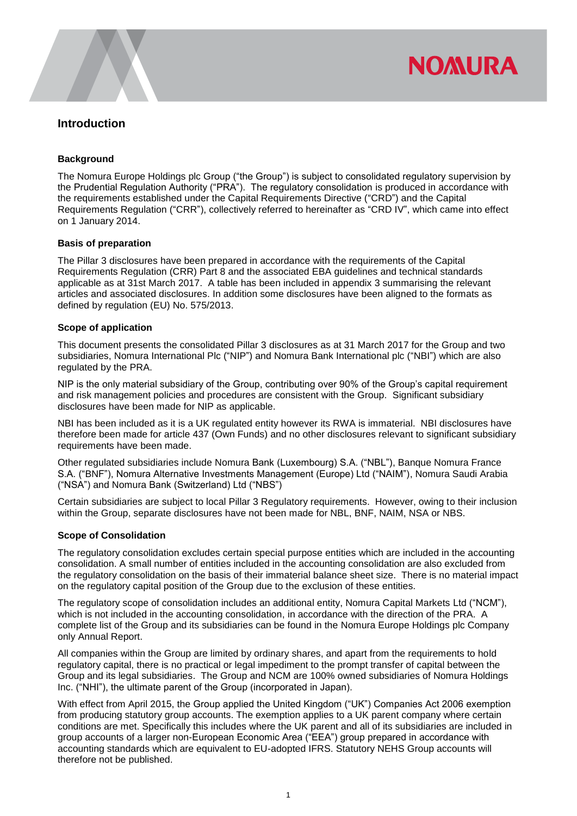

#### <span id="page-3-0"></span>**Introduction**

#### **Background**

The Nomura Europe Holdings plc Group ("the Group") is subject to consolidated regulatory supervision by the Prudential Regulation Authority ("PRA"). The regulatory consolidation is produced in accordance with the requirements established under the Capital Requirements Directive ("CRD") and the Capital Requirements Regulation ("CRR"), collectively referred to hereinafter as "CRD IV", which came into effect on 1 January 2014.

#### **Basis of preparation**

The Pillar 3 disclosures have been prepared in accordance with the requirements of the Capital Requirements Regulation (CRR) Part 8 and the associated EBA guidelines and technical standards applicable as at 31st March 2017. A table has been included in appendix 3 summarising the relevant articles and associated disclosures. In addition some disclosures have been aligned to the formats as defined by regulation (EU) No. 575/2013.

#### **Scope of application**

This document presents the consolidated Pillar 3 disclosures as at 31 March 2017 for the Group and two subsidiaries, Nomura International Plc ("NIP") and Nomura Bank International plc ("NBI") which are also regulated by the PRA.

NIP is the only material subsidiary of the Group, contributing over 90% of the Group's capital requirement and risk management policies and procedures are consistent with the Group. Significant subsidiary disclosures have been made for NIP as applicable.

NBI has been included as it is a UK regulated entity however its RWA is immaterial. NBI disclosures have therefore been made for article 437 (Own Funds) and no other disclosures relevant to significant subsidiary requirements have been made.

Other regulated subsidiaries include Nomura Bank (Luxembourg) S.A. ("NBL"), Banque Nomura France S.A. ("BNF"), Nomura Alternative Investments Management (Europe) Ltd ("NAIM"), Nomura Saudi Arabia ("NSA") and Nomura Bank (Switzerland) Ltd ("NBS")

Certain subsidiaries are subject to local Pillar 3 Regulatory requirements. However, owing to their inclusion within the Group, separate disclosures have not been made for NBL, BNF, NAIM, NSA or NBS.

#### **Scope of Consolidation**

The regulatory consolidation excludes certain special purpose entities which are included in the accounting consolidation. A small number of entities included in the accounting consolidation are also excluded from the regulatory consolidation on the basis of their immaterial balance sheet size. There is no material impact on the regulatory capital position of the Group due to the exclusion of these entities.

The regulatory scope of consolidation includes an additional entity, Nomura Capital Markets Ltd ("NCM"), which is not included in the accounting consolidation, in accordance with the direction of the PRA. A complete list of the Group and its subsidiaries can be found in the Nomura Europe Holdings plc Company only Annual Report.

All companies within the Group are limited by ordinary shares, and apart from the requirements to hold regulatory capital, there is no practical or legal impediment to the prompt transfer of capital between the Group and its legal subsidiaries. The Group and NCM are 100% owned subsidiaries of Nomura Holdings Inc. ("NHI"), the ultimate parent of the Group (incorporated in Japan).

With effect from April 2015, the Group applied the United Kingdom ("UK") Companies Act 2006 exemption from producing statutory group accounts. The exemption applies to a UK parent company where certain conditions are met. Specifically this includes where the UK parent and all of its subsidiaries are included in group accounts of a larger non-European Economic Area ("EEA") group prepared in accordance with accounting standards which are equivalent to EU-adopted IFRS. Statutory NEHS Group accounts will therefore not be published.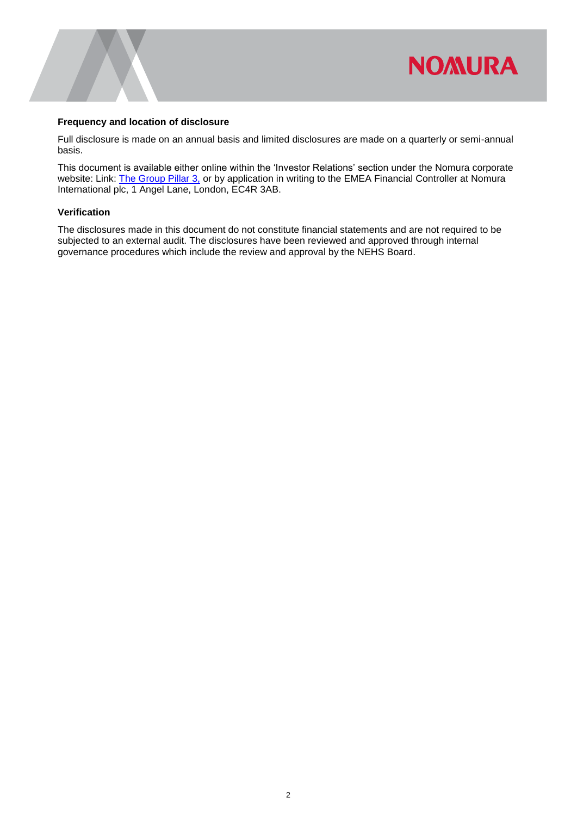

#### **Frequency and location of disclosure**

Full disclosure is made on an annual basis and limited disclosures are made on a quarterly or semi-annual basis.

This document is available either online within the 'Investor Relations' section under the Nomura corporate website: Link: [The Group Pillar 3,](https://www.nomuranow.com/portal/site/nnextranet/en/regulatory-disclosures/) or by application in writing to the EMEA Financial Controller at Nomura International plc, 1 Angel Lane, London, EC4R 3AB.

#### **Verification**

The disclosures made in this document do not constitute financial statements and are not required to be subjected to an external audit. The disclosures have been reviewed and approved through internal governance procedures which include the review and approval by the NEHS Board.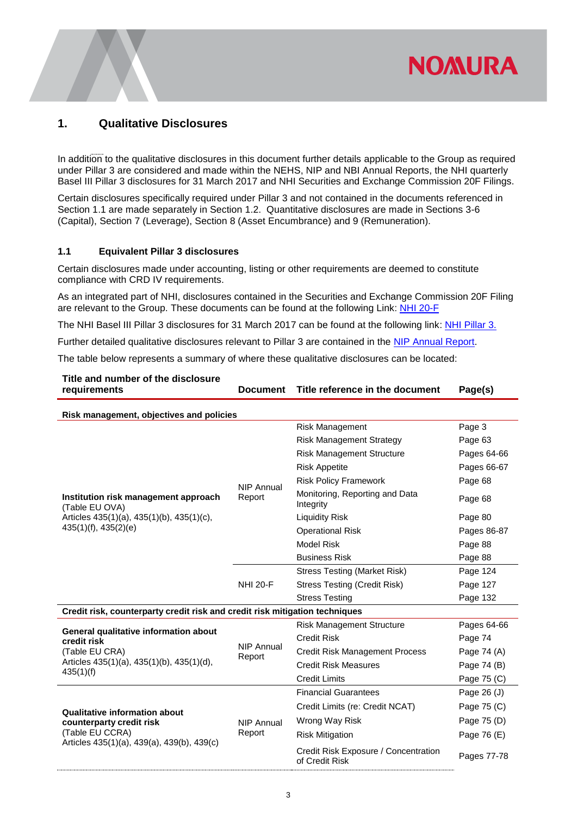### <span id="page-5-0"></span>**1. Qualitative Disclosures**

In addition to the qualitative disclosures in this document further details applicable to the Group as required under Pillar 3 are considered and made within the NEHS, NIP and NBI Annual Reports, the NHI quarterly Basel III Pillar 3 disclosures for 31 March 2017 and NHI Securities and Exchange Commission 20F Filings.

**NOMURA** 

Certain disclosures specifically required under Pillar 3 and not contained in the documents referenced in Section 1.1 are made separately in Section 1.2. Quantitative disclosures are made in Sections 3-6 (Capital), Section 7 (Leverage), Section 8 (Asset Encumbrance) and 9 (Remuneration).

#### <span id="page-5-1"></span>**1.1 Equivalent Pillar 3 disclosures**

Certain disclosures made under accounting, listing or other requirements are deemed to constitute compliance with CRD IV requirements.

As an integrated part of NHI, disclosures contained in the Securities and Exchange Commission 20F Filing are relevant to the Group. These documents can be found at the following Link: [NHI 20-F](http://www.nomuraholdings.com/investor/library/sec/20f/170626/20170626_e.pdf)

The NHI Basel III Pillar 3 disclosures for 31 March 2017 can be found at the following link: [NHI Pillar 3.](http://www.nomuraholdings.com/investor/summary/highlight/ratio.html)

Further detailed qualitative disclosures relevant to Pillar 3 are contained in the [NIP Annual](https://www.nomuranow.com/portal/site/login/en-gb/resources/upload/NIP-March-2017.pdf) Report.

The table below represents a summary of where these qualitative disclosures can be located:

| Title and number of the disclosure<br>requirements<br><b>Document</b>       |                   | Title reference in the document                        | Page(s)     |
|-----------------------------------------------------------------------------|-------------------|--------------------------------------------------------|-------------|
| Risk management, objectives and policies                                    |                   |                                                        |             |
|                                                                             |                   | <b>Risk Management</b>                                 | Page 3      |
|                                                                             |                   | <b>Risk Management Strategy</b>                        | Page 63     |
|                                                                             |                   | <b>Risk Management Structure</b>                       | Pages 64-66 |
|                                                                             |                   | <b>Risk Appetite</b>                                   | Pages 66-67 |
|                                                                             | <b>NIP Annual</b> | <b>Risk Policy Framework</b>                           | Page 68     |
| Institution risk management approach<br>(Table EU OVA)                      | Report            | Monitoring, Reporting and Data<br>Integrity            | Page 68     |
| Articles 435(1)(a), 435(1)(b), 435(1)(c),                                   |                   | <b>Liquidity Risk</b>                                  | Page 80     |
| $435(1)(f)$ , $435(2)(e)$                                                   |                   | <b>Operational Risk</b>                                | Pages 86-87 |
|                                                                             |                   | <b>Model Risk</b>                                      | Page 88     |
|                                                                             |                   | <b>Business Risk</b>                                   | Page 88     |
|                                                                             | <b>NHI 20-F</b>   | <b>Stress Testing (Market Risk)</b>                    | Page 124    |
|                                                                             |                   | <b>Stress Testing (Credit Risk)</b>                    | Page 127    |
|                                                                             |                   | <b>Stress Testing</b>                                  | Page 132    |
| Credit risk, counterparty credit risk and credit risk mitigation techniques |                   |                                                        |             |
| General qualitative information about                                       |                   | <b>Risk Management Structure</b>                       | Pages 64-66 |
| credit risk                                                                 | <b>NIP Annual</b> | <b>Credit Risk</b>                                     | Page 74     |
| (Table EU CRA)                                                              | Report            | <b>Credit Risk Management Process</b>                  | Page 74 (A) |
| Articles 435(1)(a), 435(1)(b), 435(1)(d),<br>435(1)(f)                      |                   | <b>Credit Risk Measures</b>                            | Page 74 (B) |
|                                                                             |                   | <b>Credit Limits</b>                                   | Page 75 (C) |
|                                                                             |                   | <b>Financial Guarantees</b>                            | Page 26 (J) |
| Qualitative information about                                               |                   | Credit Limits (re: Credit NCAT)                        | Page 75 (C) |
| counterparty credit risk                                                    | <b>NIP Annual</b> | Wrong Way Risk                                         | Page 75 (D) |
| (Table EU CCRA)                                                             | Report            | <b>Risk Mitigation</b>                                 | Page 76 (E) |
| Articles 435(1)(a), 439(a), 439(b), 439(c)                                  |                   | Credit Risk Exposure / Concentration<br>of Credit Risk | Pages 77-78 |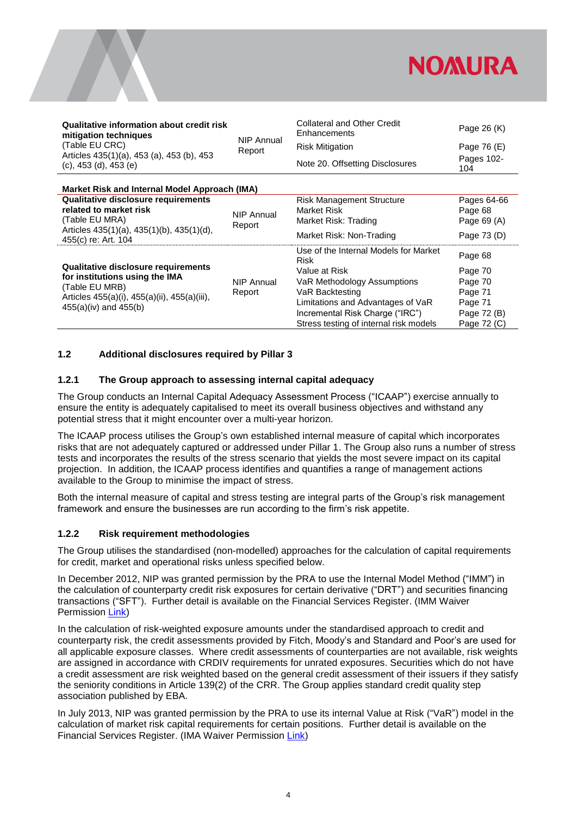

| Qualitative information about credit risk<br>mitigation techniques        |                             | <b>Collateral and Other Credit</b><br>Enhancements   | Page 26 (K)            |  |  |
|---------------------------------------------------------------------------|-----------------------------|------------------------------------------------------|------------------------|--|--|
| (Table EU CRC)                                                            | <b>NIP Annual</b><br>Report | <b>Risk Mitigation</b>                               | Page 76 (E)            |  |  |
| Articles 435(1)(a), 453 (a), 453 (b), 453<br>$(c)$ , 453 (d), 453 (e)     |                             | Note 20. Offsetting Disclosures                      | Pages 102-<br>104      |  |  |
| Market Risk and Internal Model Approach (IMA)                             |                             |                                                      |                        |  |  |
| Qualitative disclosure requirements<br>related to market risk             |                             | <b>Risk Management Structure</b><br>Market Risk      | Pages 64-66<br>Page 68 |  |  |
| (Table EU MRA)                                                            | <b>NIP Annual</b><br>Report | Market Risk: Trading                                 | Page 69 (A)            |  |  |
| Articles $435(1)(a)$ , $435(1)(b)$ , $435(1)(d)$ ,<br>455(c) re: Art. 104 |                             | Market Risk: Non-Trading                             | Page 73 (D)            |  |  |
|                                                                           |                             | Use of the Internal Models for Market<br><b>Risk</b> | Page 68                |  |  |
| Qualitative disclosure requirements                                       |                             | Value at Risk                                        | Page 70                |  |  |
| for institutions using the IMA<br>(Table EU MRB)                          | NIP Annual                  | VaR Methodology Assumptions                          | Page 70                |  |  |
| Articles 455(a)(i), 455(a)(ii), 455(a)(iii),                              | Report                      | VaR Backtesting                                      | Page 71                |  |  |
| $455(a)(iv)$ and $455(b)$                                                 |                             | Limitations and Advantages of VaR                    | Page 71                |  |  |
|                                                                           |                             | Incremental Risk Charge ("IRC")                      | Page 72 (B)            |  |  |
|                                                                           |                             | Stress testing of internal risk models               | Page 72 (C)            |  |  |

#### <span id="page-6-0"></span>**1.2 Additional disclosures required by Pillar 3**

#### <span id="page-6-1"></span>**1.2.1 The Group approach to assessing internal capital adequacy**

The Group conducts an Internal Capital Adequacy Assessment Process ("ICAAP") exercise annually to ensure the entity is adequately capitalised to meet its overall business objectives and withstand any potential stress that it might encounter over a multi-year horizon.

The ICAAP process utilises the Group's own established internal measure of capital which incorporates risks that are not adequately captured or addressed under Pillar 1. The Group also runs a number of stress tests and incorporates the results of the stress scenario that yields the most severe impact on its capital projection. In addition, the ICAAP process identifies and quantifies a range of management actions available to the Group to minimise the impact of stress.

Both the internal measure of capital and stress testing are integral parts of the Group's risk management framework and ensure the businesses are run according to the firm's risk appetite.

#### <span id="page-6-2"></span>**1.2.2 Risk requirement methodologies**

The Group utilises the standardised (non-modelled) approaches for the calculation of capital requirements for credit, market and operational risks unless specified below.

In December 2012, NIP was granted permission by the PRA to use the Internal Model Method ("IMM") in the calculation of counterparty credit risk exposures for certain derivative ("DRT") and securities financing transactions ("SFT"). Further detail is available on the Financial Services Register. (IMM Waiver Permission [Link\)](https://register.fca.org.uk/servlet/servlet.FileDownload?file=00Pb0000008iRL7EAM)

In the calculation of risk-weighted exposure amounts under the standardised approach to credit and counterparty risk, the credit assessments provided by Fitch, Moody's and Standard and Poor's are used for all applicable exposure classes. Where credit assessments of counterparties are not available, risk weights are assigned in accordance with CRDIV requirements for unrated exposures. Securities which do not have a credit assessment are risk weighted based on the general credit assessment of their issuers if they satisfy the seniority conditions in Article 139(2) of the CRR. The Group applies standard credit quality step association published by EBA.

In July 2013, NIP was granted permission by the PRA to use its internal Value at Risk ("VaR") model in the calculation of market risk capital requirements for certain positions. Further detail is available on the Financial Services Register. (IMA Waiver Permission [Link\)](https://register.fca.org.uk/servlet/servlet.FileDownload?file=00Pb000000eO83HEAS)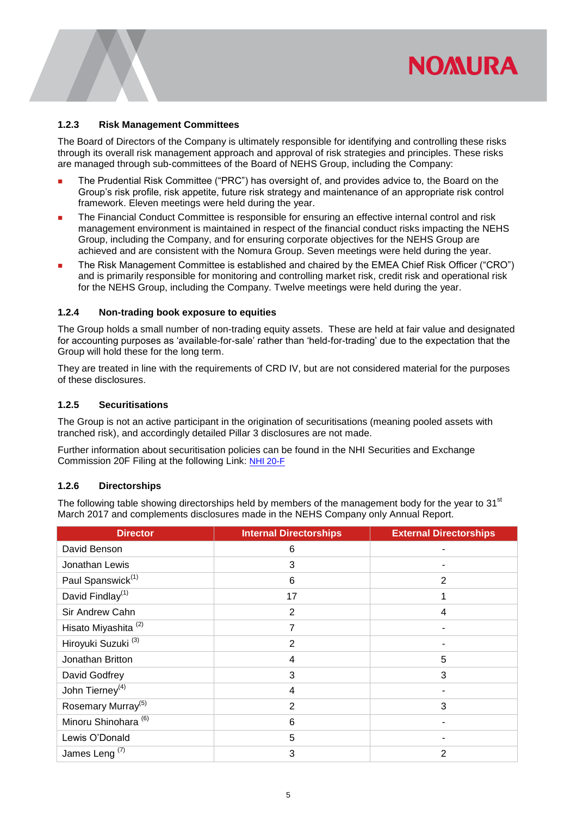## **NOMURA**

#### <span id="page-7-2"></span>**1.2.3 Risk Management Committees**

The Board of Directors of the Company is ultimately responsible for identifying and controlling these risks through its overall risk management approach and approval of risk strategies and principles. These risks are managed through sub-committees of the Board of NEHS Group, including the Company:

- **The Prudential Risk Committee ("PRC") has oversight of, and provides advice to, the Board on the** Group's risk profile, risk appetite, future risk strategy and maintenance of an appropriate risk control framework. Eleven meetings were held during the year.
- The Financial Conduct Committee is responsible for ensuring an effective internal control and risk management environment is maintained in respect of the financial conduct risks impacting the NEHS Group, including the Company, and for ensuring corporate objectives for the NEHS Group are achieved and are consistent with the Nomura Group. Seven meetings were held during the year.
- The Risk Management Committee is established and chaired by the EMEA Chief Risk Officer ("CRO") and is primarily responsible for monitoring and controlling market risk, credit risk and operational risk for the NEHS Group, including the Company. Twelve meetings were held during the year.

#### <span id="page-7-0"></span>**1.2.4 Non-trading book exposure to equities**

The Group holds a small number of non-trading equity assets. These are held at fair value and designated for accounting purposes as 'available-for-sale' rather than 'held-for-trading' due to the expectation that the Group will hold these for the long term.

They are treated in line with the requirements of CRD IV, but are not considered material for the purposes of these disclosures.

#### **1.2.5 Securitisations**

The Group is not an active participant in the origination of securitisations (meaning pooled assets with tranched risk), and accordingly detailed Pillar 3 disclosures are not made.

Further information about securitisation policies can be found in the NHI Securities and Exchange Commission 20F Filing at the following Link: [NHI 20-F](http://www.nomuraholdings.com/investor/library/sec/20f/170626/20170626_e.pdf)

#### <span id="page-7-1"></span>**1.2.6 Directorships**

The following table showing directorships held by members of the management body for the year to 31<sup>st</sup> March 2017 and complements disclosures made in the NEHS Company only Annual Report.

| <b>Director</b>                 | <b>Internal Directorships</b> | <b>External Directorships</b> |
|---------------------------------|-------------------------------|-------------------------------|
| David Benson                    | 6                             |                               |
| Jonathan Lewis                  | 3                             |                               |
| Paul Spanswick <sup>(1)</sup>   | 6                             | $\overline{2}$                |
| David Findlay <sup>(1)</sup>    | 17                            | 1                             |
| Sir Andrew Cahn                 | $\overline{2}$                | 4                             |
| Hisato Miyashita <sup>(2)</sup> | 7                             |                               |
| Hiroyuki Suzuki <sup>(3)</sup>  | $\overline{2}$                |                               |
| Jonathan Britton                | 4                             | 5                             |
| David Godfrey                   | 3                             | 3                             |
| John Tierney <sup>(4)</sup>     | 4                             |                               |
| Rosemary Murray <sup>(5)</sup>  | $\overline{2}$                | 3                             |
| Minoru Shinohara <sup>(6)</sup> | 6                             |                               |
| Lewis O'Donald                  | 5                             |                               |
| James Leng <sup>(7)</sup>       | 3                             | $\overline{2}$                |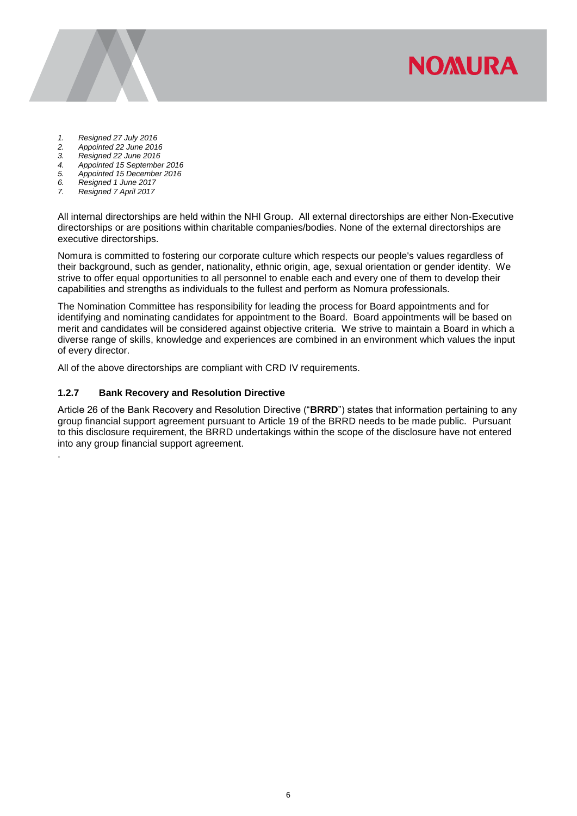**NOMURA** 

- 
- *1. Resigned 27 July 2016 2. Appointed 22 June 2016*
- *3. Resigned 22 June 2016*
- *4. Appointed 15 September 2016*
- *5. Appointed 15 December 2016*
- *6. Resigned 1 June 2017 7. Resigned 7 April 2017*
- 

.

All internal directorships are held within the NHI Group. All external directorships are either Non-Executive directorships or are positions within charitable companies/bodies. None of the external directorships are executive directorships.

Nomura is committed to fostering our corporate culture which respects our people's values regardless of their background, such as gender, nationality, ethnic origin, age, sexual orientation or gender identity. We strive to offer equal opportunities to all personnel to enable each and every one of them to develop their capabilities and strengths as individuals to the fullest and perform as Nomura professionals.

The Nomination Committee has responsibility for leading the process for Board appointments and for identifying and nominating candidates for appointment to the Board. Board appointments will be based on merit and candidates will be considered against objective criteria. We strive to maintain a Board in which a diverse range of skills, knowledge and experiences are combined in an environment which values the input of every director.

All of the above directorships are compliant with CRD IV requirements.

#### **1.2.7 Bank Recovery and Resolution Directive**

Article 26 of the Bank Recovery and Resolution Directive ("**BRRD**") states that information pertaining to any group financial support agreement pursuant to Article 19 of the BRRD needs to be made public. Pursuant to this disclosure requirement, the BRRD undertakings within the scope of the disclosure have not entered into any group financial support agreement.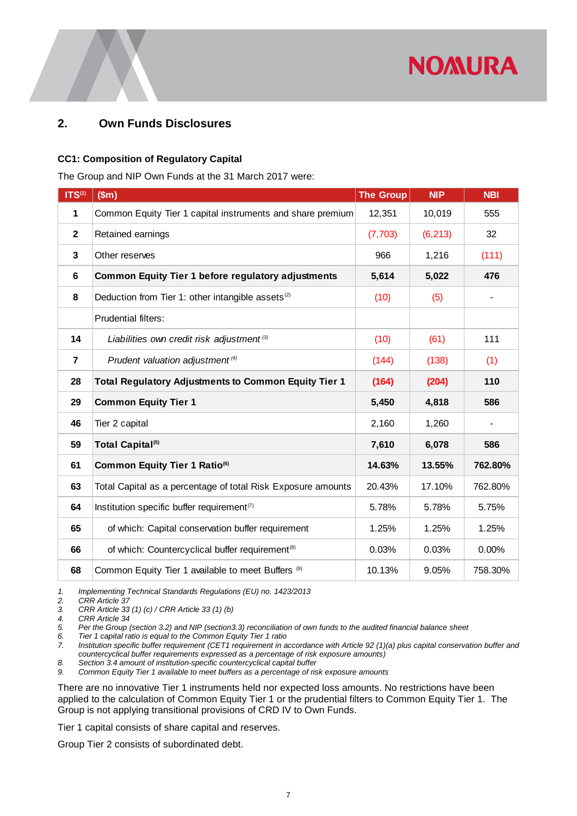

## <span id="page-9-0"></span>**2. Own Funds Disclosures**

#### **CC1: Composition of Regulatory Capital**

The Group and NIP Own Funds at the 31 March 2017 were:

| $TS^{(1)}$                                                                                                                                                                                                                                                                                                                                                                                                                                                                                                                                                                                                                                                                                                                                                                                                                                                                                                                                                                                                                                                                                                             | \$m\$                                                                                                 | <b>The Group</b> | <b>NIP</b> | <b>NBI</b> |  |  |
|------------------------------------------------------------------------------------------------------------------------------------------------------------------------------------------------------------------------------------------------------------------------------------------------------------------------------------------------------------------------------------------------------------------------------------------------------------------------------------------------------------------------------------------------------------------------------------------------------------------------------------------------------------------------------------------------------------------------------------------------------------------------------------------------------------------------------------------------------------------------------------------------------------------------------------------------------------------------------------------------------------------------------------------------------------------------------------------------------------------------|-------------------------------------------------------------------------------------------------------|------------------|------------|------------|--|--|
| 1                                                                                                                                                                                                                                                                                                                                                                                                                                                                                                                                                                                                                                                                                                                                                                                                                                                                                                                                                                                                                                                                                                                      | Common Equity Tier 1 capital instruments and share premium                                            | 12,351           | 10,019     | 555        |  |  |
| $\mathbf 2$                                                                                                                                                                                                                                                                                                                                                                                                                                                                                                                                                                                                                                                                                                                                                                                                                                                                                                                                                                                                                                                                                                            | Retained earnings                                                                                     |                  | (6, 213)   | 32         |  |  |
| 3                                                                                                                                                                                                                                                                                                                                                                                                                                                                                                                                                                                                                                                                                                                                                                                                                                                                                                                                                                                                                                                                                                                      | Other reserves                                                                                        |                  | 1,216      | (111)      |  |  |
| 6                                                                                                                                                                                                                                                                                                                                                                                                                                                                                                                                                                                                                                                                                                                                                                                                                                                                                                                                                                                                                                                                                                                      | <b>Common Equity Tier 1 before regulatory adjustments</b>                                             | 5,614            | 5,022      | 476        |  |  |
| 8                                                                                                                                                                                                                                                                                                                                                                                                                                                                                                                                                                                                                                                                                                                                                                                                                                                                                                                                                                                                                                                                                                                      | Deduction from Tier 1: other intangible assets <sup>(2)</sup>                                         | (10)             | (5)        |            |  |  |
|                                                                                                                                                                                                                                                                                                                                                                                                                                                                                                                                                                                                                                                                                                                                                                                                                                                                                                                                                                                                                                                                                                                        | <b>Prudential filters:</b>                                                                            |                  |            |            |  |  |
| 14                                                                                                                                                                                                                                                                                                                                                                                                                                                                                                                                                                                                                                                                                                                                                                                                                                                                                                                                                                                                                                                                                                                     | Liabilities own credit risk adjustment <sup>(3)</sup>                                                 | (10)             | (61)       | 111        |  |  |
| 7                                                                                                                                                                                                                                                                                                                                                                                                                                                                                                                                                                                                                                                                                                                                                                                                                                                                                                                                                                                                                                                                                                                      | Prudent valuation adjustment <sup>(4)</sup>                                                           | (144)            | (138)      | (1)        |  |  |
| 28                                                                                                                                                                                                                                                                                                                                                                                                                                                                                                                                                                                                                                                                                                                                                                                                                                                                                                                                                                                                                                                                                                                     | <b>Total Regulatory Adjustments to Common Equity Tier 1</b>                                           | (164)            | (204)      | 110        |  |  |
| 29                                                                                                                                                                                                                                                                                                                                                                                                                                                                                                                                                                                                                                                                                                                                                                                                                                                                                                                                                                                                                                                                                                                     | <b>Common Equity Tier 1</b>                                                                           | 5,450            | 4,818      | 586        |  |  |
| 46                                                                                                                                                                                                                                                                                                                                                                                                                                                                                                                                                                                                                                                                                                                                                                                                                                                                                                                                                                                                                                                                                                                     | Tier 2 capital                                                                                        | 2,160            | 1,260      |            |  |  |
| 59                                                                                                                                                                                                                                                                                                                                                                                                                                                                                                                                                                                                                                                                                                                                                                                                                                                                                                                                                                                                                                                                                                                     | Total Capital <sup>(5)</sup>                                                                          |                  | 6,078      | 586        |  |  |
| 61                                                                                                                                                                                                                                                                                                                                                                                                                                                                                                                                                                                                                                                                                                                                                                                                                                                                                                                                                                                                                                                                                                                     | Common Equity Tier 1 Ratio <sup>(6)</sup>                                                             |                  | 13.55%     | 762.80%    |  |  |
| 63                                                                                                                                                                                                                                                                                                                                                                                                                                                                                                                                                                                                                                                                                                                                                                                                                                                                                                                                                                                                                                                                                                                     | Total Capital as a percentage of total Risk Exposure amounts                                          |                  | 17.10%     | 762.80%    |  |  |
| 64                                                                                                                                                                                                                                                                                                                                                                                                                                                                                                                                                                                                                                                                                                                                                                                                                                                                                                                                                                                                                                                                                                                     | Institution specific buffer requirement <sup>(7)</sup>                                                | 5.78%            | 5.78%      | 5.75%      |  |  |
| 65                                                                                                                                                                                                                                                                                                                                                                                                                                                                                                                                                                                                                                                                                                                                                                                                                                                                                                                                                                                                                                                                                                                     | of which: Capital conservation buffer requirement                                                     | 1.25%            | 1.25%      | 1.25%      |  |  |
| 66                                                                                                                                                                                                                                                                                                                                                                                                                                                                                                                                                                                                                                                                                                                                                                                                                                                                                                                                                                                                                                                                                                                     | of which: Countercyclical buffer requirement <sup>(8)</sup>                                           | 0.03%            | 0.03%      | 0.00%      |  |  |
| 68                                                                                                                                                                                                                                                                                                                                                                                                                                                                                                                                                                                                                                                                                                                                                                                                                                                                                                                                                                                                                                                                                                                     | Common Equity Tier 1 available to meet Buffers (9)                                                    | 10.13%           | 9.05%      | 758.30%    |  |  |
| 1.<br>Implementing Technical Standards Regulations (EU) no. 1423/2013<br>2.<br><b>CRR Article 37</b><br>3.<br>CRR Article 33 (1) (c) / CRR Article 33 (1) (b)<br>4.<br>CRR Article 34<br>5.<br>Per the Group (section 3.2) and NIP (section 3.3) reconciliation of own funds to the audited financial balance sheet<br>Tier 1 capital ratio is equal to the Common Equity Tier 1 ratio<br>6.<br>Institution specific buffer requirement (CET1 requirement in accordance with Article 92 (1)(a) plus capital conservation buffer and<br>7.<br>countercyclical buffer requirements expressed as a percentage of risk exposure amounts)<br>8.<br>Section 3.4 amount of institution-specific countercyclical capital buffer<br>9.<br>Common Equity Tier 1 available to meet buffers as a percentage of risk exposure amounts<br>There are no innovative Tier 1 instruments held nor expected loss amounts. No restrictions have been<br>applied to the calculation of Common Equity Tier 1 or the prudential filters to Common Equity Tier 1. The<br>Group is not applying transitional provisions of CRD IV to Own Funds. |                                                                                                       |                  |            |            |  |  |
|                                                                                                                                                                                                                                                                                                                                                                                                                                                                                                                                                                                                                                                                                                                                                                                                                                                                                                                                                                                                                                                                                                                        | Tier 1 capital consists of share capital and reserves.<br>Group Tier 2 consists of subordinated debt. |                  |            |            |  |  |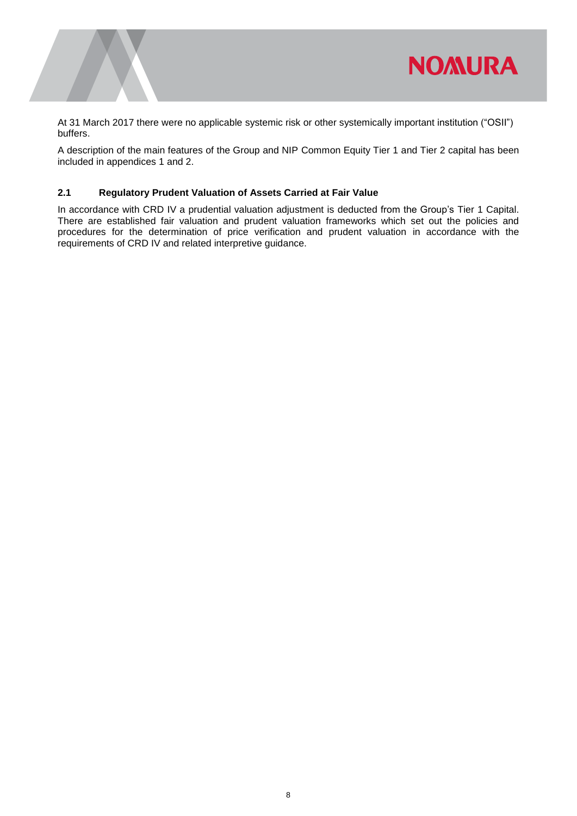

At 31 March 2017 there were no applicable systemic risk or other systemically important institution ("OSII") buffers.

A description of the main features of the Group and NIP Common Equity Tier 1 and Tier 2 capital has been included in appendices 1 and 2.

#### <span id="page-10-0"></span>**2.1 Regulatory Prudent Valuation of Assets Carried at Fair Value**

In accordance with CRD IV a prudential valuation adjustment is deducted from the Group's Tier 1 Capital. There are established fair valuation and prudent valuation frameworks which set out the policies and procedures for the determination of price verification and prudent valuation in accordance with the requirements of CRD IV and related interpretive guidance.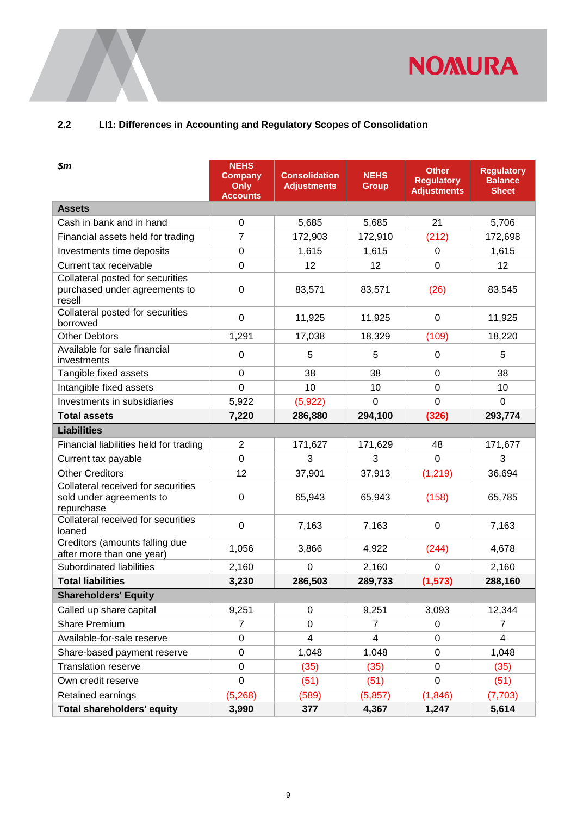

## <span id="page-11-0"></span>**2.2 LI1: Differences in Accounting and Regulatory Scopes of Consolidation**

| $\boldsymbol{\$m}$                                                           | <b>NEHS</b><br><b>Company</b><br>Only<br><b>Accounts</b> | <b>Consolidation</b><br><b>Adjustments</b> | <b>NEHS</b><br><b>Group</b> | <b>Other</b><br><b>Regulatory</b><br><b>Adjustments</b> | <b>Regulatory</b><br><b>Balance</b><br><b>Sheet</b> |
|------------------------------------------------------------------------------|----------------------------------------------------------|--------------------------------------------|-----------------------------|---------------------------------------------------------|-----------------------------------------------------|
| <b>Assets</b>                                                                |                                                          |                                            |                             |                                                         |                                                     |
| Cash in bank and in hand                                                     | 0                                                        | 5,685                                      | 5,685                       | 21                                                      | 5,706                                               |
| Financial assets held for trading                                            | $\overline{7}$                                           | 172,903                                    | 172,910                     | (212)                                                   | 172,698                                             |
| Investments time deposits                                                    | 0                                                        | 1,615                                      | 1,615                       | 0                                                       | 1,615                                               |
| Current tax receivable                                                       | 0                                                        | 12                                         | 12                          | $\overline{0}$                                          | 12                                                  |
| Collateral posted for securities<br>purchased under agreements to<br>resell  | 0                                                        | 83,571                                     | 83,571                      | (26)                                                    | 83,545                                              |
| Collateral posted for securities<br>borrowed                                 | 0                                                        | 11,925                                     | 11,925                      | $\mathbf 0$                                             | 11,925                                              |
| <b>Other Debtors</b>                                                         | 1,291                                                    | 17,038                                     | 18,329                      | (109)                                                   | 18,220                                              |
| Available for sale financial<br>investments                                  | 0                                                        | 5                                          | 5                           | 0                                                       | 5                                                   |
| Tangible fixed assets                                                        | 0                                                        | 38                                         | 38                          | $\Omega$                                                | 38                                                  |
| Intangible fixed assets                                                      | $\overline{0}$                                           | 10                                         | 10                          | 0                                                       | 10                                                  |
| Investments in subsidiaries                                                  | 5,922                                                    | (5,922)                                    | $\Omega$                    | $\overline{0}$                                          | $\Omega$                                            |
| <b>Total assets</b>                                                          | 7,220                                                    | 286,880                                    | 294,100                     | (326)                                                   | 293,774                                             |
| <b>Liabilities</b>                                                           |                                                          |                                            |                             |                                                         |                                                     |
| Financial liabilities held for trading                                       | $\overline{2}$                                           | 171,627                                    | 171,629                     | 48                                                      | 171,677                                             |
| Current tax payable                                                          | $\overline{0}$                                           | 3                                          | 3                           | 0                                                       | 3                                                   |
| <b>Other Creditors</b>                                                       | 12                                                       | 37,901                                     | 37,913                      | (1, 219)                                                | 36,694                                              |
| Collateral received for securities<br>sold under agreements to<br>repurchase | 0                                                        | 65,943                                     | 65,943                      | (158)                                                   | 65,785                                              |
| Collateral received for securities<br>loaned                                 | 0                                                        | 7,163                                      | 7,163                       | 0                                                       | 7,163                                               |
| Creditors (amounts falling due<br>after more than one year)                  | 1,056                                                    | 3,866                                      | 4,922                       | (244)                                                   | 4,678                                               |
| Subordinated liabilities                                                     | 2,160                                                    | $\mathbf 0$                                | 2,160                       | 0                                                       | 2,160                                               |
| <b>Total liabilities</b>                                                     | 3,230                                                    | 286,503                                    | 289,733                     | (1, 573)                                                | 288,160                                             |
| <b>Shareholders' Equity</b>                                                  |                                                          |                                            |                             |                                                         |                                                     |
| Called up share capital                                                      | 9,251                                                    | 0                                          | 9,251                       | 3,093                                                   | 12,344                                              |
| <b>Share Premium</b>                                                         | $\overline{7}$                                           | 0                                          | $\overline{7}$              | 0                                                       | $\overline{7}$                                      |
| Available-for-sale reserve                                                   | 0                                                        | $\overline{4}$                             | $\overline{4}$              | 0                                                       | $\overline{4}$                                      |
| Share-based payment reserve                                                  | 0                                                        | 1,048                                      | 1,048                       | 0                                                       | 1,048                                               |
| <b>Translation reserve</b>                                                   | $\mathbf 0$                                              | (35)                                       | (35)                        | $\mathbf 0$                                             | (35)                                                |
| Own credit reserve                                                           | 0                                                        | (51)                                       | (51)                        | 0                                                       | (51)                                                |
| Retained earnings                                                            | (5,268)                                                  | (589)                                      | (5,857)                     | (1, 846)                                                | (7, 703)                                            |
| <b>Total shareholders' equity</b>                                            | 3,990                                                    | 377                                        | 4,367                       | 1,247                                                   | 5,614                                               |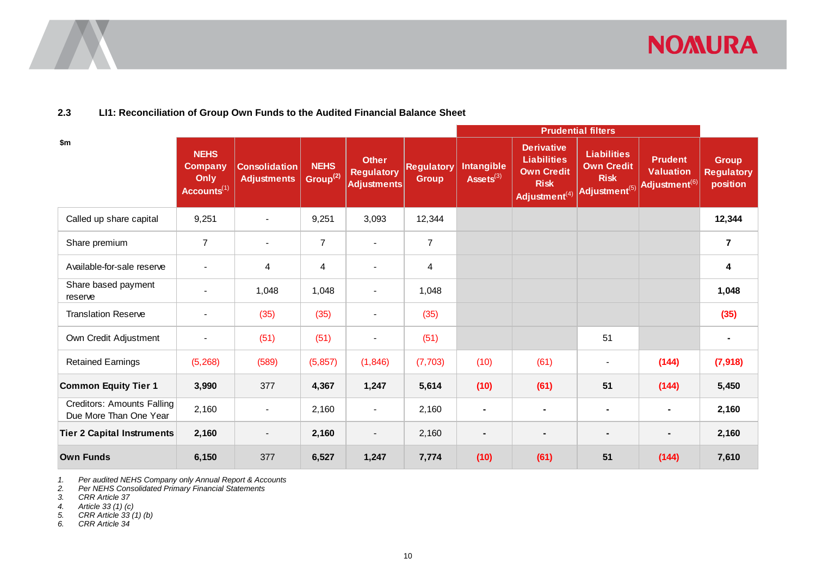

#### **2.3 LI1: Reconciliation of Group Own Funds to the Audited Financial Balance Sheet**

|                                                             |                                                           |                                            |                                     |                                                         |                                   | <b>Prudential filters</b>  |                                                                                                          |                                                                                     |                                                                 |                                               |
|-------------------------------------------------------------|-----------------------------------------------------------|--------------------------------------------|-------------------------------------|---------------------------------------------------------|-----------------------------------|----------------------------|----------------------------------------------------------------------------------------------------------|-------------------------------------------------------------------------------------|-----------------------------------------------------------------|-----------------------------------------------|
| \$m                                                         | <b>NEHS</b><br>Company<br>Only<br>Accounts <sup>(1)</sup> | <b>Consolidation</b><br><b>Adjustments</b> | <b>NEHS</b><br>Group <sup>(2)</sup> | <b>Other</b><br><b>Regulatory</b><br><b>Adjustments</b> | <b>Regulatory</b><br><b>Group</b> | Intangible<br>Assets $(3)$ | <b>Derivative</b><br><b>Liabilities</b><br><b>Own Credit</b><br><b>Risk</b><br>Adjustment <sup>(4)</sup> | <b>Liabilities</b><br><b>Own Credit</b><br><b>Risk</b><br>Adjustment <sup>(5)</sup> | <b>Prudent</b><br><b>Valuation</b><br>Adjustment <sup>(6)</sup> | <b>Group</b><br><b>Regulatory</b><br>position |
| Called up share capital                                     | 9,251                                                     |                                            | 9,251                               | 3,093                                                   | 12,344                            |                            |                                                                                                          |                                                                                     |                                                                 | 12,344                                        |
| Share premium                                               | $\overline{7}$                                            | $\blacksquare$                             | $\overline{7}$                      | $\blacksquare$                                          | $\overline{7}$                    |                            |                                                                                                          |                                                                                     |                                                                 | $\overline{\mathbf{r}}$                       |
| Available-for-sale reserve                                  |                                                           | 4                                          | 4                                   |                                                         | 4                                 |                            |                                                                                                          |                                                                                     |                                                                 | 4                                             |
| Share based payment<br>reserve                              |                                                           | 1,048                                      | 1,048                               |                                                         | 1,048                             |                            |                                                                                                          |                                                                                     |                                                                 | 1,048                                         |
| <b>Translation Reserve</b>                                  |                                                           | (35)                                       | (35)                                |                                                         | (35)                              |                            |                                                                                                          |                                                                                     |                                                                 | (35)                                          |
| Own Credit Adjustment                                       |                                                           | (51)                                       | (51)                                |                                                         | (51)                              |                            |                                                                                                          | 51                                                                                  |                                                                 | $\blacksquare$                                |
| <b>Retained Earnings</b>                                    | (5,268)                                                   | (589)                                      | (5, 857)                            | (1, 846)                                                | (7, 703)                          | (10)                       | (61)                                                                                                     | $\overline{\phantom{a}}$                                                            | (144)                                                           | (7, 918)                                      |
| <b>Common Equity Tier 1</b>                                 | 3,990                                                     | 377                                        | 4,367                               | 1,247                                                   | 5,614                             | (10)                       | (61)                                                                                                     | 51                                                                                  | (144)                                                           | 5,450                                         |
| <b>Creditors: Amounts Falling</b><br>Due More Than One Year | 2,160                                                     | $\blacksquare$                             | 2,160                               |                                                         | 2,160                             | $\blacksquare$             |                                                                                                          |                                                                                     |                                                                 | 2,160                                         |
| <b>Tier 2 Capital Instruments</b>                           | 2,160                                                     | $\blacksquare$                             | 2,160                               | $\overline{\phantom{a}}$                                | 2,160                             | $\blacksquare$             | ۰                                                                                                        | $\blacksquare$                                                                      | $\blacksquare$                                                  | 2,160                                         |
| <b>Own Funds</b>                                            | 6,150                                                     | 377                                        | 6,527                               | 1,247                                                   | 7,774                             | (10)                       | (61)                                                                                                     | 51                                                                                  | (144)                                                           | 7,610                                         |

<span id="page-12-0"></span>*1. Per audited NEHS Company only Annual Report & Accounts*

*2. Per NEHS Consolidated Primary Financial Statements*

*3. CRR Article 37* 

*4. Article 33 (1) (c)*

*5. CRR Article 33 (1) (b)*

*6. CRR Article 34*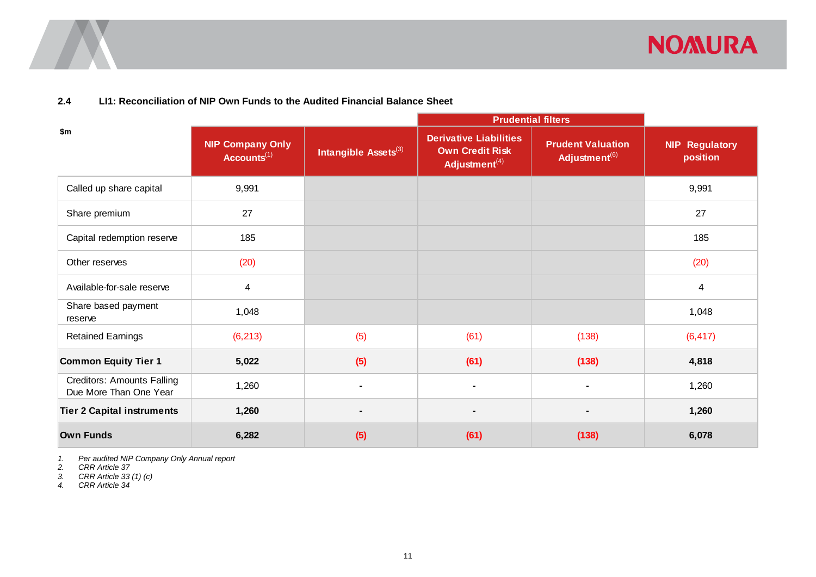

#### **2.4 LI1: Reconciliation of NIP Own Funds to the Audited Financial Balance Sheet**

|                                                             |                                             |                                  | <b>Prudential filters</b>                                                            |                                                       |                                   |
|-------------------------------------------------------------|---------------------------------------------|----------------------------------|--------------------------------------------------------------------------------------|-------------------------------------------------------|-----------------------------------|
| \$m                                                         | <b>NIP Company Only</b><br>$Accounts^{(1)}$ | Intangible Assets <sup>(3)</sup> | <b>Derivative Liabilities</b><br><b>Own Credit Risk</b><br>Adjustment <sup>(4)</sup> | <b>Prudent Valuation</b><br>Adjustment <sup>(6)</sup> | <b>NIP Regulatory</b><br>position |
| Called up share capital                                     | 9,991                                       |                                  |                                                                                      |                                                       | 9,991                             |
| Share premium                                               | 27                                          |                                  |                                                                                      |                                                       | 27                                |
| Capital redemption reserve                                  | 185                                         |                                  |                                                                                      |                                                       | 185                               |
| Other reserves                                              | (20)                                        |                                  |                                                                                      |                                                       | (20)                              |
| Available-for-sale reserve                                  | $\overline{4}$                              |                                  |                                                                                      |                                                       | $\overline{4}$                    |
| Share based payment<br>reserve                              | 1,048                                       |                                  |                                                                                      |                                                       | 1,048                             |
| <b>Retained Earnings</b>                                    | (6, 213)                                    | (5)                              | (61)                                                                                 | (138)                                                 | (6, 417)                          |
| <b>Common Equity Tier 1</b>                                 | 5,022                                       | (5)                              | (61)                                                                                 | (138)                                                 | 4,818                             |
| <b>Creditors: Amounts Falling</b><br>Due More Than One Year | 1,260                                       | $\blacksquare$                   | $\blacksquare$                                                                       | $\blacksquare$                                        | 1,260                             |
| <b>Tier 2 Capital instruments</b>                           | 1,260                                       | ۰                                | $\blacksquare$                                                                       | $\blacksquare$                                        | 1,260                             |
| <b>Own Funds</b>                                            | 6,282                                       | (5)                              | (61)                                                                                 | (138)                                                 | 6,078                             |

<span id="page-13-0"></span>*1. Per audited NIP Company Only Annual report*

*2. CRR Article 37* 

*3. CRR Article 33 (1) (c)*

*4. CRR Article 34*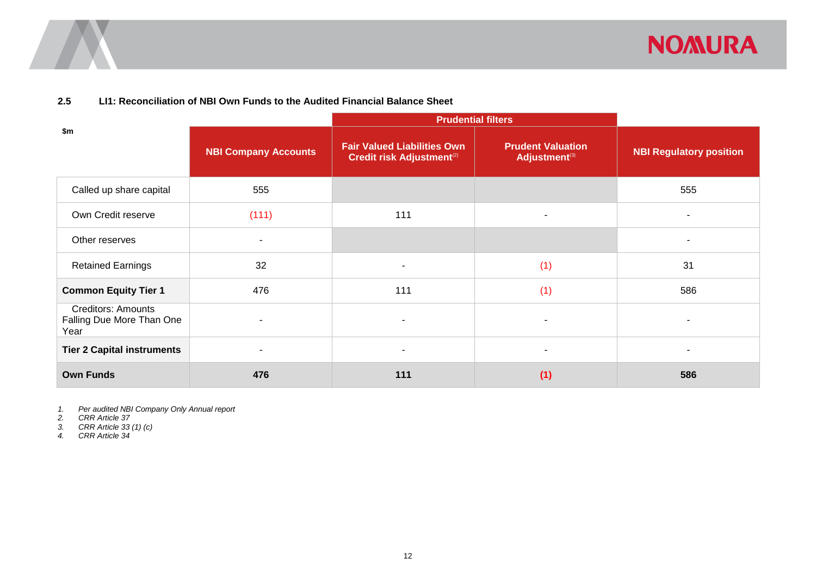

#### **2.5 LI1: Reconciliation of NBI Own Funds to the Audited Financial Balance Sheet**

|                                                                |                             | <b>Prudential filters</b>                                              |                                                       |                                |
|----------------------------------------------------------------|-----------------------------|------------------------------------------------------------------------|-------------------------------------------------------|--------------------------------|
| \$m                                                            | <b>NBI Company Accounts</b> | <b>Fair Valued Liabilities Own</b><br><b>Credit risk Adjustment(2)</b> | <b>Prudent Valuation</b><br>Adjustment <sup>(3)</sup> | <b>NBI Regulatory position</b> |
| Called up share capital                                        | 555                         |                                                                        |                                                       | 555                            |
| Own Credit reserve                                             | (111)                       | 111                                                                    |                                                       |                                |
| Other reserves                                                 |                             |                                                                        |                                                       |                                |
| <b>Retained Earnings</b>                                       | 32                          |                                                                        | (1)                                                   | 31                             |
| <b>Common Equity Tier 1</b>                                    | 476                         | 111                                                                    | (1)                                                   | 586                            |
| <b>Creditors: Amounts</b><br>Falling Due More Than One<br>Year | $\overline{\phantom{a}}$    |                                                                        |                                                       |                                |
| <b>Tier 2 Capital instruments</b>                              | $\overline{\phantom{a}}$    |                                                                        | $\overline{\phantom{a}}$                              |                                |
| <b>Own Funds</b>                                               | 476                         | 111                                                                    | (1)                                                   | 586                            |

<span id="page-14-0"></span>*1. Per audited NBI Company Only Annual report*

*2. CRR Article 37* 

*3. CRR Article 33 (1) (c)*

*4. CRR Article 34*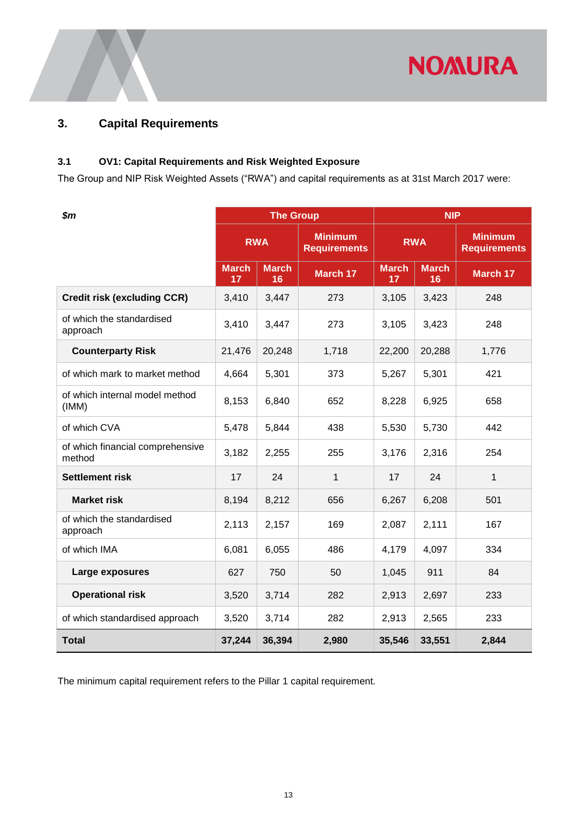

## <span id="page-15-0"></span>**3. Capital Requirements**

### <span id="page-15-1"></span>**3.1 OV1: Capital Requirements and Risk Weighted Exposure**

The Group and NIP Risk Weighted Assets ("RWA") and capital requirements as at 31st March 2017 were:

| $\boldsymbol{\$m}$                         |                    | <b>The Group</b>   |                                       | <b>NIP</b>         |                    |                                       |
|--------------------------------------------|--------------------|--------------------|---------------------------------------|--------------------|--------------------|---------------------------------------|
|                                            | <b>RWA</b>         |                    | <b>Minimum</b><br><b>Requirements</b> | <b>RWA</b>         |                    | <b>Minimum</b><br><b>Requirements</b> |
|                                            | <b>March</b><br>17 | <b>March</b><br>16 | <b>March 17</b>                       | <b>March</b><br>17 | <b>March</b><br>16 | March 17                              |
| <b>Credit risk (excluding CCR)</b>         | 3,410              | 3,447              | 273                                   | 3,105              | 3,423              | 248                                   |
| of which the standardised<br>approach      | 3,410              | 3,447              | 273                                   | 3,105              | 3,423              | 248                                   |
| <b>Counterparty Risk</b>                   | 21,476             | 20,248             | 1,718                                 | 22,200             | 20,288             | 1,776                                 |
| of which mark to market method             | 4,664              | 5,301              | 373                                   | 5,267              | 5,301              | 421                                   |
| of which internal model method<br>(IMM)    | 8,153              | 6,840              | 652                                   | 8,228              | 6,925              | 658                                   |
| of which CVA                               | 5,478              | 5,844              | 438                                   | 5,530              | 5,730              | 442                                   |
| of which financial comprehensive<br>method | 3,182              | 2,255              | 255                                   | 3,176              | 2,316              | 254                                   |
| <b>Settlement risk</b>                     | 17                 | 24                 | 1                                     | 17                 | 24                 | 1                                     |
| <b>Market risk</b>                         | 8,194              | 8,212              | 656                                   | 6,267              | 6,208              | 501                                   |
| of which the standardised<br>approach      | 2,113              | 2,157              | 169                                   | 2,087              | 2,111              | 167                                   |
| of which IMA                               | 6,081              | 6,055              | 486                                   | 4,179              | 4,097              | 334                                   |
| Large exposures                            | 627                | 750                | 50                                    | 1,045              | 911                | 84                                    |
| <b>Operational risk</b>                    | 3,520              | 3,714              | 282                                   | 2,913              | 2,697              | 233                                   |
| of which standardised approach             | 3,520              | 3,714              | 282                                   | 2,913              | 2,565              | 233                                   |
| <b>Total</b>                               | 37,244             | 36,394             | 2,980                                 | 35,546             | 33,551             | 2,844                                 |

The minimum capital requirement refers to the Pillar 1 capital requirement.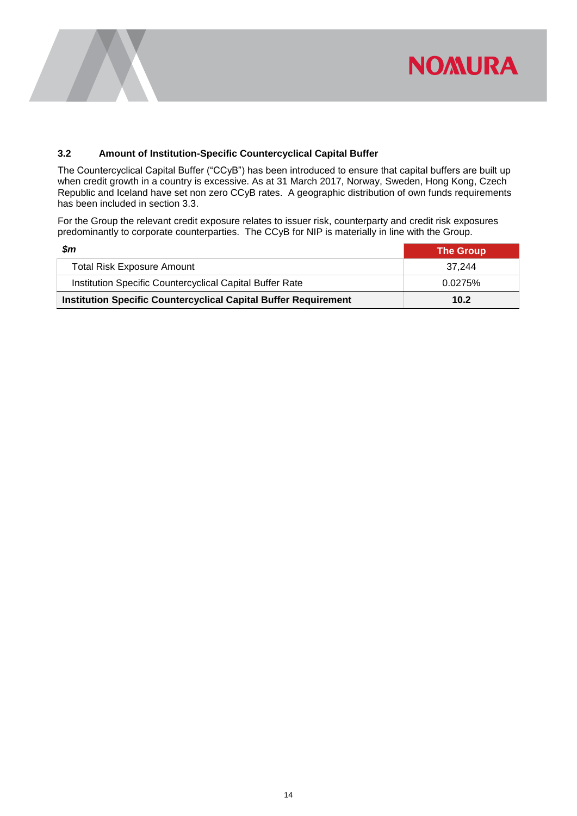

#### <span id="page-16-0"></span>**3.2 Amount of Institution-Specific Countercyclical Capital Buffer**

The Countercyclical Capital Buffer ("CCyB") has been introduced to ensure that capital buffers are built up when credit growth in a country is excessive. As at 31 March 2017, Norway, Sweden, Hong Kong, Czech Republic and Iceland have set non zero CCyB rates. A geographic distribution of own funds requirements has been included in section 3.3.

For the Group the relevant credit exposure relates to issuer risk, counterparty and credit risk exposures predominantly to corporate counterparties. The CCyB for NIP is materially in line with the Group.

| Sm                                                                     | <b>The Group</b> |
|------------------------------------------------------------------------|------------------|
| <b>Total Risk Exposure Amount</b>                                      | 37.244           |
| Institution Specific Countercyclical Capital Buffer Rate               | 0.0275%          |
| <b>Institution Specific Countercyclical Capital Buffer Requirement</b> | 10.2             |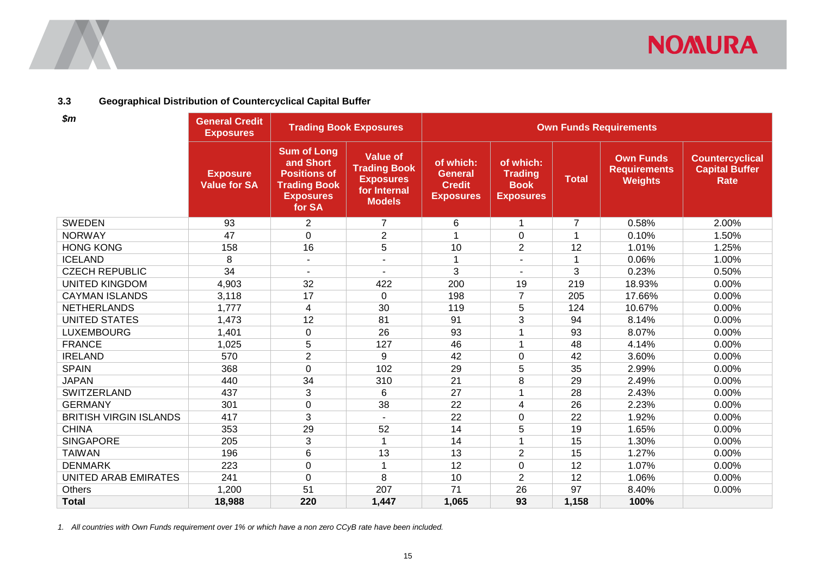

#### **3.3 Geographical Distribution of Countercyclical Capital Buffer**

| \$m\$                         | <b>General Credit</b><br><b>Exposures</b> |                                                                                                             | <b>Trading Book Exposures</b>                                                               | <b>Own Funds Requirements</b>                                    |                                                                |                |                                                           |                                                                |
|-------------------------------|-------------------------------------------|-------------------------------------------------------------------------------------------------------------|---------------------------------------------------------------------------------------------|------------------------------------------------------------------|----------------------------------------------------------------|----------------|-----------------------------------------------------------|----------------------------------------------------------------|
|                               | <b>Exposure</b><br><b>Value for SA</b>    | <b>Sum of Long</b><br>and Short<br><b>Positions of</b><br><b>Trading Book</b><br><b>Exposures</b><br>for SA | <b>Value of</b><br><b>Trading Book</b><br><b>Exposures</b><br>for Internal<br><b>Models</b> | of which:<br><b>General</b><br><b>Credit</b><br><b>Exposures</b> | of which:<br><b>Trading</b><br><b>Book</b><br><b>Exposures</b> | <b>Total</b>   | <b>Own Funds</b><br><b>Requirements</b><br><b>Weights</b> | <b>Countercyclical</b><br><b>Capital Buffer</b><br><b>Rate</b> |
| <b>SWEDEN</b>                 | 93                                        | $\overline{2}$                                                                                              | $\overline{7}$                                                                              | 6                                                                | $\mathbf{1}$                                                   | $\overline{7}$ | 0.58%                                                     | 2.00%                                                          |
| <b>NORWAY</b>                 | 47                                        | 0                                                                                                           | $\overline{2}$                                                                              |                                                                  | 0                                                              | 1              | 0.10%                                                     | 1.50%                                                          |
| <b>HONG KONG</b>              | 158                                       | 16                                                                                                          | 5                                                                                           | 10                                                               | $\overline{2}$                                                 | 12             | 1.01%                                                     | 1.25%                                                          |
| <b>ICELAND</b>                | 8                                         | $\blacksquare$                                                                                              |                                                                                             | 1                                                                | $\blacksquare$                                                 | 1              | 0.06%                                                     | 1.00%                                                          |
| <b>CZECH REPUBLIC</b>         | 34                                        |                                                                                                             |                                                                                             | 3                                                                | L,                                                             | 3              | 0.23%                                                     | 0.50%                                                          |
| <b>UNITED KINGDOM</b>         | 4,903                                     | 32                                                                                                          | 422                                                                                         | 200                                                              | 19                                                             | 219            | 18.93%                                                    | 0.00%                                                          |
| <b>CAYMAN ISLANDS</b>         | 3,118                                     | 17                                                                                                          | $\mathbf 0$                                                                                 | 198                                                              | $\overline{7}$                                                 | 205            | 17.66%                                                    | 0.00%                                                          |
| <b>NETHERLANDS</b>            | 1,777                                     | 4                                                                                                           | 30                                                                                          | 119                                                              | 5                                                              | 124            | 10.67%                                                    | 0.00%                                                          |
| <b>UNITED STATES</b>          | 1,473                                     | 12                                                                                                          | 81                                                                                          | 91                                                               | 3                                                              | 94             | 8.14%                                                     | 0.00%                                                          |
| <b>LUXEMBOURG</b>             | 1,401                                     | 0                                                                                                           | 26                                                                                          | 93                                                               |                                                                | 93             | 8.07%                                                     | 0.00%                                                          |
| <b>FRANCE</b>                 | 1,025                                     | 5                                                                                                           | 127                                                                                         | 46                                                               | 1                                                              | 48             | 4.14%                                                     | 0.00%                                                          |
| <b>IRELAND</b>                | 570                                       | $\overline{c}$                                                                                              | 9                                                                                           | 42                                                               | 0                                                              | 42             | 3.60%                                                     | 0.00%                                                          |
| <b>SPAIN</b>                  | 368                                       | 0                                                                                                           | 102                                                                                         | 29                                                               | 5                                                              | 35             | 2.99%                                                     | 0.00%                                                          |
| <b>JAPAN</b>                  | 440                                       | 34                                                                                                          | 310                                                                                         | 21                                                               | 8                                                              | 29             | 2.49%                                                     | 0.00%                                                          |
| SWITZERLAND                   | 437                                       | 3                                                                                                           | 6                                                                                           | 27                                                               |                                                                | 28             | 2.43%                                                     | 0.00%                                                          |
| <b>GERMANY</b>                | 301                                       | $\mathbf 0$                                                                                                 | 38                                                                                          | 22                                                               | 4                                                              | 26             | 2.23%                                                     | 0.00%                                                          |
| <b>BRITISH VIRGIN ISLANDS</b> | 417                                       | 3                                                                                                           |                                                                                             | 22                                                               | 0                                                              | 22             | 1.92%                                                     | 0.00%                                                          |
| <b>CHINA</b>                  | 353                                       | 29                                                                                                          | 52                                                                                          | 14                                                               | 5                                                              | 19             | 1.65%                                                     | 0.00%                                                          |
| <b>SINGAPORE</b>              | 205                                       | 3                                                                                                           |                                                                                             | 14                                                               |                                                                | 15             | 1.30%                                                     | 0.00%                                                          |
| <b>TAIWAN</b>                 | 196                                       | 6                                                                                                           | 13                                                                                          | 13                                                               | $\overline{2}$                                                 | 15             | 1.27%                                                     | 0.00%                                                          |
| <b>DENMARK</b>                | 223                                       | 0                                                                                                           |                                                                                             | 12                                                               | $\boldsymbol{0}$                                               | 12             | 1.07%                                                     | 0.00%                                                          |
| UNITED ARAB EMIRATES          | 241                                       | $\Omega$                                                                                                    | 8                                                                                           | 10                                                               | $\overline{2}$                                                 | 12             | 1.06%                                                     | 0.00%                                                          |
| Others                        | 1,200                                     | 51                                                                                                          | 207                                                                                         | 71                                                               | 26                                                             | 97             | 8.40%                                                     | 0.00%                                                          |
| <b>Total</b>                  | 18,988                                    | 220                                                                                                         | 1,447                                                                                       | 1,065                                                            | 93                                                             | 1,158          | 100%                                                      |                                                                |

<span id="page-17-0"></span>*1. All countries with Own Funds requirement over 1% or which have a non zero CCyB rate have been included.*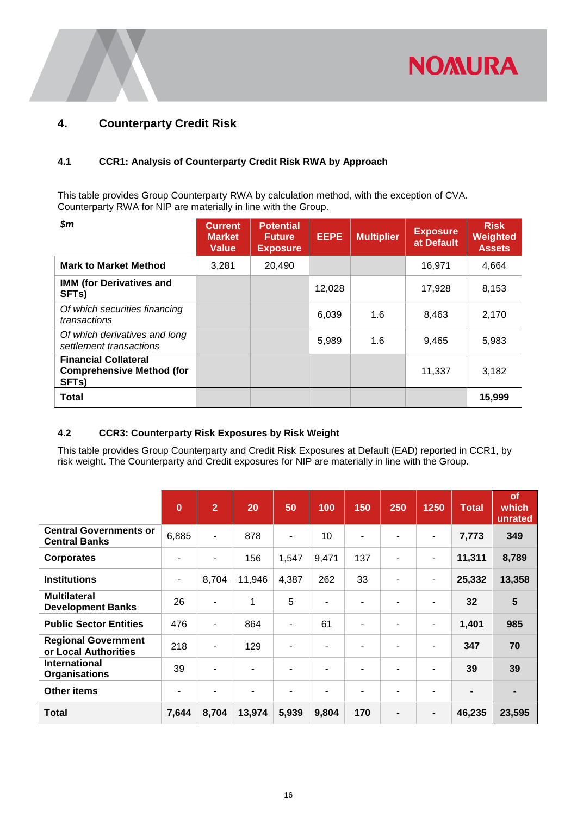

## <span id="page-18-0"></span>**4. Counterparty Credit Risk**

#### <span id="page-18-1"></span>**4.1 CCR1: Analysis of Counterparty Credit Risk RWA by Approach**

This table provides Group Counterparty RWA by calculation method, with the exception of CVA. Counterparty RWA for NIP are materially in line with the Group.

| $\boldsymbol{\$m}$                                                                    | <b>Current</b><br><b>Market</b><br><b>Value</b> | <b>Potential</b><br><b>Future</b><br><b>Exposure</b> | <b>EEPE</b> | <b>Multiplier</b> | <b>Exposure</b><br>at Default | <b>Risk</b><br>Weighted<br><b>Assets</b> |
|---------------------------------------------------------------------------------------|-------------------------------------------------|------------------------------------------------------|-------------|-------------------|-------------------------------|------------------------------------------|
| <b>Mark to Market Method</b>                                                          | 3,281                                           | 20,490                                               |             |                   | 16,971                        | 4,664                                    |
| <b>IMM (for Derivatives and</b><br>SFT <sub>s</sub> )                                 |                                                 |                                                      | 12,028      |                   | 17,928                        | 8,153                                    |
| Of which securities financing<br>transactions                                         |                                                 |                                                      | 6,039       | 1.6               | 8,463                         | 2,170                                    |
| Of which derivatives and long<br>settlement transactions                              |                                                 |                                                      | 5,989       | 1.6               | 9,465                         | 5,983                                    |
| <b>Financial Collateral</b><br><b>Comprehensive Method (for</b><br>SFT <sub>s</sub> ) |                                                 |                                                      |             |                   | 11,337                        | 3,182                                    |
| <b>Total</b>                                                                          |                                                 |                                                      |             |                   |                               | 15,999                                   |

#### <span id="page-18-2"></span>**4.2 CCR3: Counterparty Risk Exposures by Risk Weight**

This table provides Group Counterparty and Credit Risk Exposures at Default (EAD) reported in CCR1, by risk weight. The Counterparty and Credit exposures for NIP are materially in line with the Group.

|                                                       | $\bf{0}$                 | $\overline{2}$           | 20     | 50                       | 100   | 150                      | 250 | 1250                     | <b>Total</b> | of<br>which<br>unrated |
|-------------------------------------------------------|--------------------------|--------------------------|--------|--------------------------|-------|--------------------------|-----|--------------------------|--------------|------------------------|
| <b>Central Governments or</b><br><b>Central Banks</b> | 6,885                    | $\overline{\phantom{a}}$ | 878    | $\overline{\phantom{a}}$ | 10    | $\blacksquare$           |     | $\overline{\phantom{a}}$ | 7,773        | 349                    |
| <b>Corporates</b>                                     | $\overline{\phantom{0}}$ | ۰                        | 156    | 1,547                    | 9,471 | 137                      |     | ٠                        | 11,311       | 8,789                  |
| <b>Institutions</b>                                   | $\overline{\phantom{a}}$ | 8,704                    | 11,946 | 4,387                    | 262   | 33                       |     | $\overline{\phantom{a}}$ | 25,332       | 13,358                 |
| <b>Multilateral</b><br><b>Development Banks</b>       | 26                       | ٠                        |        | 5                        | ۰     | $\overline{\phantom{a}}$ |     | $\overline{\phantom{a}}$ | 32           | 5                      |
| <b>Public Sector Entities</b>                         | 476                      | ٠                        | 864    | $\blacksquare$           | 61    | $\blacksquare$           |     | ٠                        | 1,401        | 985                    |
| <b>Regional Government</b><br>or Local Authorities    | 218                      | ۰                        | 129    | ۰                        | ۰     | ۰                        |     | ٠                        | 347          | 70                     |
| International<br><b>Organisations</b>                 | 39                       | ۰                        |        |                          |       | $\overline{\phantom{a}}$ |     |                          | 39           | 39                     |
| <b>Other items</b>                                    | ۰                        |                          |        |                          | ٠     | ۰                        |     |                          |              |                        |
| Total                                                 | 7,644                    | 8,704                    | 13,974 | 5,939                    | 9,804 | 170                      |     | $\blacksquare$           | 46,235       | 23,595                 |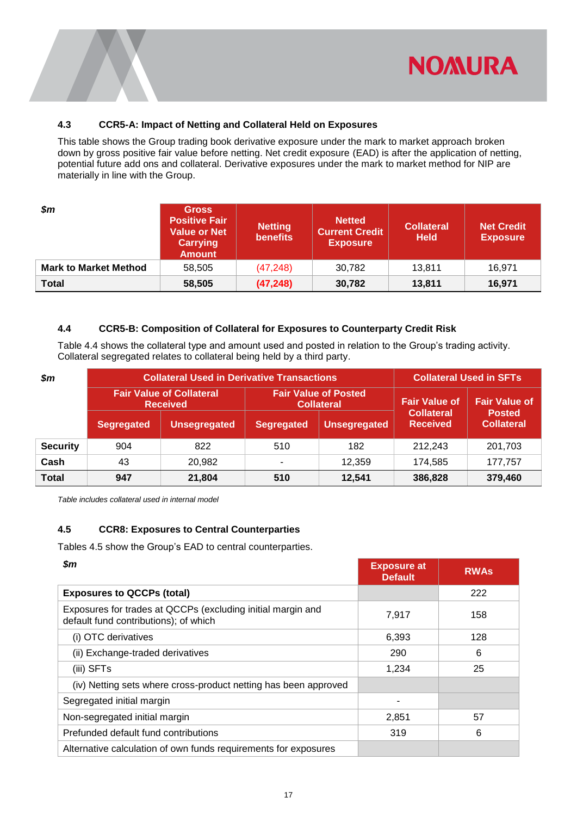

#### <span id="page-19-0"></span>**4.3 CCR5-A: Impact of Netting and Collateral Held on Exposures**

This table shows the Group trading book derivative exposure under the mark to market approach broken down by gross positive fair value before netting. Net credit exposure (EAD) is after the application of netting, potential future add ons and collateral. Derivative exposures under the mark to market method for NIP are materially in line with the Group.

| $\boldsymbol{\$m}$           | <b>Gross</b><br><b>Positive Fair</b><br><b>Value or Net</b><br><b>Carrying</b><br><b>Amount</b> | <b>Netting</b><br><b>benefits</b> | <b>Netted</b><br><b>Current Credit</b><br><b>Exposure</b> | <b>Collateral</b><br><b>Held</b> | <b>Net Credit</b><br><b>Exposure</b> |
|------------------------------|-------------------------------------------------------------------------------------------------|-----------------------------------|-----------------------------------------------------------|----------------------------------|--------------------------------------|
| <b>Mark to Market Method</b> | 58.505                                                                                          | (47, 248)                         | 30,782                                                    | 13.811                           | 16.971                               |
| <b>Total</b>                 | 58,505                                                                                          | (47, 248)                         | 30,782                                                    | 13,811                           | 16,971                               |

#### <span id="page-19-1"></span>**4.4 CCR5-B: Composition of Collateral for Exposures to Counterparty Credit Risk**

Table 4.4 shows the collateral type and amount used and posted in relation to the Group's trading activity. Collateral segregated relates to collateral being held by a third party.

| $\boldsymbol{\$m}$ |                   | <b>Collateral Used in Derivative Transactions</b>  | <b>Collateral Used in SFTs</b>           |                                                  |                                      |                                    |  |
|--------------------|-------------------|----------------------------------------------------|------------------------------------------|--------------------------------------------------|--------------------------------------|------------------------------------|--|
|                    |                   | <b>Fair Value of Collateral</b><br><b>Received</b> |                                          | <b>Fair Value of Posted</b><br><b>Collateral</b> | <b>Fair Value of</b>                 | <b>Fair Value of</b>               |  |
|                    | <b>Segregated</b> | <b>Unsegregated</b>                                | <b>Unsegregated</b><br><b>Segregated</b> |                                                  | <b>Collateral</b><br><b>Received</b> | <b>Posted</b><br><b>Collateral</b> |  |
| <b>Security</b>    | 904               | 822                                                | 510                                      | 182                                              | 212.243                              | 201,703                            |  |
| Cash               | 43                | 20,982                                             | ۰                                        | 12.359                                           | 174,585                              | 177.757                            |  |
| <b>Total</b>       | 947               | 21,804                                             | 510                                      | 12.541                                           | 386,828                              | 379,460                            |  |

<span id="page-19-2"></span>*Table includes collateral used in internal model*

#### **4.5 CCR8: Exposures to Central Counterparties**

Tables 4.5 show the Group's EAD to central counterparties.

| \$m                                                                                                  | <b>Exposure at</b><br><b>Default</b> | <b>RWAs</b> |
|------------------------------------------------------------------------------------------------------|--------------------------------------|-------------|
| <b>Exposures to QCCPs (total)</b>                                                                    |                                      | 222         |
| Exposures for trades at QCCPs (excluding initial margin and<br>default fund contributions); of which | 7,917                                | 158         |
| (i) OTC derivatives                                                                                  | 6,393                                | 128         |
| (ii) Exchange-traded derivatives                                                                     | 290                                  | 6           |
| (iii) SFTs                                                                                           | 1,234                                | 25          |
| (iv) Netting sets where cross-product netting has been approved                                      |                                      |             |
| Segregated initial margin                                                                            |                                      |             |
| Non-segregated initial margin                                                                        | 2,851                                | 57          |
| Prefunded default fund contributions                                                                 | 319                                  | 6           |
| Alternative calculation of own funds requirements for exposures                                      |                                      |             |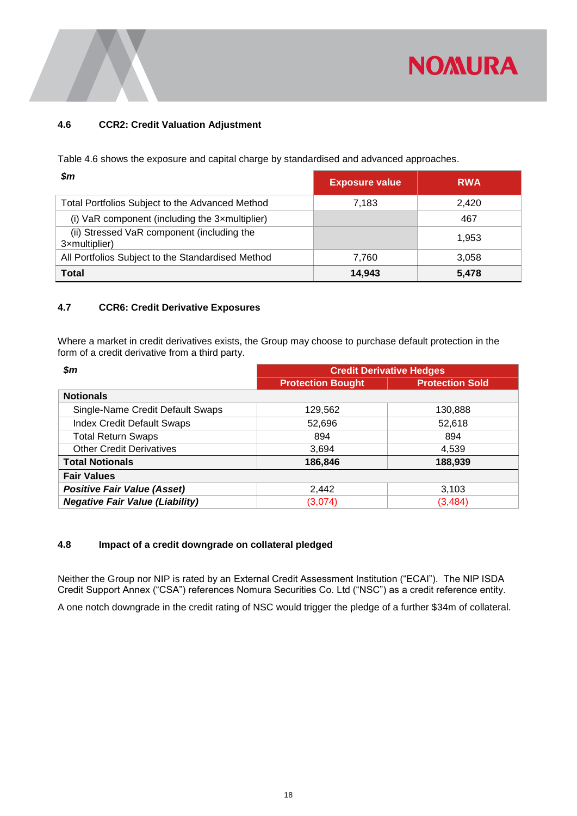

#### <span id="page-20-0"></span>**4.6 CCR2: Credit Valuation Adjustment**

Table 4.6 shows the exposure and capital charge by standardised and advanced approaches.

| Sm                                                          | <b>Exposure value</b> | <b>RWA</b> |
|-------------------------------------------------------------|-----------------------|------------|
| Total Portfolios Subject to the Advanced Method             | 7,183                 | 2.420      |
| (i) VaR component (including the 3xmultiplier)              |                       | 467        |
| (ii) Stressed VaR component (including the<br>3xmultiplier) |                       | 1.953      |
| All Portfolios Subject to the Standardised Method           | 7.760                 | 3.058      |
| Total                                                       | 14.943                | 5,478      |

#### <span id="page-20-1"></span>**4.7 CCR6: Credit Derivative Exposures**

Where a market in credit derivatives exists, the Group may choose to purchase default protection in the form of a credit derivative from a third party.

| \$m                                    | <b>Credit Derivative Hedges</b> |                        |
|----------------------------------------|---------------------------------|------------------------|
|                                        | <b>Protection Bought</b>        | <b>Protection Sold</b> |
| <b>Notionals</b>                       |                                 |                        |
| Single-Name Credit Default Swaps       | 129,562                         | 130,888                |
| <b>Index Credit Default Swaps</b>      | 52.696                          | 52,618                 |
| <b>Total Return Swaps</b>              | 894                             | 894                    |
| <b>Other Credit Derivatives</b>        | 3,694                           | 4,539                  |
| <b>Total Notionals</b>                 | 186,846                         | 188,939                |
| <b>Fair Values</b>                     |                                 |                        |
| <b>Positive Fair Value (Asset)</b>     | 2,442                           | 3,103                  |
| <b>Negative Fair Value (Liability)</b> | (3,074)                         | (3, 484)               |

#### <span id="page-20-2"></span>**4.8 Impact of a credit downgrade on collateral pledged**

Neither the Group nor NIP is rated by an External Credit Assessment Institution ("ECAI"). The NIP ISDA Credit Support Annex ("CSA") references Nomura Securities Co. Ltd ("NSC") as a credit reference entity.

A one notch downgrade in the credit rating of NSC would trigger the pledge of a further \$34m of collateral.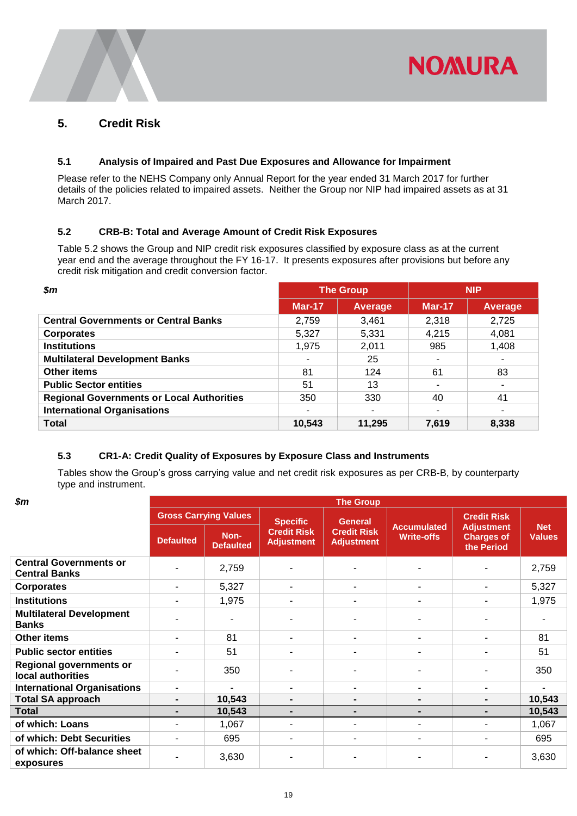

### <span id="page-21-0"></span>**5. Credit Risk**

#### <span id="page-21-1"></span>**5.1 Analysis of Impaired and Past Due Exposures and Allowance for Impairment**

Please refer to the NEHS Company only Annual Report for the year ended 31 March 2017 for further details of the policies related to impaired assets. Neither the Group nor NIP had impaired assets as at 31 March 2017.

#### <span id="page-21-2"></span>**5.2 CRB-B: Total and Average Amount of Credit Risk Exposures**

Table 5.2 shows the Group and NIP credit risk exposures classified by exposure class as at the current year end and the average throughout the FY 16-17. It presents exposures after provisions but before any credit risk mitigation and credit conversion factor.

| Sm                                               |               | <b>The Group</b> |               | <b>NIP</b>     |
|--------------------------------------------------|---------------|------------------|---------------|----------------|
|                                                  | <b>Mar-17</b> | Average          | <b>Mar-17</b> | <b>Average</b> |
| <b>Central Governments or Central Banks</b>      | 2.759         | 3.461            | 2.318         | 2,725          |
| <b>Corporates</b>                                | 5,327         | 5,331            | 4,215         | 4,081          |
| <b>Institutions</b>                              | 1,975         | 2,011            | 985           | 1,408          |
| <b>Multilateral Development Banks</b>            | ۰             | 25               |               | ٠              |
| <b>Other items</b>                               | 81            | 124              | 61            | 83             |
| <b>Public Sector entities</b>                    | 51            | 13               |               | ۰              |
| <b>Regional Governments or Local Authorities</b> | 350           | 330              | 40            | 41             |
| <b>International Organisations</b>               |               |                  |               | -              |
| <b>Total</b>                                     | 10,543        | 11,295           | 7,619         | 8,338          |

#### <span id="page-21-3"></span>**5.3 CR1-A: Credit Quality of Exposures by Exposure Class and Instruments**

Tables show the Group's gross carrying value and net credit risk exposures as per CRB-B, by counterparty type and instrument.

| $\boldsymbol{\$m}$                                    | <b>The Group</b> |                              |                                         |                                         |                                         |                                                      |                             |  |  |
|-------------------------------------------------------|------------------|------------------------------|-----------------------------------------|-----------------------------------------|-----------------------------------------|------------------------------------------------------|-----------------------------|--|--|
|                                                       |                  | <b>Gross Carrying Values</b> | <b>Specific</b>                         | <b>General</b>                          |                                         | <b>Credit Risk</b>                                   |                             |  |  |
|                                                       | <b>Defaulted</b> | Non-<br><b>Defaulted</b>     | <b>Credit Risk</b><br><b>Adjustment</b> | <b>Credit Risk</b><br><b>Adjustment</b> | <b>Accumulated</b><br><b>Write-offs</b> | <b>Adjustment</b><br><b>Charges of</b><br>the Period | <b>Net</b><br><b>Values</b> |  |  |
| <b>Central Governments or</b><br><b>Central Banks</b> |                  | 2,759                        |                                         |                                         |                                         |                                                      | 2,759                       |  |  |
| <b>Corporates</b>                                     | -                | 5,327                        |                                         | ٠                                       | ٠                                       | $\blacksquare$                                       | 5,327                       |  |  |
| <b>Institutions</b>                                   |                  | 1,975                        |                                         | ٠                                       | $\blacksquare$                          | $\blacksquare$                                       | 1,975                       |  |  |
| <b>Multilateral Development</b><br><b>Banks</b>       |                  |                              |                                         |                                         |                                         |                                                      |                             |  |  |
| <b>Other items</b>                                    | $\blacksquare$   | 81                           |                                         | ۰                                       | ٠                                       | $\blacksquare$                                       | 81                          |  |  |
| <b>Public sector entities</b>                         | $\blacksquare$   | 51                           |                                         | ٠                                       | $\blacksquare$                          | $\blacksquare$                                       | 51                          |  |  |
| <b>Regional governments or</b><br>local authorities   |                  | 350                          |                                         |                                         |                                         |                                                      | 350                         |  |  |
| <b>International Organisations</b>                    | -                |                              |                                         | $\blacksquare$                          | $\blacksquare$                          | -                                                    | ۰.                          |  |  |
| <b>Total SA approach</b>                              | $\blacksquare$   | 10,543                       |                                         | $\blacksquare$                          | $\blacksquare$                          | $\blacksquare$                                       | 10,543                      |  |  |
| <b>Total</b>                                          | ۰.               | 10,543                       |                                         | ٠                                       | $\blacksquare$                          | ۰.                                                   | 10,543                      |  |  |
| of which: Loans                                       | ۰.               | 1,067                        |                                         | ٠                                       | $\overline{a}$                          | $\overline{\phantom{0}}$                             | 1,067                       |  |  |
| of which: Debt Securities                             | ۰.               | 695                          |                                         | ٠                                       | $\blacksquare$                          | $\blacksquare$                                       | 695                         |  |  |
| of which: Off-balance sheet<br>exposures              |                  | 3,630                        |                                         |                                         |                                         |                                                      | 3,630                       |  |  |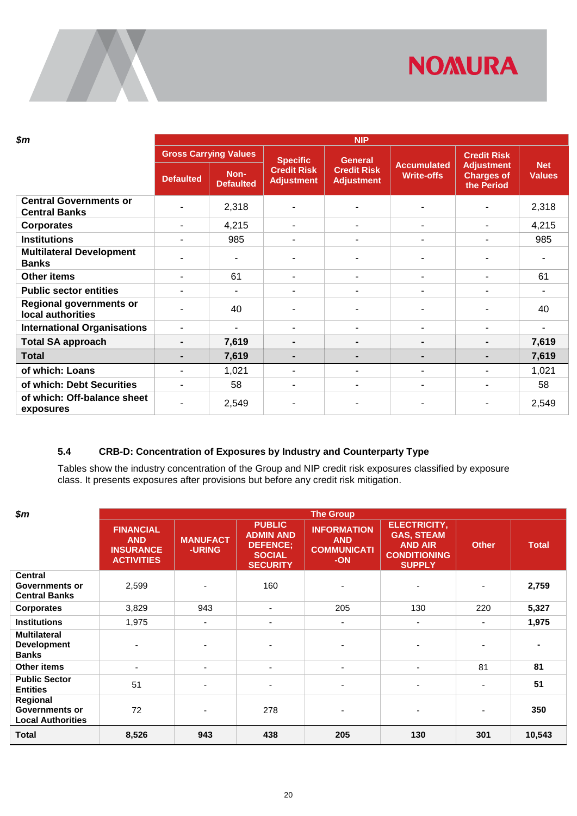

| \$m                                                   | <b>NIP</b>       |                              |                                         |                                         |                                         |                                                      |                             |  |  |
|-------------------------------------------------------|------------------|------------------------------|-----------------------------------------|-----------------------------------------|-----------------------------------------|------------------------------------------------------|-----------------------------|--|--|
|                                                       |                  | <b>Gross Carrying Values</b> | <b>Specific</b>                         | <b>General</b>                          |                                         | <b>Credit Risk</b>                                   |                             |  |  |
|                                                       | <b>Defaulted</b> | Non-<br><b>Defaulted</b>     | <b>Credit Risk</b><br><b>Adjustment</b> | <b>Credit Risk</b><br><b>Adjustment</b> | <b>Accumulated</b><br><b>Write-offs</b> | <b>Adjustment</b><br><b>Charges of</b><br>the Period | <b>Net</b><br><b>Values</b> |  |  |
| <b>Central Governments or</b><br><b>Central Banks</b> | ۰                | 2,318                        |                                         |                                         |                                         |                                                      | 2,318                       |  |  |
| <b>Corporates</b>                                     | ۰                | 4,215                        |                                         | ۰                                       | $\blacksquare$                          | ۰                                                    | 4,215                       |  |  |
| <b>Institutions</b>                                   | ٠                | 985                          |                                         | ۰                                       | ٠                                       | ۰                                                    | 985                         |  |  |
| <b>Multilateral Development</b><br><b>Banks</b>       | ٠                |                              |                                         |                                         | $\overline{\phantom{a}}$                |                                                      |                             |  |  |
| <b>Other items</b>                                    | ٠                | 61                           |                                         | ۰.                                      | ۰                                       | ۰                                                    | 61                          |  |  |
| <b>Public sector entities</b>                         | ۰                |                              |                                         |                                         | $\overline{\phantom{0}}$                | ۰                                                    |                             |  |  |
| <b>Regional governments or</b><br>local authorities   | ٠                | 40                           |                                         |                                         |                                         |                                                      | 40                          |  |  |
| <b>International Organisations</b>                    | ٠                |                              |                                         | ۰                                       | ٠                                       | ۰                                                    |                             |  |  |
| <b>Total SA approach</b>                              | $\blacksquare$   | 7,619                        |                                         | $\blacksquare$                          | $\blacksquare$                          | -                                                    | 7,619                       |  |  |
| <b>Total</b>                                          | $\blacksquare$   | 7,619                        |                                         | $\blacksquare$                          | $\blacksquare$                          | -                                                    | 7,619                       |  |  |
| of which: Loans                                       | ۰                | 1,021                        |                                         | $\blacksquare$                          | ۰                                       | ۰                                                    | 1,021                       |  |  |
| of which: Debt Securities                             | ۰                | 58                           |                                         | ۰                                       | ۰                                       | ۰                                                    | 58                          |  |  |
| of which: Off-balance sheet<br>exposures              | ۰                | 2,549                        |                                         |                                         |                                         |                                                      | 2,549                       |  |  |

### <span id="page-22-0"></span>**5.4 CRB-D: Concentration of Exposures by Industry and Counterparty Type**

Tables show the industry concentration of the Group and NIP credit risk exposures classified by exposure class. It presents exposures after provisions but before any credit risk mitigation.

| $\boldsymbol{\$m}$                                              |                                                                         |                                  |                                                                                          | <b>The Group</b>                                              |                                                                                                    |                |              |
|-----------------------------------------------------------------|-------------------------------------------------------------------------|----------------------------------|------------------------------------------------------------------------------------------|---------------------------------------------------------------|----------------------------------------------------------------------------------------------------|----------------|--------------|
|                                                                 | <b>FINANCIAL</b><br><b>AND</b><br><b>INSURANCE</b><br><b>ACTIVITIES</b> | <b>MANUFACT</b><br><b>-URING</b> | <b>PUBLIC</b><br><b>ADMIN AND</b><br><b>DEFENCE;</b><br><b>SOCIAL</b><br><b>SECURITY</b> | <b>INFORMATION</b><br><b>AND</b><br><b>COMMUNICATI</b><br>-ON | <b>ELECTRICITY,</b><br><b>GAS, STEAM</b><br><b>AND AIR</b><br><b>CONDITIONING</b><br><b>SUPPLY</b> | <b>Other</b>   | <b>Total</b> |
| <b>Central</b><br><b>Governments or</b><br><b>Central Banks</b> | 2,599                                                                   |                                  | 160                                                                                      | ٠                                                             | $\overline{\phantom{a}}$                                                                           |                | 2,759        |
| <b>Corporates</b>                                               | 3,829                                                                   | 943                              | $\overline{\phantom{a}}$                                                                 | 205                                                           | 130                                                                                                | 220            | 5,327        |
| <b>Institutions</b>                                             | 1,975                                                                   |                                  | $\blacksquare$                                                                           | ٠                                                             | $\overline{\phantom{a}}$                                                                           | $\blacksquare$ | 1,975        |
| <b>Multilateral</b><br><b>Development</b><br><b>Banks</b>       | $\overline{\phantom{0}}$                                                |                                  |                                                                                          | ٠                                                             |                                                                                                    |                |              |
| <b>Other items</b>                                              | $\overline{\phantom{a}}$                                                | $\overline{\phantom{0}}$         | $\overline{\phantom{a}}$                                                                 | ٠                                                             | $\overline{\phantom{a}}$                                                                           | 81             | 81           |
| <b>Public Sector</b><br><b>Entities</b>                         | 51                                                                      |                                  | $\overline{\phantom{a}}$                                                                 | ٠                                                             | $\overline{\phantom{a}}$                                                                           | $\blacksquare$ | 51           |
| Regional<br><b>Governments or</b><br><b>Local Authorities</b>   | 72                                                                      |                                  | 278                                                                                      | ٠                                                             | $\overline{\phantom{a}}$                                                                           |                | 350          |
| <b>Total</b>                                                    | 8,526                                                                   | 943                              | 438                                                                                      | 205                                                           | 130                                                                                                | 301            | 10,543       |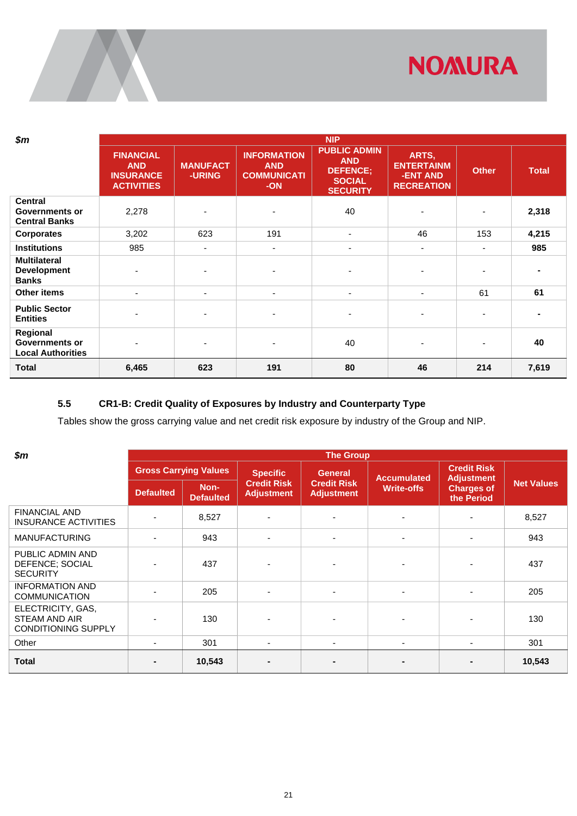

| $\boldsymbol{\$m}$                                              |                                                                         |                                  |                                                               | <b>NIP</b>                                                                               |                                                             |                |              |
|-----------------------------------------------------------------|-------------------------------------------------------------------------|----------------------------------|---------------------------------------------------------------|------------------------------------------------------------------------------------------|-------------------------------------------------------------|----------------|--------------|
|                                                                 | <b>FINANCIAL</b><br><b>AND</b><br><b>INSURANCE</b><br><b>ACTIVITIES</b> | <b>MANUFACT</b><br><b>-URING</b> | <b>INFORMATION</b><br><b>AND</b><br><b>COMMUNICATI</b><br>-ON | <b>PUBLIC ADMIN</b><br><b>AND</b><br><b>DEFENCE:</b><br><b>SOCIAL</b><br><b>SECURITY</b> | ARTS,<br><b>ENTERTAINM</b><br>-ENT AND<br><b>RECREATION</b> | <b>Other</b>   | <b>Total</b> |
| <b>Central</b><br><b>Governments or</b><br><b>Central Banks</b> | 2,278                                                                   |                                  | ٠                                                             | 40                                                                                       |                                                             |                | 2,318        |
| <b>Corporates</b>                                               | 3,202                                                                   | 623                              | 191                                                           | $\blacksquare$                                                                           | 46                                                          | 153            | 4,215        |
| <b>Institutions</b>                                             | 985                                                                     | ٠                                | ٠                                                             | ٠                                                                                        | $\blacksquare$                                              | $\blacksquare$ | 985          |
| <b>Multilateral</b><br><b>Development</b><br><b>Banks</b>       |                                                                         |                                  |                                                               | $\overline{\phantom{0}}$                                                                 |                                                             |                |              |
| <b>Other items</b>                                              | $\blacksquare$                                                          | $\overline{\phantom{0}}$         | ٠                                                             | $\blacksquare$                                                                           | ٠                                                           | 61             | 61           |
| <b>Public Sector</b><br><b>Entities</b>                         |                                                                         |                                  |                                                               | ٠                                                                                        |                                                             |                |              |
| Regional<br><b>Governments or</b><br><b>Local Authorities</b>   |                                                                         |                                  | ٠                                                             | 40                                                                                       |                                                             | $\blacksquare$ | 40           |
| <b>Total</b>                                                    | 6,465                                                                   | 623                              | 191                                                           | 80                                                                                       | 46                                                          | 214            | 7,619        |

### <span id="page-23-0"></span>**5.5 CR1-B: Credit Quality of Exposures by Industry and Counterparty Type**

Tables show the gross carrying value and net credit risk exposure by industry of the Group and NIP.

| $\boldsymbol{\$m}$                                                      | <b>The Group</b>         |                              |                                         |                                         |                    |                                         |                   |  |  |  |  |  |  |  |
|-------------------------------------------------------------------------|--------------------------|------------------------------|-----------------------------------------|-----------------------------------------|--------------------|-----------------------------------------|-------------------|--|--|--|--|--|--|--|
|                                                                         |                          | <b>Gross Carrying Values</b> | <b>Specific</b>                         | <b>General</b>                          | <b>Accumulated</b> | <b>Credit Risk</b><br><b>Adjustment</b> |                   |  |  |  |  |  |  |  |
|                                                                         | <b>Defaulted</b>         | Non-<br><b>Defaulted</b>     | <b>Credit Risk</b><br><b>Adjustment</b> | <b>Credit Risk</b><br><b>Adjustment</b> | <b>Write-offs</b>  | <b>Charges of</b><br>the Period         | <b>Net Values</b> |  |  |  |  |  |  |  |
| <b>FINANCIAL AND</b><br><b>INSURANCE ACTIVITIES</b>                     |                          | 8,527                        |                                         |                                         |                    |                                         | 8,527             |  |  |  |  |  |  |  |
| <b>MANUFACTURING</b>                                                    | $\blacksquare$           | 943                          |                                         | $\overline{\phantom{0}}$                |                    | ۰                                       | 943               |  |  |  |  |  |  |  |
| PUBLIC ADMIN AND<br>DEFENCE; SOCIAL<br><b>SECURITY</b>                  |                          | 437                          |                                         |                                         |                    |                                         | 437               |  |  |  |  |  |  |  |
| <b>INFORMATION AND</b><br><b>COMMUNICATION</b>                          |                          | 205                          |                                         | $\blacksquare$                          |                    |                                         | 205               |  |  |  |  |  |  |  |
| ELECTRICITY, GAS,<br><b>STEAM AND AIR</b><br><b>CONDITIONING SUPPLY</b> |                          | 130                          |                                         |                                         |                    |                                         | 130               |  |  |  |  |  |  |  |
| Other                                                                   | $\overline{\phantom{a}}$ | 301                          | ۰                                       | $\overline{\phantom{a}}$                | $\blacksquare$     | ٠                                       | 301               |  |  |  |  |  |  |  |
| <b>Total</b>                                                            | $\blacksquare$           | 10,543                       |                                         |                                         |                    |                                         | 10,543            |  |  |  |  |  |  |  |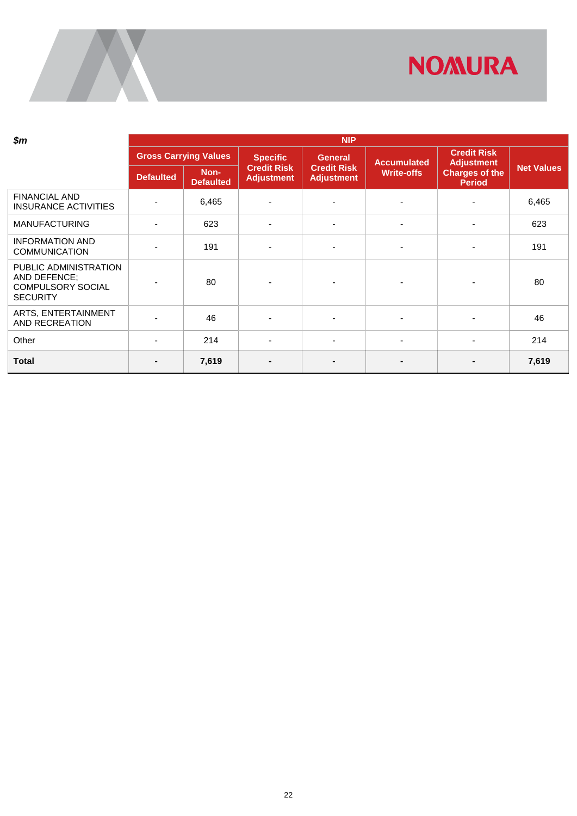

| $\boldsymbol{\$m}$                                                                   | <b>NIP</b>       |                              |                                         |                                         |                          |                                         |                   |  |  |  |  |
|--------------------------------------------------------------------------------------|------------------|------------------------------|-----------------------------------------|-----------------------------------------|--------------------------|-----------------------------------------|-------------------|--|--|--|--|
|                                                                                      |                  | <b>Gross Carrying Values</b> | <b>Specific</b>                         | <b>General</b>                          | <b>Accumulated</b>       | <b>Credit Risk</b><br><b>Adjustment</b> |                   |  |  |  |  |
|                                                                                      | <b>Defaulted</b> | Non-<br><b>Defaulted</b>     | <b>Credit Risk</b><br><b>Adjustment</b> | <b>Credit Risk</b><br><b>Adjustment</b> | <b>Write-offs</b>        | <b>Charges of the</b><br><b>Period</b>  | <b>Net Values</b> |  |  |  |  |
| <b>FINANCIAL AND</b><br><b>INSURANCE ACTIVITIES</b>                                  |                  | 6,465                        |                                         |                                         | -                        |                                         | 6,465             |  |  |  |  |
| <b>MANUFACTURING</b>                                                                 |                  | 623                          | ٠                                       | $\overline{\phantom{a}}$                | $\overline{\phantom{a}}$ |                                         | 623               |  |  |  |  |
| <b>INFORMATION AND</b><br><b>COMMUNICATION</b>                                       |                  | 191                          |                                         | ٠                                       | $\overline{\phantom{a}}$ |                                         | 191               |  |  |  |  |
| PUBLIC ADMINISTRATION<br>AND DEFENCE;<br><b>COMPULSORY SOCIAL</b><br><b>SECURITY</b> |                  | 80                           |                                         |                                         | $\blacksquare$           |                                         | 80                |  |  |  |  |
| ARTS, ENTERTAINMENT<br>AND RECREATION                                                |                  | 46                           |                                         |                                         | $\blacksquare$           |                                         | 46                |  |  |  |  |
| Other                                                                                |                  | 214                          |                                         | ٠                                       | $\overline{\phantom{a}}$ |                                         | 214               |  |  |  |  |
| <b>Total</b>                                                                         |                  | 7,619                        | -                                       | $\overline{\phantom{0}}$                |                          |                                         | 7,619             |  |  |  |  |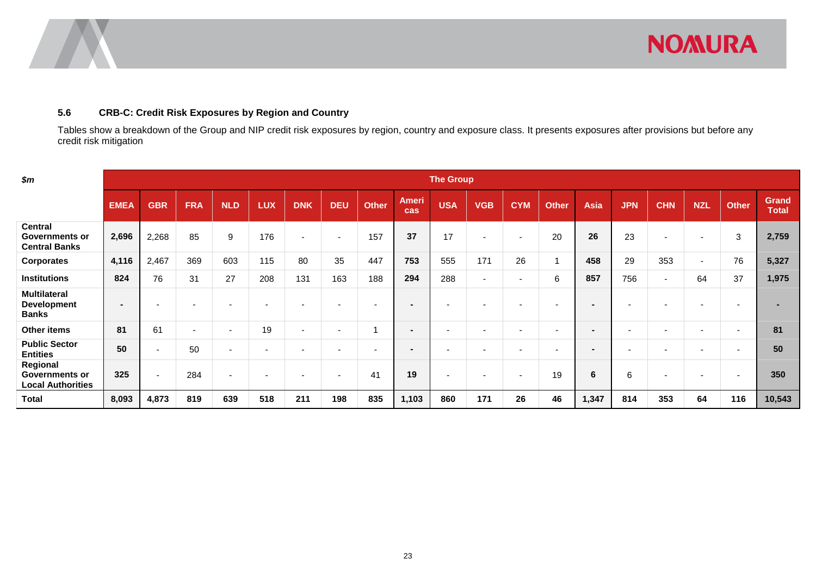

### **5.6 CRB-C: Credit Risk Exposures by Region and Country**

Tables show a breakdown of the Group and NIP credit risk exposures by region, country and exposure class. It presents exposures after provisions but before any credit risk mitigation

<span id="page-25-0"></span>

| \$m\$                                                           | <b>The Group</b> |                          |                          |                          |                          |                          |                          |                          |                          |                          |                          |                          |                          |                          |                          |                          |                          |              |                              |
|-----------------------------------------------------------------|------------------|--------------------------|--------------------------|--------------------------|--------------------------|--------------------------|--------------------------|--------------------------|--------------------------|--------------------------|--------------------------|--------------------------|--------------------------|--------------------------|--------------------------|--------------------------|--------------------------|--------------|------------------------------|
|                                                                 | <b>EMEA</b>      | <b>GBR</b>               | <b>FRA</b>               | <b>NLD</b>               | <b>LUX</b>               | <b>DNK</b>               | <b>DEU</b>               | <b>Other</b>             | <b>Ameri</b><br>cas      | <b>USA</b>               | <b>VGB</b>               | <b>CYM</b>               | <b>Other</b>             | Asia                     | <b>JPN</b>               | <b>CHN</b>               | <b>NZL</b>               | <b>Other</b> | <b>Grand</b><br><b>Total</b> |
| <b>Central</b><br><b>Governments or</b><br><b>Central Banks</b> | 2,696            | 2,268                    | 85                       | 9                        | 176                      | $\sim$                   | $\sim$                   | 157                      | 37                       | 17                       | $\overline{\phantom{a}}$ | $\sim$                   | 20                       | 26                       | 23                       | $\overline{\phantom{a}}$ | $\overline{\phantom{a}}$ | 3            | 2,759                        |
| <b>Corporates</b>                                               | 4,116            | 2,467                    | 369                      | 603                      | 115                      | 80                       | 35                       | 447                      | 753                      | 555                      | 171                      | 26                       | $\overline{ }$           | 458                      | 29                       | 353                      | $\sim$                   | 76           | 5,327                        |
| <b>Institutions</b>                                             | 824              | 76                       | 31                       | 27                       | 208                      | 131                      | 163                      | 188                      | 294                      | 288                      | $\overline{\phantom{a}}$ | $\sim$                   | 6                        | 857                      | 756                      | $\sim$                   | 64                       | 37           | 1,975                        |
| <b>Multilateral</b><br><b>Development</b><br><b>Banks</b>       | $\blacksquare$   | $\overline{\phantom{a}}$ | $\overline{\phantom{a}}$ | $\overline{\phantom{a}}$ | $\overline{\phantom{a}}$ |                          | $\overline{\phantom{a}}$ | $\overline{\phantom{0}}$ | $\overline{\phantom{a}}$ |                          | $\overline{\phantom{a}}$ | $\overline{\phantom{0}}$ | $\overline{\phantom{0}}$ |                          | $\overline{\phantom{a}}$ | $\overline{\phantom{0}}$ |                          |              |                              |
| Other items                                                     | 81               | 61                       | $\overline{\phantom{a}}$ | $\overline{\phantom{a}}$ | 19                       | $\overline{\phantom{0}}$ | $\overline{\phantom{a}}$ |                          | $\overline{\phantom{a}}$ | $\overline{\phantom{0}}$ | $\overline{\phantom{a}}$ | $\overline{\phantom{0}}$ | $\overline{\phantom{0}}$ | $\sim$                   | $\overline{\phantom{0}}$ | $\overline{\phantom{0}}$ | $\overline{\phantom{0}}$ |              | 81                           |
| <b>Public Sector</b><br><b>Entities</b>                         | 50               | $\overline{\phantom{a}}$ | 50                       | $\overline{\phantom{a}}$ | $\overline{\phantom{a}}$ | $\overline{\phantom{a}}$ | $\overline{\phantom{a}}$ | $\overline{\phantom{0}}$ | $\overline{\phantom{a}}$ |                          | $\overline{\phantom{a}}$ | $\overline{\phantom{0}}$ | $\overline{\phantom{0}}$ | $\overline{\phantom{a}}$ | $\overline{\phantom{0}}$ | $\overline{\phantom{a}}$ | $\overline{\phantom{a}}$ |              | 50                           |
| Regional<br><b>Governments or</b><br><b>Local Authorities</b>   | 325              | $\overline{a}$           | 284                      | $\overline{\phantom{a}}$ | $\overline{\phantom{a}}$ | $\overline{\phantom{a}}$ | $\sim$                   | 41                       | 19                       | $\overline{\phantom{0}}$ | $\overline{\phantom{a}}$ | $\overline{\phantom{0}}$ | 19                       | 6                        | 6                        | $\overline{\phantom{a}}$ | $\overline{\phantom{a}}$ |              | 350                          |
| <b>Total</b>                                                    | 8,093            | 4,873                    | 819                      | 639                      | 518                      | 211                      | 198                      | 835                      | 1,103                    | 860                      | 171                      | 26                       | 46                       | 1,347                    | 814                      | 353                      | 64                       | 116          | 10,543                       |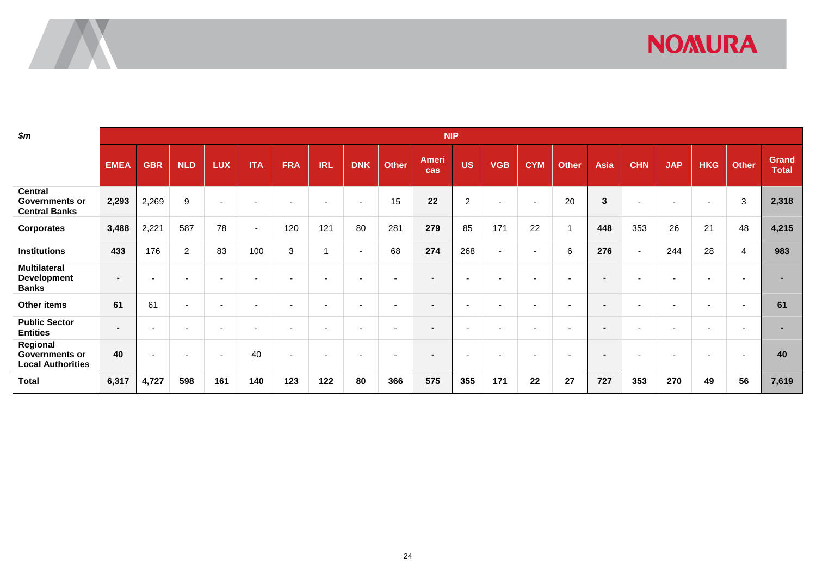# **NOMURA**

| \$m\$                                                           |                          |                          |                          |                          |                |                          |                          |                          |                          | <b>NIP</b>               |                |                          |                          |                |                          |                          |                          |                          |                          |                       |
|-----------------------------------------------------------------|--------------------------|--------------------------|--------------------------|--------------------------|----------------|--------------------------|--------------------------|--------------------------|--------------------------|--------------------------|----------------|--------------------------|--------------------------|----------------|--------------------------|--------------------------|--------------------------|--------------------------|--------------------------|-----------------------|
|                                                                 | <b>EMEA</b>              | <b>GBR</b>               | <b>NLD</b>               | <b>LUX</b>               | <b>ITA</b>     | <b>FRA</b>               | <b>IRL</b>               | <b>DNK</b>               | <b>Other</b>             | <b>Ameri</b><br>cas      | <b>US</b>      | <b>VGB</b>               | <b>CYM</b>               | <b>Other</b>   | Asia                     | <b>CHN</b>               | <b>JAP</b>               | <b>HKG</b>               | <b>Other</b>             | Grand<br><b>Total</b> |
| <b>Central</b><br><b>Governments or</b><br><b>Central Banks</b> | 2,293                    | 2,269                    | $\boldsymbol{9}$         | $\blacksquare$           |                | $\overline{\phantom{a}}$ |                          | $\overline{\phantom{a}}$ | 15                       | 22                       | $\overline{2}$ | $\overline{\phantom{a}}$ | $\overline{\phantom{a}}$ | 20             | 3                        | $\overline{\phantom{a}}$ | $\overline{\phantom{a}}$ | $\overline{\phantom{a}}$ | 3                        | 2,318                 |
| <b>Corporates</b>                                               | 3,488                    | 2,221                    | 587                      | 78                       | $\blacksquare$ | 120                      | 121                      | 80                       | 281                      | 279                      | 85             | 171                      | 22                       | $\overline{ }$ | 448                      | 353                      | 26                       | 21                       | 48                       | 4,215                 |
| <b>Institutions</b>                                             | 433                      | 176                      | $\overline{2}$           | 83                       | 100            | $\sqrt{3}$               |                          | $\overline{\phantom{0}}$ | 68                       | 274                      | 268            | $\sim$                   | $\overline{\phantom{a}}$ | 6              | 276                      | $\sim$                   | 244                      | 28                       | 4                        | 983                   |
| <b>Multilateral</b><br><b>Development</b><br><b>Banks</b>       | $\overline{\phantom{a}}$ | -                        | -                        |                          |                | -                        |                          |                          |                          | $\blacksquare$           |                |                          |                          |                | $\sim$                   |                          |                          |                          |                          |                       |
| Other items                                                     | 61                       | 61                       | $\overline{\phantom{a}}$ | $\overline{\phantom{a}}$ |                | $\overline{\phantom{a}}$ | $\overline{\phantom{a}}$ |                          | $\overline{\phantom{0}}$ | $\overline{\phantom{a}}$ |                |                          | $\overline{\phantom{0}}$ |                | $\sim$                   |                          | $\overline{a}$           | $\overline{\phantom{a}}$ | $\overline{\phantom{0}}$ | 61                    |
| <b>Public Sector</b><br><b>Entities</b>                         | $\overline{\phantom{a}}$ | $\overline{\phantom{a}}$ | $\overline{\phantom{0}}$ | $\blacksquare$           |                | $\overline{\phantom{a}}$ | $\overline{\phantom{a}}$ |                          | $\overline{\phantom{a}}$ | $\overline{\phantom{0}}$ |                | $\sim$                   | $\overline{\phantom{a}}$ |                | $\overline{\phantom{0}}$ | $\overline{\phantom{a}}$ |                          | $\overline{\phantom{0}}$ |                          |                       |
| Regional<br><b>Governments or</b><br><b>Local Authorities</b>   | 40                       | $\overline{\phantom{0}}$ | $\overline{\phantom{0}}$ | $\overline{\phantom{0}}$ | 40             | $\overline{\phantom{a}}$ | $\overline{\phantom{a}}$ |                          |                          | $\blacksquare$           |                |                          | $\overline{\phantom{0}}$ |                | $\sim$                   |                          |                          | $\overline{\phantom{a}}$ |                          | 40                    |
| Total                                                           | 6,317                    | 4,727                    | 598                      | 161                      | 140            | 123                      | 122                      | 80                       | 366                      | 575                      | 355            | 171                      | 22                       | 27             | 727                      | 353                      | 270                      | 49                       | 56                       | 7,619                 |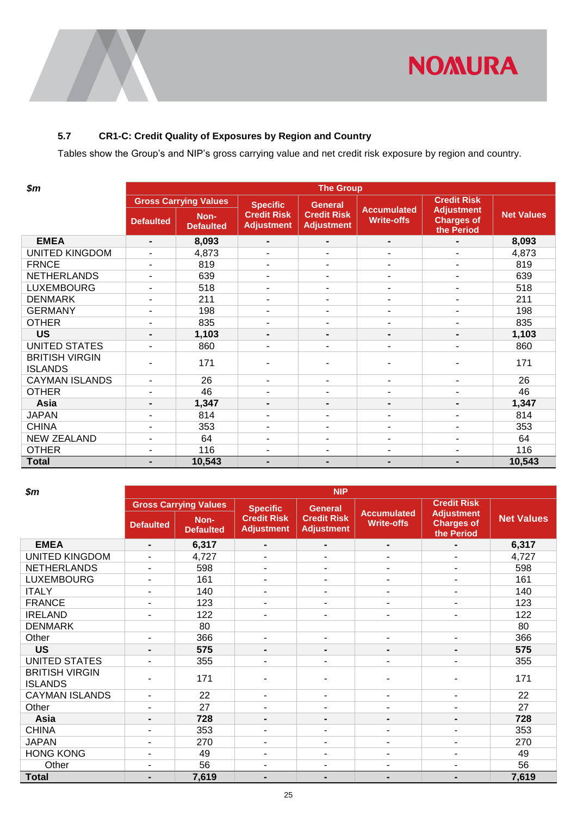

## <span id="page-27-0"></span>**5.7 CR1-C: Credit Quality of Exposures by Region and Country**

Tables show the Group's and NIP's gross carrying value and net credit risk exposure by region and country.

| \$m\$                                   | <b>The Group</b> |                              |                                         |                                         |                                         |                                                      |                   |  |  |  |  |  |
|-----------------------------------------|------------------|------------------------------|-----------------------------------------|-----------------------------------------|-----------------------------------------|------------------------------------------------------|-------------------|--|--|--|--|--|
|                                         |                  | <b>Gross Carrying Values</b> | <b>Specific</b>                         | <b>General</b>                          |                                         | <b>Credit Risk</b>                                   |                   |  |  |  |  |  |
|                                         | <b>Defaulted</b> | Non-<br><b>Defaulted</b>     | <b>Credit Risk</b><br><b>Adjustment</b> | <b>Credit Risk</b><br><b>Adjustment</b> | <b>Accumulated</b><br><b>Write-offs</b> | <b>Adjustment</b><br><b>Charges of</b><br>the Period | <b>Net Values</b> |  |  |  |  |  |
| <b>EMEA</b>                             | $\blacksquare$   | 8,093                        | $\blacksquare$                          | $\blacksquare$                          | $\blacksquare$                          |                                                      | 8,093             |  |  |  |  |  |
| <b>UNITED KINGDOM</b>                   |                  | 4,873                        | $\overline{\phantom{a}}$                | $\blacksquare$                          |                                         | $\blacksquare$                                       | 4,873             |  |  |  |  |  |
| <b>FRNCE</b>                            | ٠                | 819                          | $\overline{\phantom{a}}$                | ۰                                       | ٠                                       | $\blacksquare$                                       | 819               |  |  |  |  |  |
| <b>NETHERLANDS</b>                      |                  | 639                          | ٠                                       | $\blacksquare$                          |                                         | $\blacksquare$                                       | 639               |  |  |  |  |  |
| <b>LUXEMBOURG</b>                       | ٠                | 518                          | $\overline{\phantom{a}}$                | ۰                                       | ٠                                       | $\overline{a}$                                       | 518               |  |  |  |  |  |
| <b>DENMARK</b>                          | ٠                | 211                          | ٠                                       | ۰                                       | ٠                                       | $\blacksquare$                                       | 211               |  |  |  |  |  |
| <b>GERMANY</b>                          | $\blacksquare$   | 198                          | $\overline{\phantom{a}}$                | ٠                                       | ۰                                       | $\blacksquare$                                       | 198               |  |  |  |  |  |
| <b>OTHER</b>                            | ۰                | 835                          | $\blacksquare$                          | ٠                                       | $\blacksquare$                          | $\overline{a}$                                       | 835               |  |  |  |  |  |
| <b>US</b>                               | $\blacksquare$   | 1,103                        |                                         | $\blacksquare$                          | $\blacksquare$                          | $\blacksquare$                                       | 1,103             |  |  |  |  |  |
| <b>UNITED STATES</b>                    | ٠                | 860                          | ٠                                       | ٠                                       | ٠                                       | ٠                                                    | 860               |  |  |  |  |  |
| <b>BRITISH VIRGIN</b><br><b>ISLANDS</b> |                  | 171                          |                                         |                                         | ۰                                       |                                                      | 171               |  |  |  |  |  |
| <b>CAYMAN ISLANDS</b>                   | ٠                | 26                           | ٠                                       | $\blacksquare$                          | ٠                                       | $\overline{a}$                                       | 26                |  |  |  |  |  |
| <b>OTHER</b>                            | $\blacksquare$   | 46                           | ٠                                       | ٠                                       | ٠                                       | $\overline{a}$                                       | 46                |  |  |  |  |  |
| Asia                                    | $\blacksquare$   | 1,347                        | $\blacksquare$                          | $\blacksquare$                          | $\blacksquare$                          | $\blacksquare$                                       | 1,347             |  |  |  |  |  |
| <b>JAPAN</b>                            | $\blacksquare$   | 814                          | $\overline{\phantom{a}}$                | ۰                                       | ٠                                       | $\blacksquare$                                       | 814               |  |  |  |  |  |
| <b>CHINA</b>                            | $\blacksquare$   | 353                          | $\overline{\phantom{a}}$                | ٠                                       | ٠                                       | $\blacksquare$                                       | 353               |  |  |  |  |  |
| <b>NEW ZEALAND</b>                      |                  | 64                           | ٠                                       | ۰                                       |                                         | $\blacksquare$                                       | 64                |  |  |  |  |  |
| <b>OTHER</b>                            | $\blacksquare$   | 116                          | ٠                                       | $\blacksquare$                          | ٠                                       | $\blacksquare$                                       | 116               |  |  |  |  |  |
| <b>Total</b>                            | $\blacksquare$   | 10,543                       | $\blacksquare$                          | $\blacksquare$                          | $\blacksquare$                          |                                                      | 10,543            |  |  |  |  |  |

| \$m\$                                   | <b>NIP</b>       |                              |                                         |                                         |                                         |                                                      |                   |  |  |  |  |  |
|-----------------------------------------|------------------|------------------------------|-----------------------------------------|-----------------------------------------|-----------------------------------------|------------------------------------------------------|-------------------|--|--|--|--|--|
|                                         |                  | <b>Gross Carrying Values</b> | <b>Specific</b>                         | <b>General</b>                          |                                         | <b>Credit Risk</b>                                   |                   |  |  |  |  |  |
|                                         | <b>Defaulted</b> | Non-<br><b>Defaulted</b>     | <b>Credit Risk</b><br><b>Adjustment</b> | <b>Credit Risk</b><br><b>Adjustment</b> | <b>Accumulated</b><br><b>Write-offs</b> | <b>Adjustment</b><br><b>Charges of</b><br>the Period | <b>Net Values</b> |  |  |  |  |  |
| <b>EMEA</b>                             | ۰                | 6,317                        | $\blacksquare$                          | $\blacksquare$                          | $\blacksquare$                          | $\blacksquare$                                       | 6,317             |  |  |  |  |  |
| <b>UNITED KINGDOM</b>                   |                  | 4,727                        | ٠                                       | $\blacksquare$                          | $\blacksquare$                          | $\blacksquare$                                       | 4,727             |  |  |  |  |  |
| <b>NETHERLANDS</b>                      |                  | 598                          |                                         | $\blacksquare$                          | ٠                                       | ٠                                                    | 598               |  |  |  |  |  |
| <b>LUXEMBOURG</b>                       | ۰.               | 161                          | $\blacksquare$                          | $\overline{\phantom{a}}$                | $\blacksquare$                          | $\blacksquare$                                       | 161               |  |  |  |  |  |
| <b>ITALY</b>                            | -                | 140                          | $\blacksquare$                          | $\blacksquare$                          | ٠                                       | $\sim$                                               | 140               |  |  |  |  |  |
| <b>FRANCE</b>                           | -                | 123                          | $\blacksquare$                          | $\blacksquare$                          | ٠                                       | $\blacksquare$                                       | 123               |  |  |  |  |  |
| <b>IRELAND</b>                          | -                | 122                          |                                         | $\blacksquare$                          | ٠                                       | $\blacksquare$                                       | 122               |  |  |  |  |  |
| <b>DENMARK</b>                          |                  | 80                           |                                         |                                         |                                         |                                                      | 80                |  |  |  |  |  |
| Other                                   |                  | 366                          | ٠                                       | $\blacksquare$                          | ٠                                       | ٠                                                    | 366               |  |  |  |  |  |
| <b>US</b>                               |                  | 575                          | $\blacksquare$                          | $\blacksquare$                          |                                         | $\blacksquare$                                       | 575               |  |  |  |  |  |
| <b>UNITED STATES</b>                    |                  | 355                          | ٠                                       | $\blacksquare$                          | ٠                                       |                                                      | 355               |  |  |  |  |  |
| <b>BRITISH VIRGIN</b><br><b>ISLANDS</b> |                  | 171                          | ۰                                       | ۰                                       | ۰                                       |                                                      | 171               |  |  |  |  |  |
| <b>CAYMAN ISLANDS</b>                   | -                | 22                           | ٠                                       | $\blacksquare$                          | ٠                                       | ۰                                                    | 22                |  |  |  |  |  |
| Other                                   |                  | 27                           | $\blacksquare$                          | $\blacksquare$                          | ٠                                       | $\blacksquare$                                       | 27                |  |  |  |  |  |
| Asia                                    | -                | 728                          | $\blacksquare$                          | $\blacksquare$                          | $\blacksquare$                          | $\blacksquare$                                       | 728               |  |  |  |  |  |
| <b>CHINA</b>                            |                  | 353                          | ٠                                       | $\blacksquare$                          | ٠                                       | ٠                                                    | 353               |  |  |  |  |  |
| <b>JAPAN</b>                            | ۰                | 270                          |                                         | $\blacksquare$                          | ٠                                       | $\sim$                                               | 270               |  |  |  |  |  |
| <b>HONG KONG</b>                        | -                | 49                           | $\blacksquare$                          | $\blacksquare$                          | ٠                                       | $\sim$                                               | 49                |  |  |  |  |  |
| Other                                   | ٠                | 56                           | $\overline{\phantom{a}}$                | $\blacksquare$                          | ٠                                       | $\blacksquare$                                       | 56                |  |  |  |  |  |
| <b>Total</b>                            | -                | 7,619                        | $\blacksquare$                          | ٠                                       | ٠                                       | ٠                                                    | 7,619             |  |  |  |  |  |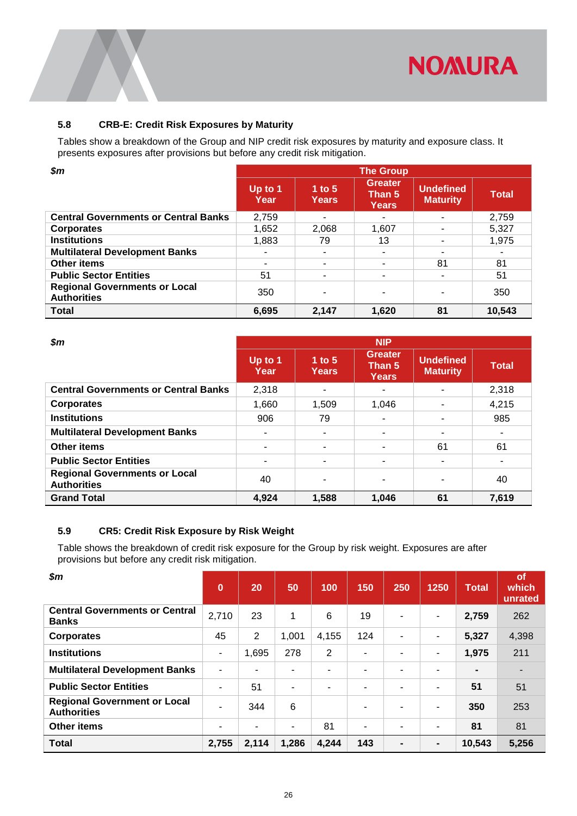![](_page_28_Picture_0.jpeg)

#### <span id="page-28-0"></span>**5.8 CRB-E: Credit Risk Exposures by Maturity**

Tables show a breakdown of the Group and NIP credit risk exposures by maturity and exposure class. It presents exposures after provisions but before any credit risk mitigation.

| $\boldsymbol{\$m}$                                         | <b>The Group</b>         |                          |                                          |                                     |              |  |  |  |  |  |  |
|------------------------------------------------------------|--------------------------|--------------------------|------------------------------------------|-------------------------------------|--------------|--|--|--|--|--|--|
|                                                            | Up to $1$<br><b>Year</b> | 1 to $5$<br><b>Years</b> | <b>Greater</b><br>Than 5<br><b>Years</b> | <b>Undefined</b><br><b>Maturity</b> | <b>Total</b> |  |  |  |  |  |  |
| <b>Central Governments or Central Banks</b>                | 2,759                    | $\blacksquare$           | -                                        |                                     | 2,759        |  |  |  |  |  |  |
| <b>Corporates</b>                                          | 1,652                    | 2,068                    | 1,607                                    |                                     | 5,327        |  |  |  |  |  |  |
| <b>Institutions</b>                                        | 1,883                    | 79                       | 13                                       |                                     | 1,975        |  |  |  |  |  |  |
| <b>Multilateral Development Banks</b>                      |                          |                          | ۰                                        |                                     | ۰            |  |  |  |  |  |  |
| <b>Other items</b>                                         |                          |                          |                                          | 81                                  | 81           |  |  |  |  |  |  |
| <b>Public Sector Entities</b>                              | 51                       |                          |                                          |                                     | 51           |  |  |  |  |  |  |
| <b>Regional Governments or Local</b><br><b>Authorities</b> | 350                      |                          |                                          |                                     | 350          |  |  |  |  |  |  |
| <b>Total</b>                                               | 6,695                    | 2,147                    | 1,620                                    | 81                                  | 10,543       |  |  |  |  |  |  |

| $\boldsymbol{\$m}$                                         |                   |                          | <b>NIP</b>                 |                                     |              |
|------------------------------------------------------------|-------------------|--------------------------|----------------------------|-------------------------------------|--------------|
|                                                            | Up to $1$<br>Year | 1 to $5$<br><b>Years</b> | Greater<br>Than 5<br>Years | <b>Undefined</b><br><b>Maturity</b> | <b>Total</b> |
| <b>Central Governments or Central Banks</b>                | 2,318             |                          |                            |                                     | 2,318        |
| <b>Corporates</b>                                          | 1,660             | 1,509                    | 1,046                      |                                     | 4,215        |
| <b>Institutions</b>                                        | 906               | 79                       |                            |                                     | 985          |
| <b>Multilateral Development Banks</b>                      |                   |                          |                            |                                     |              |
| <b>Other items</b>                                         |                   |                          |                            | 61                                  | 61           |
| <b>Public Sector Entities</b>                              |                   | $\overline{\phantom{a}}$ |                            |                                     |              |
| <b>Regional Governments or Local</b><br><b>Authorities</b> | 40                |                          |                            |                                     | 40           |
| <b>Grand Total</b>                                         | 4,924             | 1,588                    | 1,046                      | 61                                  | 7,619        |

#### <span id="page-28-1"></span>**5.9 CR5: Credit Risk Exposure by Risk Weight**

Table shows the breakdown of credit risk exposure for the Group by risk weight. Exposures are after provisions but before any credit risk mitigation.

| \$m                                                       | $\bf{0}$ | 20                       | 50                       | 100                      | 150 | 250 | 1250                     | <b>Total</b>   | of<br>which<br>unrated |
|-----------------------------------------------------------|----------|--------------------------|--------------------------|--------------------------|-----|-----|--------------------------|----------------|------------------------|
| <b>Central Governments or Central</b><br><b>Banks</b>     | 2,710    | 23                       | 1                        | 6                        | 19  | ۰   | $\overline{\phantom{a}}$ | 2,759          | 262                    |
| <b>Corporates</b>                                         | 45       | $\overline{2}$           | 1,001                    | 4,155                    | 124 | -   | $\tilde{\phantom{a}}$    | 5,327          | 4,398                  |
| <b>Institutions</b>                                       | ۰        | 1,695                    | 278                      | $\overline{2}$           |     | ٠   | $\overline{\phantom{a}}$ | 1,975          | 211                    |
| <b>Multilateral Development Banks</b>                     | -        | $\overline{\phantom{a}}$ | $\overline{\phantom{0}}$ | $\overline{\phantom{a}}$ |     | -   | $\overline{\phantom{a}}$ | $\blacksquare$ | $\blacksquare$         |
| <b>Public Sector Entities</b>                             | ۰        | 51                       | ۰                        | $\blacksquare$           |     | ۰   | ٠                        | 51             | 51                     |
| <b>Regional Government or Local</b><br><b>Authorities</b> | ۰        | 344                      | 6                        |                          |     | -   | $\blacksquare$           | 350            | 253                    |
| <b>Other items</b>                                        | ۰        | $\overline{\phantom{0}}$ | $\overline{\phantom{0}}$ | 81                       |     | ۰   | $\blacksquare$           | 81             | 81                     |
| <b>Total</b>                                              | 2,755    | 2,114                    | 1,286                    | 4,244                    | 143 | -   | $\blacksquare$           | 10,543         | 5,256                  |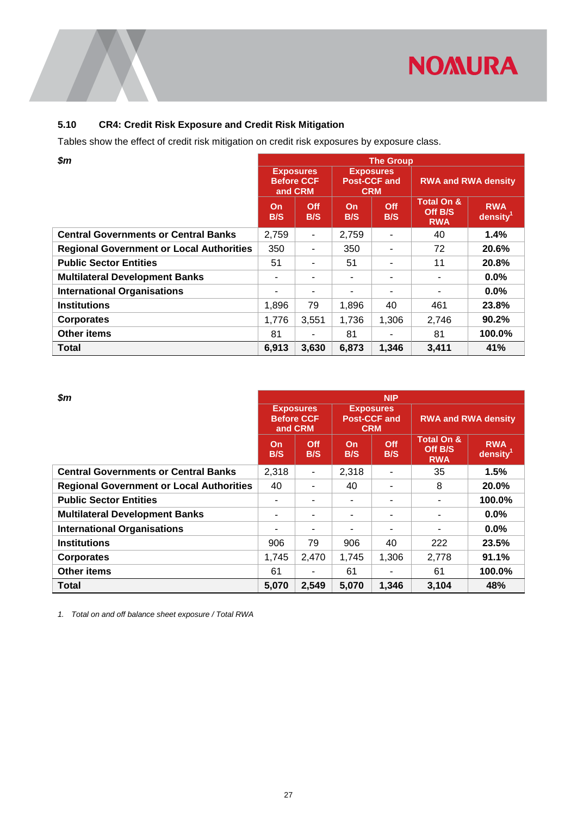![](_page_29_Picture_0.jpeg)

## <span id="page-29-0"></span>**5.10 CR4: Credit Risk Exposure and Credit Risk Mitigation**

Tables show the effect of credit risk mitigation on credit risk exposures by exposure class.

| \$m                                             |                                                  |            |                                   | <b>The Group</b> |                                                |                                    |  |
|-------------------------------------------------|--------------------------------------------------|------------|-----------------------------------|------------------|------------------------------------------------|------------------------------------|--|
|                                                 | <b>Exposures</b><br><b>Before CCF</b><br>and CRM |            | <b>Post-CCF and</b><br><b>CRM</b> | <b>Exposures</b> | <b>RWA and RWA density</b>                     |                                    |  |
|                                                 | <b>On</b><br>B/S                                 | Off<br>B/S | On<br>B/S                         | Off<br>B/S       | <b>Total On &amp;</b><br>Off B/S<br><b>RWA</b> | <b>RWA</b><br>density <sup>1</sup> |  |
| <b>Central Governments or Central Banks</b>     | 2,759                                            | ٠          | 2,759                             |                  | 40                                             | 1.4%                               |  |
| <b>Regional Government or Local Authorities</b> | 350                                              | ۰          | 350                               |                  | 72                                             | 20.6%                              |  |
| <b>Public Sector Entities</b>                   | 51                                               | ۰          | 51                                |                  | 11                                             | 20.8%                              |  |
| <b>Multilateral Development Banks</b>           | ۰                                                |            | ۰                                 |                  |                                                | $0.0\%$                            |  |
| <b>International Organisations</b>              | ۰                                                | -          | ٠                                 |                  |                                                | $0.0\%$                            |  |
| <b>Institutions</b>                             | 1,896                                            | 79         | 1,896                             | 40               | 461                                            | 23.8%                              |  |
| <b>Corporates</b>                               | 1,776                                            | 3,551      | 1,736                             | 1,306            | 2,746                                          | 90.2%                              |  |
| <b>Other items</b>                              | 81                                               | ٠          | 81                                | ۰                | 81                                             | 100.0%                             |  |
| <b>Total</b>                                    | 6,913                                            | 3,630      | 6,873                             | 1,346            | 3.411                                          | 41%                                |  |

| \$m                                             |           | <b>NIP</b>                                       |                                                       |            |                                                |                                    |  |  |  |  |  |
|-------------------------------------------------|-----------|--------------------------------------------------|-------------------------------------------------------|------------|------------------------------------------------|------------------------------------|--|--|--|--|--|
|                                                 |           | <b>Exposures</b><br><b>Before CCF</b><br>and CRM | <b>Exposures</b><br><b>Post-CCF and</b><br><b>CRM</b> |            | <b>RWA and RWA density</b>                     |                                    |  |  |  |  |  |
|                                                 | On<br>B/S | <b>Off</b><br>B/S                                | On<br>B/S                                             | Off<br>B/S | <b>Total On &amp;</b><br>Off B/S<br><b>RWA</b> | <b>RWA</b><br>density <sup>1</sup> |  |  |  |  |  |
| <b>Central Governments or Central Banks</b>     | 2,318     | ٠                                                | 2,318                                                 | ۰          | 35                                             | 1.5%                               |  |  |  |  |  |
| <b>Regional Government or Local Authorities</b> | 40        | $\overline{\phantom{0}}$                         | 40                                                    | ۰          | 8                                              | 20.0%                              |  |  |  |  |  |
| <b>Public Sector Entities</b>                   | ۰         | $\overline{\phantom{0}}$                         | ٠                                                     | ۰          |                                                | 100.0%                             |  |  |  |  |  |
| <b>Multilateral Development Banks</b>           |           |                                                  | ۰                                                     | ۰          |                                                | $0.0\%$                            |  |  |  |  |  |
| <b>International Organisations</b>              | ۰         | ٠                                                | ۰                                                     | ۰          | $\blacksquare$                                 | $0.0\%$                            |  |  |  |  |  |
| <b>Institutions</b>                             | 906       | 79                                               | 906                                                   | 40         | 222                                            | 23.5%                              |  |  |  |  |  |
| <b>Corporates</b>                               | 1,745     | 2,470                                            | 1,745                                                 | 1,306      | 2,778                                          | 91.1%                              |  |  |  |  |  |
| <b>Other items</b>                              | 61        | ٠                                                | 61                                                    | ٠          | 61                                             | 100.0%                             |  |  |  |  |  |
| <b>Total</b>                                    | 5,070     | 2,549                                            | 5,070                                                 | 1,346      | 3,104                                          | 48%                                |  |  |  |  |  |

*1. Total on and off balance sheet exposure / Total RWA*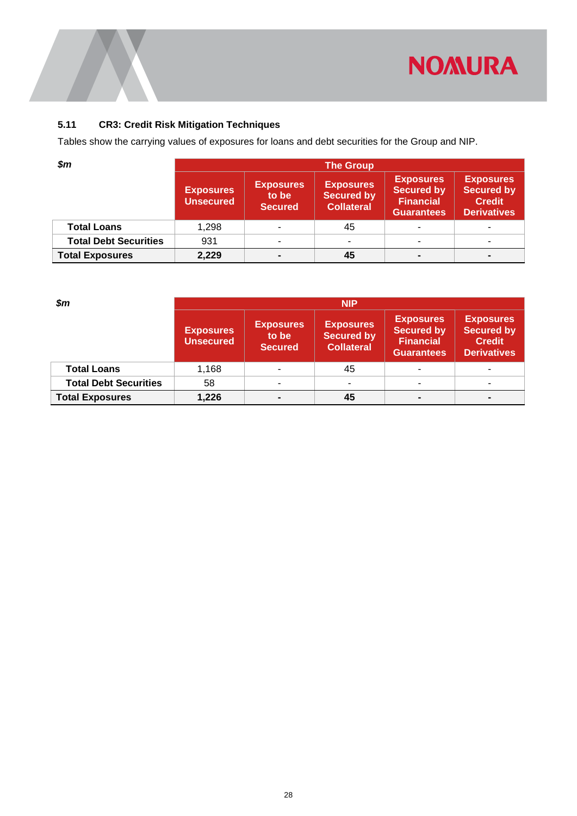![](_page_30_Picture_0.jpeg)

## <span id="page-30-0"></span>**5.11 CR3: Credit Risk Mitigation Techniques**

Tables show the carrying values of exposures for loans and debt securities for the Group and NIP.

| $\boldsymbol{\$m}$           | <b>The Group</b>                     |                                             |                                                            |                                                                                |                                                                              |
|------------------------------|--------------------------------------|---------------------------------------------|------------------------------------------------------------|--------------------------------------------------------------------------------|------------------------------------------------------------------------------|
|                              | <b>Exposures</b><br><b>Unsecured</b> | <b>Exposures</b><br>to be<br><b>Secured</b> | <b>Exposures</b><br><b>Secured by</b><br><b>Collateral</b> | <b>Exposures</b><br><b>Secured by</b><br><b>Financial</b><br><b>Guarantees</b> | <b>Exposures</b><br><b>Secured by</b><br><b>Credit</b><br><b>Derivatives</b> |
| <b>Total Loans</b>           | 1,298                                |                                             | 45                                                         |                                                                                |                                                                              |
| <b>Total Debt Securities</b> | 931                                  |                                             | -                                                          |                                                                                |                                                                              |
| <b>Total Exposures</b>       | 2,229                                |                                             | 45                                                         |                                                                                |                                                                              |

| $\mathsf{S}m$                | <b>NIP</b>                           |                                             |                                                            |                                                                                |                                                                              |  |
|------------------------------|--------------------------------------|---------------------------------------------|------------------------------------------------------------|--------------------------------------------------------------------------------|------------------------------------------------------------------------------|--|
|                              | <b>Exposures</b><br><b>Unsecured</b> | <b>Exposures</b><br>to be<br><b>Secured</b> | <b>Exposures</b><br><b>Secured by</b><br><b>Collateral</b> | <b>Exposures</b><br><b>Secured by</b><br><b>Financial</b><br><b>Guarantees</b> | <b>Exposures</b><br><b>Secured by</b><br><b>Credit</b><br><b>Derivatives</b> |  |
| <b>Total Loans</b>           | 1,168                                |                                             | 45                                                         |                                                                                |                                                                              |  |
| <b>Total Debt Securities</b> | 58                                   |                                             |                                                            |                                                                                |                                                                              |  |
| <b>Total Exposures</b>       | 1,226                                |                                             | 45                                                         |                                                                                |                                                                              |  |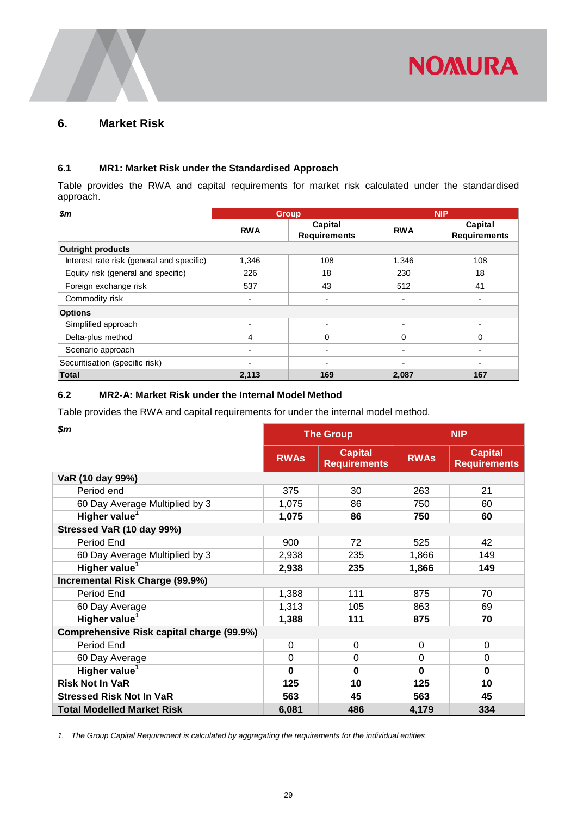![](_page_31_Picture_0.jpeg)

## <span id="page-31-0"></span>**6. Market Risk**

#### <span id="page-31-1"></span>**6.1 MR1: Market Risk under the Standardised Approach**

Table provides the RWA and capital requirements for market risk calculated under the standardised approach.

| $\boldsymbol{\mathsf{s}}\boldsymbol{m}$   |                          | <b>Group</b>                   |            | <b>NIP</b>                     |
|-------------------------------------------|--------------------------|--------------------------------|------------|--------------------------------|
|                                           | <b>RWA</b>               | Capital<br><b>Requirements</b> | <b>RWA</b> | Capital<br><b>Requirements</b> |
| <b>Outright products</b>                  |                          |                                |            |                                |
| Interest rate risk (general and specific) | 1,346                    | 108                            | 1,346      | 108                            |
| Equity risk (general and specific)        | 226                      | 18                             | 230        | 18                             |
| Foreign exchange risk                     | 537                      | 43                             | 512        | 41                             |
| Commodity risk                            | -                        | $\overline{\phantom{a}}$       | -          | $\overline{\phantom{a}}$       |
| <b>Options</b>                            |                          |                                |            |                                |
| Simplified approach                       | $\overline{\phantom{0}}$ |                                |            |                                |
| Delta-plus method                         | 4                        | 0                              | $\Omega$   | $\Omega$                       |
| Scenario approach                         |                          |                                |            | $\blacksquare$                 |
| Securitisation (specific risk)            | $\overline{\phantom{0}}$ |                                |            |                                |
| <b>Total</b>                              | 2,113                    | 169                            | 2,087      | 167                            |

#### <span id="page-31-2"></span>**6.2 MR2-A: Market Risk under the Internal Model Method**

Table provides the RWA and capital requirements for under the internal model method.

| \$m\$                                     | <b>The Group</b> |                                       | <b>NIP</b>  |                                       |
|-------------------------------------------|------------------|---------------------------------------|-------------|---------------------------------------|
|                                           | <b>RWAs</b>      | <b>Capital</b><br><b>Requirements</b> | <b>RWAs</b> | <b>Capital</b><br><b>Requirements</b> |
| VaR (10 day 99%)                          |                  |                                       |             |                                       |
| Period end                                | 375              | 30                                    | 263         | 21                                    |
| 60 Day Average Multiplied by 3            | 1,075            | 86                                    | 750         | 60                                    |
| Higher value <sup>1</sup>                 | 1,075            | 86                                    | 750         | 60                                    |
| Stressed VaR (10 day 99%)                 |                  |                                       |             |                                       |
| Period End                                | 900              | 72                                    | 525         | 42                                    |
| 60 Day Average Multiplied by 3            | 2,938            | 235                                   | 1,866       | 149                                   |
| Higher value <sup>1</sup>                 | 2,938            | 235                                   | 1,866       | 149                                   |
| Incremental Risk Charge (99.9%)           |                  |                                       |             |                                       |
| Period End                                | 1,388            | 111                                   | 875         | 70                                    |
| 60 Day Average                            | 1,313            | 105                                   | 863         | 69                                    |
| Higher value <sup>1</sup>                 | 1,388            | 111                                   | 875         | 70                                    |
| Comprehensive Risk capital charge (99.9%) |                  |                                       |             |                                       |
| Period End                                | $\mathbf 0$      | $\mathbf 0$                           | $\mathbf 0$ | $\mathbf 0$                           |
| 60 Day Average                            | 0                | 0                                     | $\Omega$    | $\overline{0}$                        |
| Higher value <sup>1</sup>                 | $\Omega$         | $\bf{0}$                              | $\mathbf 0$ | $\bf{0}$                              |
| <b>Risk Not In VaR</b>                    | 125              | 10                                    | 125         | 10                                    |
| <b>Stressed Risk Not In VaR</b>           | 563              | 45                                    | 563         | 45                                    |
| <b>Total Modelled Market Risk</b>         | 6,081            | 486                                   | 4,179       | 334                                   |

*1. The Group Capital Requirement is calculated by aggregating the requirements for the individual entities*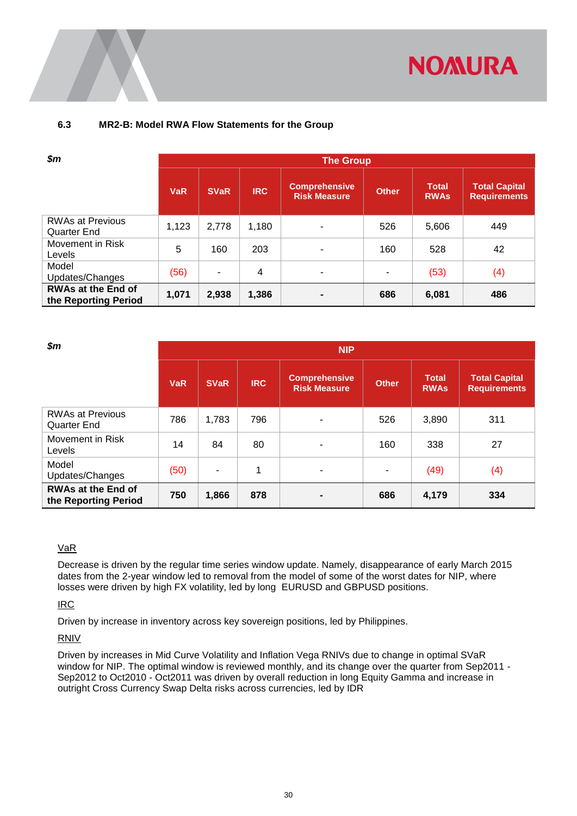![](_page_32_Picture_0.jpeg)

#### <span id="page-32-0"></span>**6.3 MR2-B: Model RWA Flow Statements for the Group**

| $\boldsymbol{\$m}$                                |            | <b>The Group</b> |            |                                             |              |                             |                                             |
|---------------------------------------------------|------------|------------------|------------|---------------------------------------------|--------------|-----------------------------|---------------------------------------------|
|                                                   | <b>VaR</b> | <b>SVaR</b>      | <b>IRC</b> | <b>Comprehensive</b><br><b>Risk Measure</b> | <b>Other</b> | <b>Total</b><br><b>RWAs</b> | <b>Total Capital</b><br><b>Requirements</b> |
| <b>RWAs at Previous</b><br>Quarter End            | 1,123      | 2,778            | 1,180      | ۰                                           | 526          | 5,606                       | 449                                         |
| Movement in Risk<br>Levels                        | 5          | 160              | 203        | $\blacksquare$                              | 160          | 528                         | 42                                          |
| Model<br>Updates/Changes                          | (56)       | ٠                | 4          | ٠                                           | ۰            | (53)                        | (4)                                         |
| <b>RWAs at the End of</b><br>the Reporting Period | 1,071      | 2,938            | 1,386      | $\blacksquare$                              | 686          | 6,081                       | 486                                         |

| $\boldsymbol{\$m}$                                |            | <b>NIP</b>  |            |                                             |              |                             |                                             |
|---------------------------------------------------|------------|-------------|------------|---------------------------------------------|--------------|-----------------------------|---------------------------------------------|
|                                                   | <b>VaR</b> | <b>SVaR</b> | <b>IRC</b> | <b>Comprehensive</b><br><b>Risk Measure</b> | <b>Other</b> | <b>Total</b><br><b>RWAs</b> | <b>Total Capital</b><br><b>Requirements</b> |
| <b>RWAs at Previous</b><br>Quarter End            | 786        | 1,783       | 796        | ٠                                           | 526          | 3,890                       | 311                                         |
| Movement in Risk<br>Levels                        | 14         | 84          | 80         | $\blacksquare$                              | 160          | 338                         | 27                                          |
| Model<br>Updates/Changes                          | (50)       | ۰           | 1          | ٠                                           | ٠            | (49)                        | (4)                                         |
| <b>RWAs at the End of</b><br>the Reporting Period | 750        | 1,866       | 878        |                                             | 686          | 4,179                       | 334                                         |

#### VaR

Decrease is driven by the regular time series window update. Namely, disappearance of early March 2015 dates from the 2-year window led to removal from the model of some of the worst dates for NIP, where losses were driven by high FX volatility, led by long EURUSD and GBPUSD positions.

IRC

Driven by increase in inventory across key sovereign positions, led by Philippines.

#### RNIV

Driven by increases in Mid Curve Volatility and Inflation Vega RNIVs due to change in optimal SVaR window for NIP. The optimal window is reviewed monthly, and its change over the quarter from Sep2011 - Sep2012 to Oct2010 - Oct2011 was driven by overall reduction in long Equity Gamma and increase in outright Cross Currency Swap Delta risks across currencies, led by IDR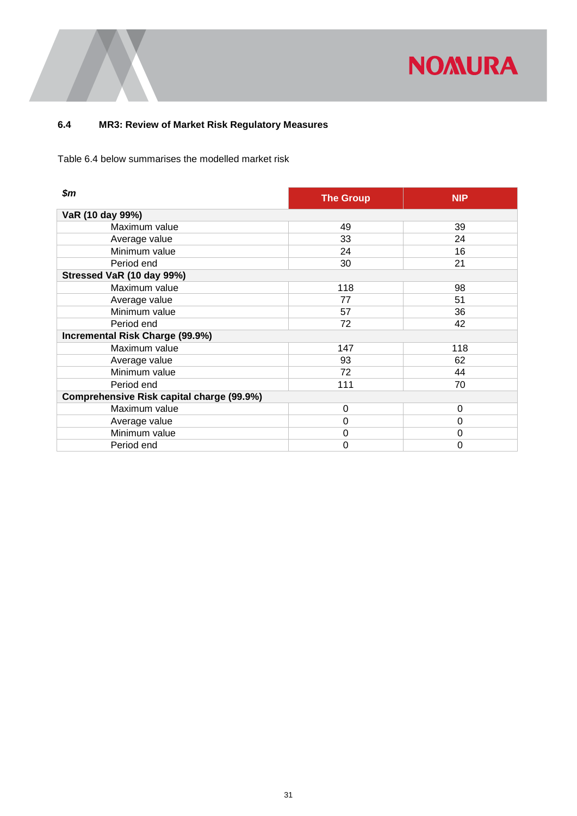![](_page_33_Picture_0.jpeg)

## <span id="page-33-0"></span>**6.4 MR3: Review of Market Risk Regulatory Measures**

Table 6.4 below summarises the modelled market risk

| \$m                                       | <b>The Group</b> | <b>NIP</b> |
|-------------------------------------------|------------------|------------|
| VaR (10 day 99%)                          |                  |            |
| Maximum value                             | 49               | 39         |
| Average value                             | 33               | 24         |
| Minimum value                             | 24               | 16         |
| Period end                                | 30               | 21         |
| Stressed VaR (10 day 99%)                 |                  |            |
| Maximum value                             | 118              | 98         |
| Average value                             | 77               | 51         |
| Minimum value                             | 57               | 36         |
| Period end                                | 72               | 42         |
| Incremental Risk Charge (99.9%)           |                  |            |
| Maximum value                             | 147              | 118        |
| Average value                             | 93               | 62         |
| Minimum value                             | 72               | 44         |
| Period end                                | 111              | 70         |
| Comprehensive Risk capital charge (99.9%) |                  |            |
| Maximum value                             | $\Omega$         | $\Omega$   |
| Average value                             | $\Omega$         | $\Omega$   |
| Minimum value                             | 0                | 0          |
| Period end                                | 0                | 0          |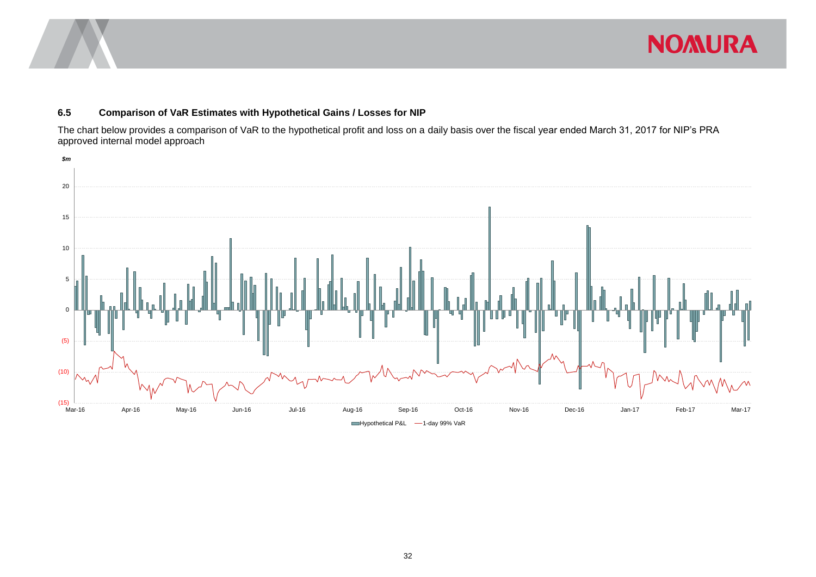![](_page_34_Picture_0.jpeg)

## **NOMURA**

#### **6.5 Comparison of VaR Estimates with Hypothetical Gains / Losses for NIP**

The chart below provides a comparison of VaR to the hypothetical profit and loss on a daily basis over the fiscal year ended March 31, 2017 for NIP's PRA approved internal model approach

<span id="page-34-0"></span>![](_page_34_Figure_4.jpeg)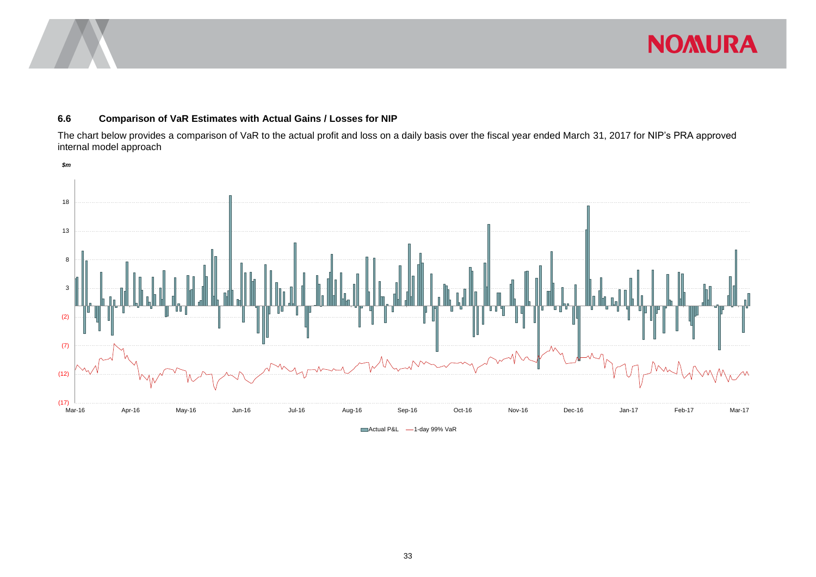![](_page_35_Picture_0.jpeg)

#### **6.6 Comparison of VaR Estimates with Actual Gains / Losses for NIP**

The chart below provides a comparison of VaR to the actual profit and loss on a daily basis over the fiscal year ended March 31, 2017 for NIP's PRA approved internal model approach

<span id="page-35-0"></span>![](_page_35_Figure_3.jpeg)

Actual P&L -1-day 99% VaR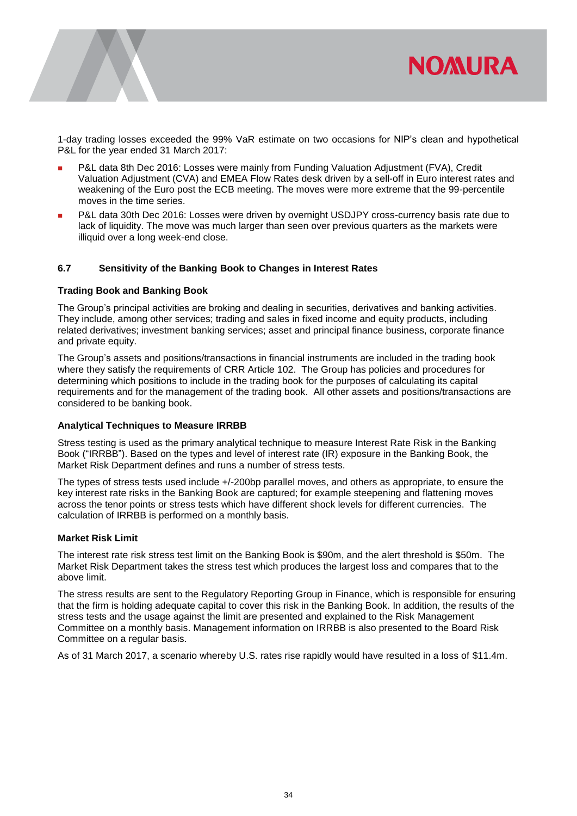![](_page_36_Picture_0.jpeg)

1-day trading losses exceeded the 99% VaR estimate on two occasions for NIP's clean and hypothetical P&L for the year ended 31 March 2017:

- P&L data 8th Dec 2016: Losses were mainly from Funding Valuation Adjustment (FVA), Credit Valuation Adjustment (CVA) and EMEA Flow Rates desk driven by a sell-off in Euro interest rates and weakening of the Euro post the ECB meeting. The moves were more extreme that the 99-percentile moves in the time series.
- P&L data 30th Dec 2016: Losses were driven by overnight USDJPY cross-currency basis rate due to lack of liquidity. The move was much larger than seen over previous quarters as the markets were illiquid over a long week-end close.

#### <span id="page-36-0"></span>**6.7 Sensitivity of the Banking Book to Changes in Interest Rates**

#### **Trading Book and Banking Book**

The Group's principal activities are broking and dealing in securities, derivatives and banking activities. They include, among other services; trading and sales in fixed income and equity products, including related derivatives; investment banking services; asset and principal finance business, corporate finance and private equity.

The Group's assets and positions/transactions in financial instruments are included in the trading book where they satisfy the requirements of CRR Article 102. The Group has policies and procedures for determining which positions to include in the trading book for the purposes of calculating its capital requirements and for the management of the trading book. All other assets and positions/transactions are considered to be banking book.

#### **Analytical Techniques to Measure IRRBB**

Stress testing is used as the primary analytical technique to measure Interest Rate Risk in the Banking Book ("IRRBB"). Based on the types and level of interest rate (IR) exposure in the Banking Book, the Market Risk Department defines and runs a number of stress tests.

The types of stress tests used include +/-200bp parallel moves, and others as appropriate, to ensure the key interest rate risks in the Banking Book are captured; for example steepening and flattening moves across the tenor points or stress tests which have different shock levels for different currencies. The calculation of IRRBB is performed on a monthly basis.

#### **Market Risk Limit**

The interest rate risk stress test limit on the Banking Book is \$90m, and the alert threshold is \$50m. The Market Risk Department takes the stress test which produces the largest loss and compares that to the above limit.

The stress results are sent to the Regulatory Reporting Group in Finance, which is responsible for ensuring that the firm is holding adequate capital to cover this risk in the Banking Book. In addition, the results of the stress tests and the usage against the limit are presented and explained to the Risk Management Committee on a monthly basis. Management information on IRRBB is also presented to the Board Risk Committee on a regular basis.

As of 31 March 2017, a scenario whereby U.S. rates rise rapidly would have resulted in a loss of \$11.4m.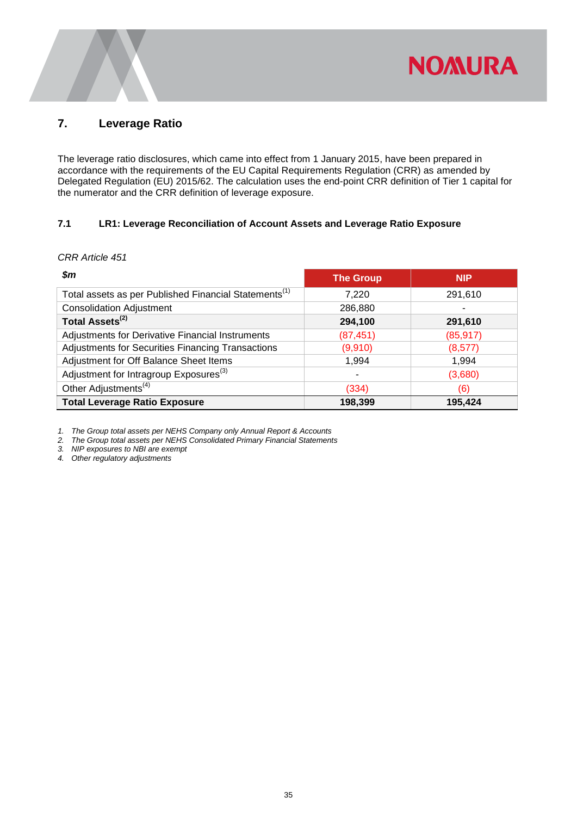### <span id="page-37-0"></span>**7. Leverage Ratio**

The leverage ratio disclosures, which came into effect from 1 January 2015, have been prepared in accordance with the requirements of the EU Capital Requirements Regulation (CRR) as amended by Delegated Regulation (EU) 2015/62. The calculation uses the end-point CRR definition of Tier 1 capital for the numerator and the CRR definition of leverage exposure.

**NOMURA** 

#### <span id="page-37-1"></span>**7.1 LR1: Leverage Reconciliation of Account Assets and Leverage Ratio Exposure**

#### *CRR Article 451*

| Sm                                                                | <b>The Group</b> | <b>NIP</b> |
|-------------------------------------------------------------------|------------------|------------|
| Total assets as per Published Financial Statements <sup>(1)</sup> | 7.220            | 291,610    |
| <b>Consolidation Adjustment</b>                                   | 286,880          |            |
| Total Assets <sup>(2)</sup>                                       | 294,100          | 291,610    |
| Adjustments for Derivative Financial Instruments                  | (87, 451)        | (85, 917)  |
| Adjustments for Securities Financing Transactions                 | (9,910)          | (8,577)    |
| Adjustment for Off Balance Sheet Items                            | 1,994            | 1,994      |
| Adjustment for Intragroup Exposures <sup>(3)</sup>                | ٠                | (3,680)    |
| Other Adjustments <sup>(4)</sup>                                  | (334)            | (6)        |
| <b>Total Leverage Ratio Exposure</b>                              | 198,399          | 195,424    |

*1. The Group total assets per NEHS Company only Annual Report & Accounts*

*2. The Group total assets per NEHS Consolidated Primary Financial Statements*

*3. NIP exposures to NBI are exempt*

*4. Other regulatory adjustments*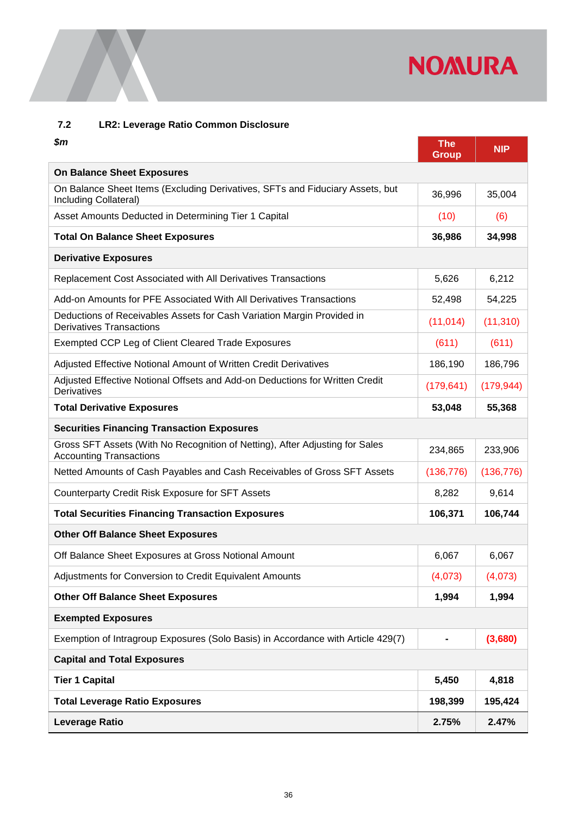# **NOMURA**

## <span id="page-38-0"></span>**7.2 LR2: Leverage Ratio Common Disclosure**

| $\boldsymbol{\$m}$                                                                                             | <b>The</b><br><b>Group</b> | <b>NIP</b> |
|----------------------------------------------------------------------------------------------------------------|----------------------------|------------|
| <b>On Balance Sheet Exposures</b>                                                                              |                            |            |
| On Balance Sheet Items (Excluding Derivatives, SFTs and Fiduciary Assets, but<br>Including Collateral)         | 36,996                     | 35,004     |
| Asset Amounts Deducted in Determining Tier 1 Capital                                                           | (10)                       | (6)        |
| <b>Total On Balance Sheet Exposures</b>                                                                        | 36,986                     | 34,998     |
| <b>Derivative Exposures</b>                                                                                    |                            |            |
| Replacement Cost Associated with All Derivatives Transactions                                                  | 5,626                      | 6,212      |
| Add-on Amounts for PFE Associated With All Derivatives Transactions                                            | 52,498                     | 54,225     |
| Deductions of Receivables Assets for Cash Variation Margin Provided in<br><b>Derivatives Transactions</b>      | (11, 014)                  | (11, 310)  |
| <b>Exempted CCP Leg of Client Cleared Trade Exposures</b>                                                      | (611)                      | (611)      |
| Adjusted Effective Notional Amount of Written Credit Derivatives                                               | 186,190                    | 186,796    |
| Adjusted Effective Notional Offsets and Add-on Deductions for Written Credit<br>Derivatives                    | (179, 641)                 | (179, 944) |
| <b>Total Derivative Exposures</b>                                                                              | 53,048                     | 55,368     |
| <b>Securities Financing Transaction Exposures</b>                                                              |                            |            |
| Gross SFT Assets (With No Recognition of Netting), After Adjusting for Sales<br><b>Accounting Transactions</b> | 234,865                    | 233,906    |
| Netted Amounts of Cash Payables and Cash Receivables of Gross SFT Assets                                       | (136, 776)                 | (136, 776) |
| Counterparty Credit Risk Exposure for SFT Assets                                                               | 8,282                      | 9,614      |
| <b>Total Securities Financing Transaction Exposures</b>                                                        | 106,371                    | 106,744    |
| <b>Other Off Balance Sheet Exposures</b>                                                                       |                            |            |
| Off Balance Sheet Exposures at Gross Notional Amount                                                           | 6,067                      | 6,067      |
| Adjustments for Conversion to Credit Equivalent Amounts                                                        | (4,073)                    | (4,073)    |
| <b>Other Off Balance Sheet Exposures</b>                                                                       | 1,994                      | 1,994      |
| <b>Exempted Exposures</b>                                                                                      |                            |            |
| Exemption of Intragroup Exposures (Solo Basis) in Accordance with Article 429(7)                               |                            | (3,680)    |
| <b>Capital and Total Exposures</b>                                                                             |                            |            |
| <b>Tier 1 Capital</b>                                                                                          | 5,450                      | 4,818      |
| <b>Total Leverage Ratio Exposures</b>                                                                          | 198,399                    | 195,424    |
| <b>Leverage Ratio</b>                                                                                          | 2.75%                      | 2.47%      |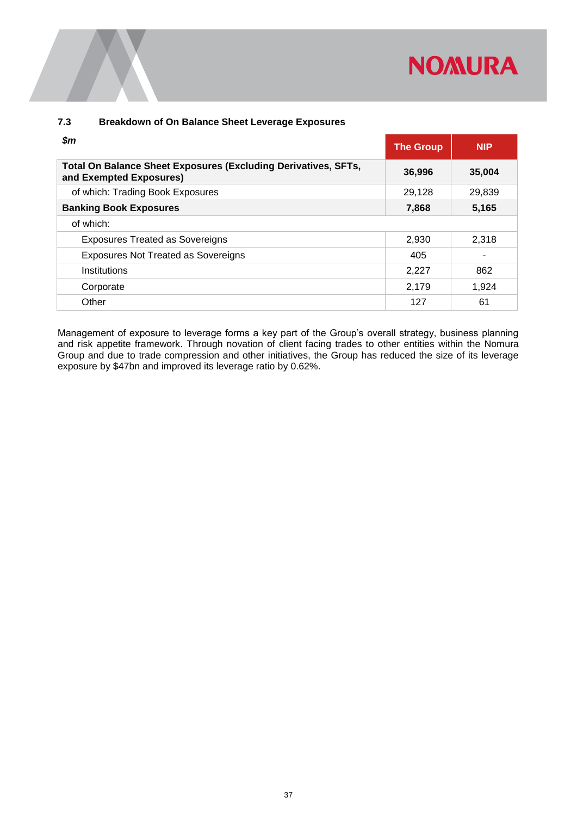# **NOMURA**

#### <span id="page-39-0"></span>**7.3 Breakdown of On Balance Sheet Leverage Exposures**

| \$m                                                                                       | <b>The Group</b> | <b>NIP</b> |
|-------------------------------------------------------------------------------------------|------------------|------------|
| Total On Balance Sheet Exposures (Excluding Derivatives, SFTs,<br>and Exempted Exposures) | 36,996           | 35,004     |
| of which: Trading Book Exposures                                                          | 29,128           | 29,839     |
| <b>Banking Book Exposures</b>                                                             | 7,868            | 5,165      |
| of which:                                                                                 |                  |            |
| <b>Exposures Treated as Sovereigns</b>                                                    | 2,930            | 2,318      |
| Exposures Not Treated as Sovereigns                                                       | 405              |            |
| Institutions                                                                              | 2,227            | 862        |
| Corporate                                                                                 | 2,179            | 1,924      |
| Other                                                                                     | 127              | 61         |

Management of exposure to leverage forms a key part of the Group's overall strategy, business planning and risk appetite framework. Through novation of client facing trades to other entities within the Nomura Group and due to trade compression and other initiatives, the Group has reduced the size of its leverage exposure by \$47bn and improved its leverage ratio by 0.62%.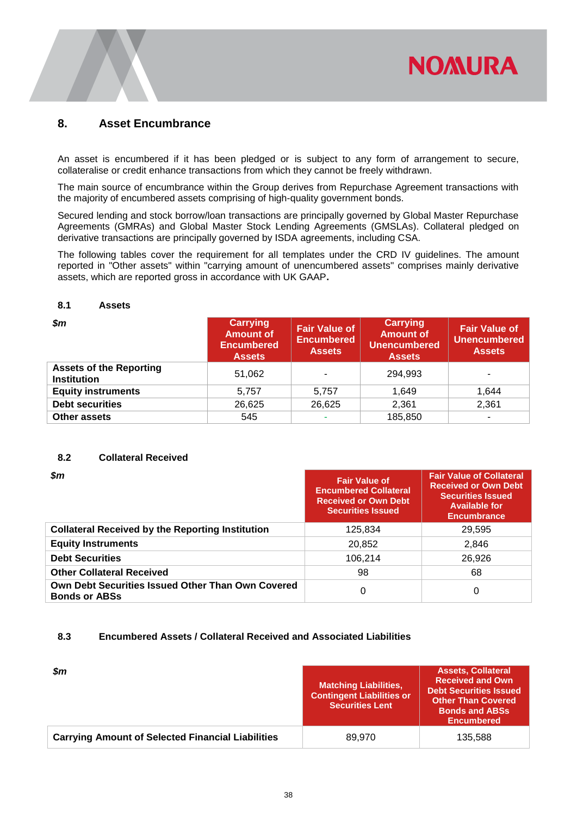![](_page_40_Picture_0.jpeg)

#### <span id="page-40-0"></span>**8. Asset Encumbrance**

An asset is encumbered if it has been pledged or is subject to any form of arrangement to secure, collateralise or credit enhance transactions from which they cannot be freely withdrawn.

The main source of encumbrance within the Group derives from Repurchase Agreement transactions with the majority of encumbered assets comprising of high-quality government bonds.

Secured lending and stock borrow/loan transactions are principally governed by Global Master Repurchase Agreements (GMRAs) and Global Master Stock Lending Agreements (GMSLAs). Collateral pledged on derivative transactions are principally governed by ISDA agreements, including CSA.

The following tables cover the requirement for all templates under the CRD IV guidelines. The amount reported in "Other assets" within "carrying amount of unencumbered assets" comprises mainly derivative assets, which are reported gross in accordance with UK GAAP**.**

#### <span id="page-40-1"></span>**8.1 Assets**

| $\boldsymbol{\$m}$                                   | <b>Carrying</b><br><b>Amount of</b><br><b>Encumbered</b><br><b>Assets</b> | <b>Fair Value of</b><br><b>Encumbered</b><br><b>Assets</b> | <b>Carrying</b><br><b>Amount of</b><br>Unencumbered<br><b>Assets</b> | <b>Fair Value of</b><br><b>Unencumbered</b><br><b>Assets</b> |
|------------------------------------------------------|---------------------------------------------------------------------------|------------------------------------------------------------|----------------------------------------------------------------------|--------------------------------------------------------------|
| <b>Assets of the Reporting</b><br><b>Institution</b> | 51,062                                                                    |                                                            | 294,993                                                              | ۰                                                            |
| <b>Equity instruments</b>                            | 5.757                                                                     | 5.757                                                      | 1,649                                                                | 1.644                                                        |
| <b>Debt securities</b>                               | 26,625                                                                    | 26,625                                                     | 2,361                                                                | 2,361                                                        |
| <b>Other assets</b>                                  | 545                                                                       |                                                            | 185,850                                                              | ۰                                                            |

#### <span id="page-40-2"></span>**8.2 Collateral Received**

| $\boldsymbol{\$m}$                                                        | <b>Fair Value of</b><br><b>Encumbered Collateral</b><br><b>Received or Own Debt</b><br><b>Securities Issued</b> | <b>Fair Value of Collateral</b><br><b>Received or Own Debt</b><br><b>Securities Issued</b><br><b>Available for</b><br><b>Encumbrance</b> |
|---------------------------------------------------------------------------|-----------------------------------------------------------------------------------------------------------------|------------------------------------------------------------------------------------------------------------------------------------------|
| <b>Collateral Received by the Reporting Institution</b>                   | 125,834                                                                                                         | 29.595                                                                                                                                   |
| <b>Equity Instruments</b>                                                 | 20,852                                                                                                          | 2,846                                                                                                                                    |
| <b>Debt Securities</b>                                                    | 106.214                                                                                                         | 26,926                                                                                                                                   |
| <b>Other Collateral Received</b>                                          | 98                                                                                                              | 68                                                                                                                                       |
| Own Debt Securities Issued Other Than Own Covered<br><b>Bonds or ABSs</b> | 0                                                                                                               | 0                                                                                                                                        |

#### <span id="page-40-3"></span>**8.3 Encumbered Assets / Collateral Received and Associated Liabilities**

| $\mathsf{S}m$                                            | Matching Liabilities, '<br><b>Contingent Liabilities or</b><br><b>Securities Lent</b> | <b>Assets, Collateral</b><br><b>Received and Own</b><br><b>Debt Securities Issued</b><br><b>Other Than Covered</b><br><b>Bonds and ABSs</b><br><b>Encumbered</b> |
|----------------------------------------------------------|---------------------------------------------------------------------------------------|------------------------------------------------------------------------------------------------------------------------------------------------------------------|
| <b>Carrying Amount of Selected Financial Liabilities</b> | 89.970                                                                                | 135,588                                                                                                                                                          |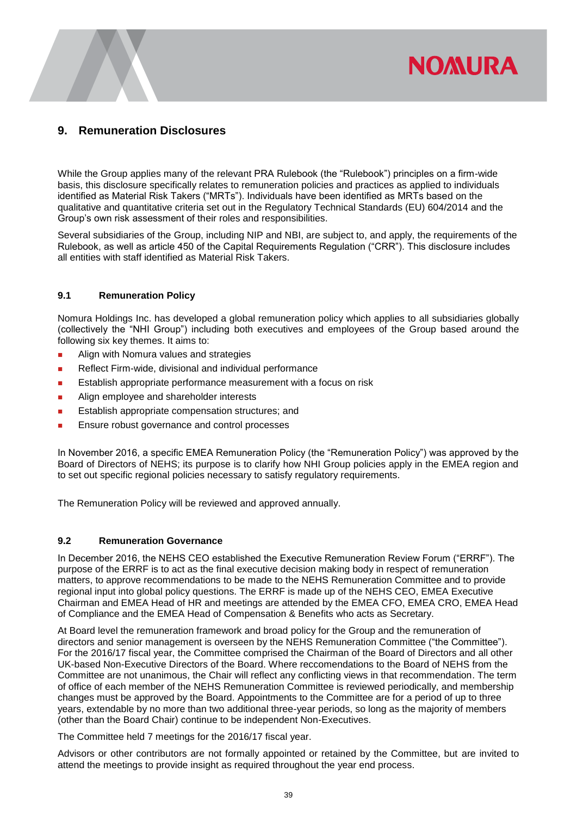## <span id="page-41-0"></span>**9. Remuneration Disclosures**

While the Group applies many of the relevant PRA Rulebook (the "Rulebook") principles on a firm-wide basis, this disclosure specifically relates to remuneration policies and practices as applied to individuals identified as Material Risk Takers ("MRTs"). Individuals have been identified as MRTs based on the qualitative and quantitative criteria set out in the Regulatory Technical Standards (EU) 604/2014 and the Group's own risk assessment of their roles and responsibilities.

**NOMURA** 

Several subsidiaries of the Group, including NIP and NBI, are subject to, and apply, the requirements of the Rulebook, as well as article 450 of the Capital Requirements Regulation ("CRR"). This disclosure includes all entities with staff identified as Material Risk Takers.

#### <span id="page-41-1"></span>**9.1 Remuneration Policy**

Nomura Holdings Inc. has developed a global remuneration policy which applies to all subsidiaries globally (collectively the "NHI Group") including both executives and employees of the Group based around the following six key themes. It aims to:

- **Align with Nomura values and strategies**
- Reflect Firm-wide, divisional and individual performance
- **Establish appropriate performance measurement with a focus on risk**
- **Align employee and shareholder interests**
- Establish appropriate compensation structures; and
- Ensure robust governance and control processes

In November 2016, a specific EMEA Remuneration Policy (the "Remuneration Policy") was approved by the Board of Directors of NEHS; its purpose is to clarify how NHI Group policies apply in the EMEA region and to set out specific regional policies necessary to satisfy regulatory requirements.

<span id="page-41-2"></span>The Remuneration Policy will be reviewed and approved annually.

#### **9.2 Remuneration Governance**

In December 2016, the NEHS CEO established the Executive Remuneration Review Forum ("ERRF"). The purpose of the ERRF is to act as the final executive decision making body in respect of remuneration matters, to approve recommendations to be made to the NEHS Remuneration Committee and to provide regional input into global policy questions. The ERRF is made up of the NEHS CEO, EMEA Executive Chairman and EMEA Head of HR and meetings are attended by the EMEA CFO, EMEA CRO, EMEA Head of Compliance and the EMEA Head of Compensation & Benefits who acts as Secretary.

At Board level the remuneration framework and broad policy for the Group and the remuneration of directors and senior management is overseen by the NEHS Remuneration Committee ("the Committee"). For the 2016/17 fiscal year, the Committee comprised the Chairman of the Board of Directors and all other UK-based Non-Executive Directors of the Board. Where reccomendations to the Board of NEHS from the Committee are not unanimous, the Chair will reflect any conflicting views in that recommendation. The term of office of each member of the NEHS Remuneration Committee is reviewed periodically, and membership changes must be approved by the Board. Appointments to the Committee are for a period of up to three years, extendable by no more than two additional three-year periods, so long as the majority of members (other than the Board Chair) continue to be independent Non-Executives.

The Committee held 7 meetings for the 2016/17 fiscal year.

Advisors or other contributors are not formally appointed or retained by the Committee, but are invited to attend the meetings to provide insight as required throughout the year end process.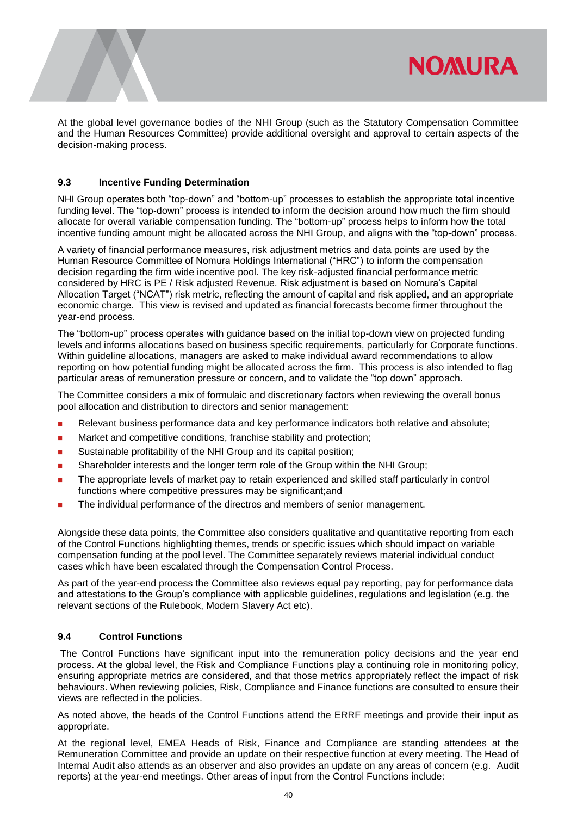![](_page_42_Picture_0.jpeg)

At the global level governance bodies of the NHI Group (such as the Statutory Compensation Committee and the Human Resources Committee) provide additional oversight and approval to certain aspects of the decision-making process.

#### <span id="page-42-0"></span>**9.3 Incentive Funding Determination**

NHI Group operates both "top-down" and "bottom-up" processes to establish the appropriate total incentive funding level. The "top-down" process is intended to inform the decision around how much the firm should allocate for overall variable compensation funding. The "bottom-up" process helps to inform how the total incentive funding amount might be allocated across the NHI Group, and aligns with the "top-down" process.

A variety of financial performance measures, risk adjustment metrics and data points are used by the Human Resource Committee of Nomura Holdings International ("HRC") to inform the compensation decision regarding the firm wide incentive pool. The key risk-adjusted financial performance metric considered by HRC is PE / Risk adjusted Revenue. Risk adjustment is based on Nomura's Capital Allocation Target ("NCAT") risk metric, reflecting the amount of capital and risk applied, and an appropriate economic charge. This view is revised and updated as financial forecasts become firmer throughout the year-end process.

The "bottom-up" process operates with guidance based on the initial top-down view on projected funding levels and informs allocations based on business specific requirements, particularly for Corporate functions. Within guideline allocations, managers are asked to make individual award recommendations to allow reporting on how potential funding might be allocated across the firm. This process is also intended to flag particular areas of remuneration pressure or concern, and to validate the "top down" approach.

The Committee considers a mix of formulaic and discretionary factors when reviewing the overall bonus pool allocation and distribution to directors and senior management:

- Relevant business performance data and key performance indicators both relative and absolute;
- Market and competitive conditions, franchise stability and protection;
- Sustainable profitability of the NHI Group and its capital position;
- **Shareholder interests and the longer term role of the Group within the NHI Group:**
- The appropriate levels of market pay to retain experienced and skilled staff particularly in control functions where competitive pressures may be significant;and
- **The individual performance of the directros and members of senior management.**

Alongside these data points, the Committee also considers qualitative and quantitative reporting from each of the Control Functions highlighting themes, trends or specific issues which should impact on variable compensation funding at the pool level. The Committee separately reviews material individual conduct cases which have been escalated through the Compensation Control Process.

As part of the year-end process the Committee also reviews equal pay reporting, pay for performance data and attestations to the Group's compliance with applicable guidelines, regulations and legislation (e.g. the relevant sections of the Rulebook, Modern Slavery Act etc).

#### <span id="page-42-1"></span>**9.4 Control Functions**

The Control Functions have significant input into the remuneration policy decisions and the year end process. At the global level, the Risk and Compliance Functions play a continuing role in monitoring policy, ensuring appropriate metrics are considered, and that those metrics appropriately reflect the impact of risk behaviours. When reviewing policies, Risk, Compliance and Finance functions are consulted to ensure their views are reflected in the policies.

As noted above, the heads of the Control Functions attend the ERRF meetings and provide their input as appropriate.

At the regional level, EMEA Heads of Risk, Finance and Compliance are standing attendees at the Remuneration Committee and provide an update on their respective function at every meeting. The Head of Internal Audit also attends as an observer and also provides an update on any areas of concern (e.g. Audit reports) at the year-end meetings. Other areas of input from the Control Functions include: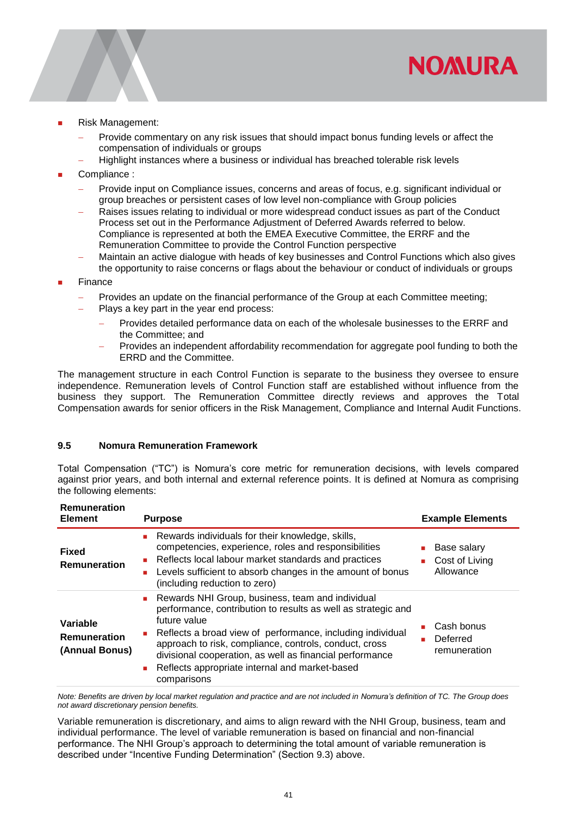![](_page_43_Picture_0.jpeg)

- Risk Management:
	- Provide commentary on any risk issues that should impact bonus funding levels or affect the compensation of individuals or groups
	- Highlight instances where a business or individual has breached tolerable risk levels
- Compliance :
	- Provide input on Compliance issues, concerns and areas of focus, e.g. significant individual or group breaches or persistent cases of low level non-compliance with Group policies
	- Raises issues relating to individual or more widespread conduct issues as part of the Conduct Process set out in the Performance Adjustment of Deferred Awards referred to below. Compliance is represented at both the EMEA Executive Committee, the ERRF and the Remuneration Committee to provide the Control Function perspective
	- Maintain an active dialogue with heads of key businesses and Control Functions which also gives the opportunity to raise concerns or flags about the behaviour or conduct of individuals or groups
- Finance
	- Provides an update on the financial performance of the Group at each Committee meeting;
	- Plays a key part in the year end process:
		- Provides detailed performance data on each of the wholesale businesses to the ERRF and the Committee; and
		- Provides an independent affordability recommendation for aggregate pool funding to both the ERRD and the Committee.

The management structure in each Control Function is separate to the business they oversee to ensure independence. Remuneration levels of Control Function staff are established without influence from the business they support. The Remuneration Committee directly reviews and approves the Total Compensation awards for senior officers in the Risk Management, Compliance and Internal Audit Functions.

#### <span id="page-43-0"></span>**9.5 Nomura Remuneration Framework**

Total Compensation ("TC") is Nomura's core metric for remuneration decisions, with levels compared against prior years, and both internal and external reference points. It is defined at Nomura as comprising the following elements:

| <b>Remuneration</b><br><b>Element</b>             | <b>Purpose</b>                                                                                                                                                                                                                                                                                                                                                                         | <b>Example Elements</b>                    |
|---------------------------------------------------|----------------------------------------------------------------------------------------------------------------------------------------------------------------------------------------------------------------------------------------------------------------------------------------------------------------------------------------------------------------------------------------|--------------------------------------------|
| <b>Fixed</b><br><b>Remuneration</b>               | Rewards individuals for their knowledge, skills,<br>competencies, experience, roles and responsibilities<br>Reflects local labour market standards and practices<br>Levels sufficient to absorb changes in the amount of bonus<br>(including reduction to zero)                                                                                                                        | Base salary<br>Cost of Living<br>Allowance |
| Variable<br><b>Remuneration</b><br>(Annual Bonus) | Rewards NHI Group, business, team and individual<br>performance, contribution to results as well as strategic and<br>future value<br>Reflects a broad view of performance, including individual<br>approach to risk, compliance, controls, conduct, cross<br>divisional cooperation, as well as financial performance<br>Reflects appropriate internal and market-based<br>comparisons | Cash bonus<br>Deferred<br>remuneration     |

*Note: Benefits are driven by local market regulation and practice and are not included in Nomura's definition of TC. The Group does not award discretionary pension benefits.* 

Variable remuneration is discretionary, and aims to align reward with the NHI Group, business, team and individual performance. The level of variable remuneration is based on financial and non-financial performance. The NHI Group's approach to determining the total amount of variable remuneration is described under "Incentive Funding Determination" (Section 9.3) above.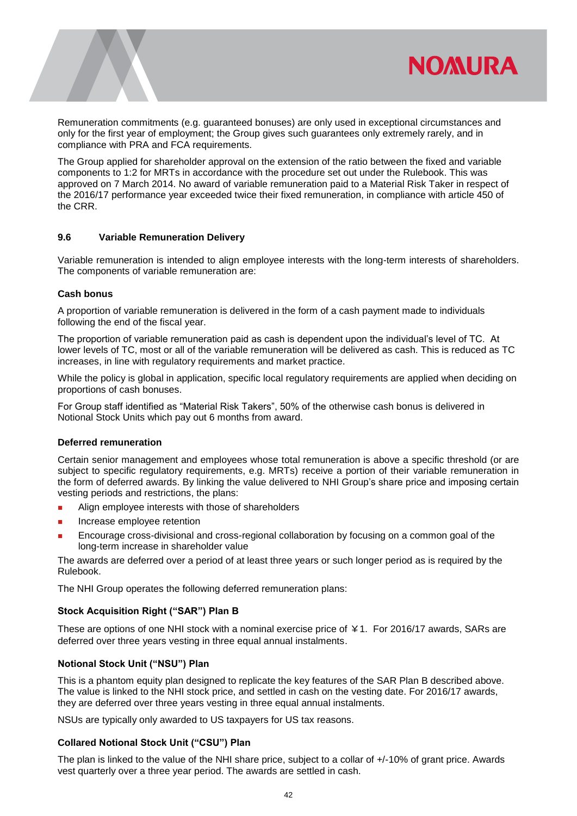![](_page_44_Picture_0.jpeg)

Remuneration commitments (e.g. guaranteed bonuses) are only used in exceptional circumstances and only for the first year of employment; the Group gives such guarantees only extremely rarely, and in compliance with PRA and FCA requirements.

The Group applied for shareholder approval on the extension of the ratio between the fixed and variable components to 1:2 for MRTs in accordance with the procedure set out under the Rulebook. This was approved on 7 March 2014. No award of variable remuneration paid to a Material Risk Taker in respect of the 2016/17 performance year exceeded twice their fixed remuneration, in compliance with article 450 of the CRR.

#### <span id="page-44-0"></span>**9.6 Variable Remuneration Delivery**

Variable remuneration is intended to align employee interests with the long-term interests of shareholders. The components of variable remuneration are:

#### **Cash bonus**

A proportion of variable remuneration is delivered in the form of a cash payment made to individuals following the end of the fiscal year.

The proportion of variable remuneration paid as cash is dependent upon the individual's level of TC. At lower levels of TC, most or all of the variable remuneration will be delivered as cash. This is reduced as TC increases, in line with regulatory requirements and market practice.

While the policy is global in application, specific local regulatory requirements are applied when deciding on proportions of cash bonuses.

For Group staff identified as "Material Risk Takers", 50% of the otherwise cash bonus is delivered in Notional Stock Units which pay out 6 months from award.

#### **Deferred remuneration**

Certain senior management and employees whose total remuneration is above a specific threshold (or are subject to specific regulatory requirements, e.g. MRTs) receive a portion of their variable remuneration in the form of deferred awards. By linking the value delivered to NHI Group's share price and imposing certain vesting periods and restrictions, the plans:

- **Align employee interests with those of shareholders**
- Increase employee retention
- Encourage cross-divisional and cross-regional collaboration by focusing on a common goal of the long-term increase in shareholder value

The awards are deferred over a period of at least three years or such longer period as is required by the Rulebook.

The NHI Group operates the following deferred remuneration plans:

#### **Stock Acquisition Right ("SAR") Plan B**

These are options of one NHI stock with a nominal exercise price of ¥1. For 2016/17 awards, SARs are deferred over three years vesting in three equal annual instalments.

#### **Notional Stock Unit ("NSU") Plan**

This is a phantom equity plan designed to replicate the key features of the SAR Plan B described above. The value is linked to the NHI stock price, and settled in cash on the vesting date. For 2016/17 awards, they are deferred over three years vesting in three equal annual instalments.

NSUs are typically only awarded to US taxpayers for US tax reasons.

#### **Collared Notional Stock Unit ("CSU") Plan**

The plan is linked to the value of the NHI share price, subject to a collar of +/-10% of grant price. Awards vest quarterly over a three year period. The awards are settled in cash.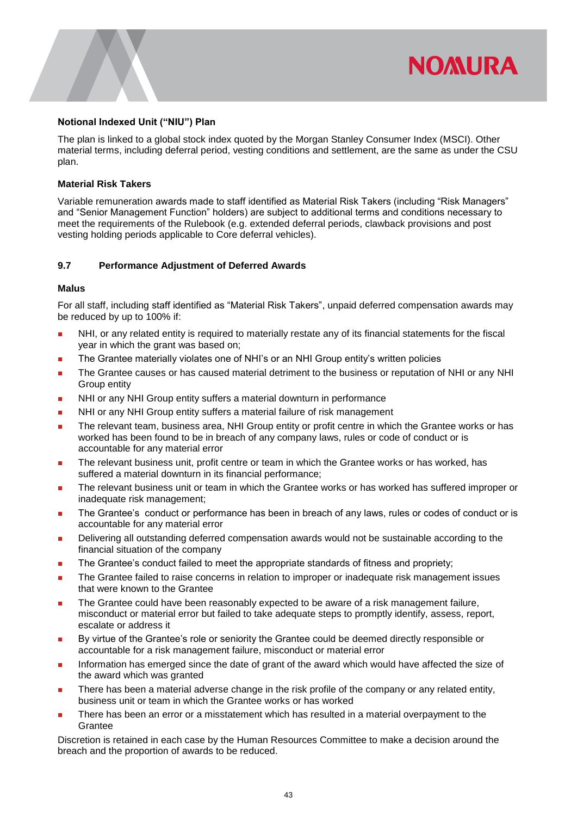#### **Notional Indexed Unit ("NIU") Plan**

The plan is linked to a global stock index quoted by the Morgan Stanley Consumer Index (MSCI). Other material terms, including deferral period, vesting conditions and settlement, are the same as under the CSU plan.

**NOMURA** 

#### **Material Risk Takers**

Variable remuneration awards made to staff identified as Material Risk Takers (including "Risk Managers" and "Senior Management Function" holders) are subject to additional terms and conditions necessary to meet the requirements of the Rulebook (e.g. extended deferral periods, clawback provisions and post vesting holding periods applicable to Core deferral vehicles).

#### <span id="page-45-0"></span>**9.7 Performance Adjustment of Deferred Awards**

#### **Malus**

For all staff, including staff identified as "Material Risk Takers", unpaid deferred compensation awards may be reduced by up to 100% if:

- NHI, or any related entity is required to materially restate any of its financial statements for the fiscal year in which the grant was based on;
- The Grantee materially violates one of NHI's or an NHI Group entity's written policies
- The Grantee causes or has caused material detriment to the business or reputation of NHI or any NHI Group entity
- **NHI or any NHI Group entity suffers a material downturn in performance**
- NHI or any NHI Group entity suffers a material failure of risk management
- The relevant team, business area, NHI Group entity or profit centre in which the Grantee works or has worked has been found to be in breach of any company laws, rules or code of conduct or is accountable for any material error
- The relevant business unit, profit centre or team in which the Grantee works or has worked, has suffered a material downturn in its financial performance;
- The relevant business unit or team in which the Grantee works or has worked has suffered improper or inadequate risk management;
- The Grantee's conduct or performance has been in breach of any laws, rules or codes of conduct or is accountable for any material error
- Delivering all outstanding deferred compensation awards would not be sustainable according to the financial situation of the company
- The Grantee's conduct failed to meet the appropriate standards of fitness and propriety;
- The Grantee failed to raise concerns in relation to improper or inadequate risk management issues that were known to the Grantee
- **The Grantee could have been reasonably expected to be aware of a risk management failure,** misconduct or material error but failed to take adequate steps to promptly identify, assess, report, escalate or address it
- By virtue of the Grantee's role or seniority the Grantee could be deemed directly responsible or accountable for a risk management failure, misconduct or material error
- Information has emerged since the date of grant of the award which would have affected the size of the award which was granted
- There has been a material adverse change in the risk profile of the company or any related entity, business unit or team in which the Grantee works or has worked
- There has been an error or a misstatement which has resulted in a material overpayment to the **Grantee**

Discretion is retained in each case by the Human Resources Committee to make a decision around the breach and the proportion of awards to be reduced.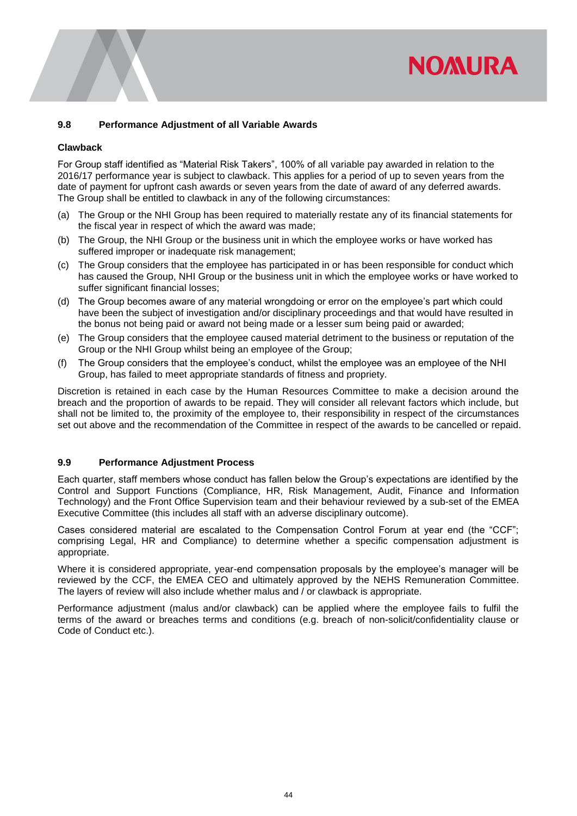## **NOMURA**

#### <span id="page-46-0"></span>**9.8 Performance Adjustment of all Variable Awards**

#### **Clawback**

For Group staff identified as "Material Risk Takers", 100% of all variable pay awarded in relation to the 2016/17 performance year is subject to clawback. This applies for a period of up to seven years from the date of payment for upfront cash awards or seven years from the date of award of any deferred awards. The Group shall be entitled to clawback in any of the following circumstances:

- (a) The Group or the NHI Group has been required to materially restate any of its financial statements for the fiscal year in respect of which the award was made;
- (b) The Group, the NHI Group or the business unit in which the employee works or have worked has suffered improper or inadequate risk management:
- (c) The Group considers that the employee has participated in or has been responsible for conduct which has caused the Group, NHI Group or the business unit in which the employee works or have worked to suffer significant financial losses;
- (d) The Group becomes aware of any material wrongdoing or error on the employee's part which could have been the subject of investigation and/or disciplinary proceedings and that would have resulted in the bonus not being paid or award not being made or a lesser sum being paid or awarded;
- (e) The Group considers that the employee caused material detriment to the business or reputation of the Group or the NHI Group whilst being an employee of the Group;
- (f) The Group considers that the employee's conduct, whilst the employee was an employee of the NHI Group, has failed to meet appropriate standards of fitness and propriety.

Discretion is retained in each case by the Human Resources Committee to make a decision around the breach and the proportion of awards to be repaid. They will consider all relevant factors which include, but shall not be limited to, the proximity of the employee to, their responsibility in respect of the circumstances set out above and the recommendation of the Committee in respect of the awards to be cancelled or repaid.

#### <span id="page-46-1"></span>**9.9 Performance Adjustment Process**

Each quarter, staff members whose conduct has fallen below the Group's expectations are identified by the Control and Support Functions (Compliance, HR, Risk Management, Audit, Finance and Information Technology) and the Front Office Supervision team and their behaviour reviewed by a sub-set of the EMEA Executive Committee (this includes all staff with an adverse disciplinary outcome).

Cases considered material are escalated to the Compensation Control Forum at year end (the "CCF"; comprising Legal, HR and Compliance) to determine whether a specific compensation adjustment is appropriate.

Where it is considered appropriate, year-end compensation proposals by the employee's manager will be reviewed by the CCF, the EMEA CEO and ultimately approved by the NEHS Remuneration Committee. The layers of review will also include whether malus and / or clawback is appropriate.

Performance adjustment (malus and/or clawback) can be applied where the employee fails to fulfil the terms of the award or breaches terms and conditions (e.g. breach of non-solicit/confidentiality clause or Code of Conduct etc.).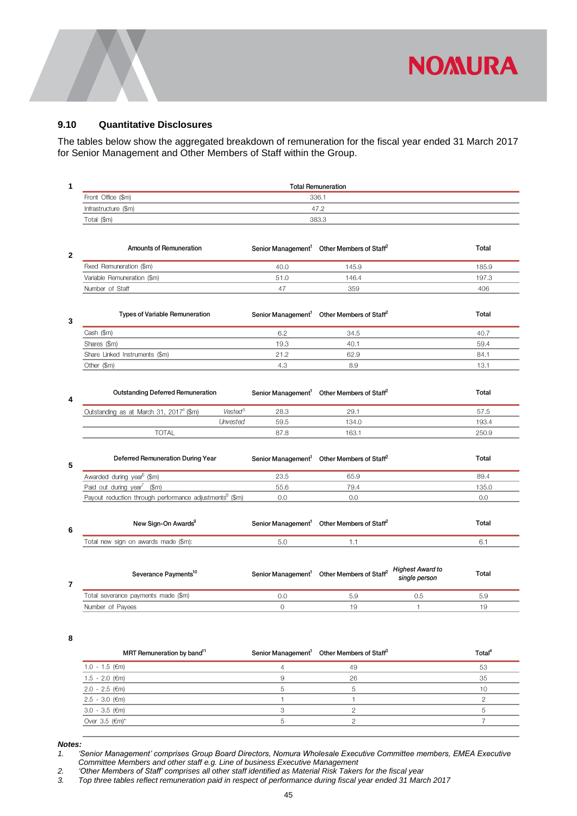![](_page_47_Picture_0.jpeg)

#### <span id="page-47-0"></span>**9.10 Quantitative Disclosures**

The tables below show the aggregated breakdown of remuneration for the fiscal year ended 31 March 2017 for Senior Management and Other Members of Staff within the Group.

|                      | <b>Total Remuneration</b> |  |
|----------------------|---------------------------|--|
| Front Office (\$m)   | 336.1                     |  |
| Infrastructure (\$m) | 47.2                      |  |
| Total (\$m)          | 383.3                     |  |
|                      |                           |  |

| 2 | Amounts of Remuneration     | Senior Management <sup>1</sup> Other Members of Staff <sup>2</sup> |       | Total |
|---|-----------------------------|--------------------------------------------------------------------|-------|-------|
|   | Fixed Remuneration (\$m)    | 40.0                                                               | 145.9 | 185.9 |
|   | Variable Remuneration (\$m) | 51.0                                                               | 146.4 | 197.3 |
|   | Number of Staff             |                                                                    | 359   | 406   |

| 3 | <b>Types of Variable Remuneration</b> | Senior Management <sup>1</sup> Other Members of Staff <sup>2</sup> |      | Total |
|---|---------------------------------------|--------------------------------------------------------------------|------|-------|
|   | Cash (\$m)                            |                                                                    | 34.5 | 40.7  |
|   | Shares (\$m)                          | 19.3                                                               | 40.  | 59.4  |
|   | Share Linked Instruments (\$m)        | 21.2                                                               | 62.9 | 84.1  |
|   | Other (\$m)                           |                                                                    | 8.S  | 13.   |

| 4 | Outstanding Deferred Remuneration                   |                     |      | Senior Management <sup>1</sup> Other Members of Staff <sup>2</sup> | Total |
|---|-----------------------------------------------------|---------------------|------|--------------------------------------------------------------------|-------|
|   | Outstanding as at March 31, 2017 <sup>4</sup> (\$m) | Vested <sup>5</sup> | 28.3 | 29.                                                                | 57.5  |
|   |                                                     | <b>Unvested</b>     | 59.5 | 134.0                                                              | 193.4 |
|   | TOTAL                                               |                     |      | 163.1                                                              | 250.9 |
|   |                                                     |                     |      |                                                                    |       |

| 5 | Deferred Remuneration During Year                                   |      | Senior Management <sup>1</sup> Other Members of Staff <sup>2</sup> | Total |
|---|---------------------------------------------------------------------|------|--------------------------------------------------------------------|-------|
|   | Awarded during year <sup>6</sup> (\$m)                              | 23.5 | 55.Y                                                               | 89.4  |
|   | Paid out during year <sup>7</sup> (\$m)                             | 55.6 | 79.4                                                               | 135.0 |
|   | Payout reduction through performance adjustments <sup>8</sup> (\$m) |      |                                                                    |       |

| New Sign-On Awards                   | Senior Management <sup>1</sup> | Other Members of Staff 2 | ™otal |
|--------------------------------------|--------------------------------|--------------------------|-------|
| Total new sign on awards made (\$m): |                                |                          |       |

| Severance Payments <sup>10</sup>    | Senior Management <sup>1</sup> Other Members of Staff <sup>2</sup> | Highest Award to<br>single person | Total |
|-------------------------------------|--------------------------------------------------------------------|-----------------------------------|-------|
| Total severance payments made (\$m) |                                                                    | O.E                               |       |
| Number of Payees                    |                                                                    |                                   |       |

**8**

**7**

| MRT Remuneration by band <sup>11</sup> | Senior Management <sup>1</sup> Other Members of Staff <sup>3</sup> | Total <sup>4</sup> |
|----------------------------------------|--------------------------------------------------------------------|--------------------|
| $1.0 - 1.5$ ( $\epsilon$ m)            | 49                                                                 | 53                 |
| $1.5 - 2.0$ ( $\epsilon$ m)            | 26                                                                 | 35                 |
| $2.0 - 2.5$ ( $\epsilon$ m)            |                                                                    | 10                 |
| $2.5 - 3.0$ (Em)                       |                                                                    |                    |
| $3.0 - 3.5$ (Em)                       |                                                                    |                    |
| Over $3.5$ ( $\epsilon$ m)*            |                                                                    |                    |

*Notes:*

*<sup>1.</sup> 'Senior Management' comprises Group Board Directors, Nomura Wholesale Executive Committee members, EMEA Executive Committee Members and other staff e.g. Line of business Executive Management*

*<sup>2.</sup> 'Other Members of Staff' comprises all other staff identified as Material Risk Takers for the fiscal year*

*<sup>3.</sup> Top three tables reflect remuneration paid in respect of performance during fiscal year ended 31 March 2017*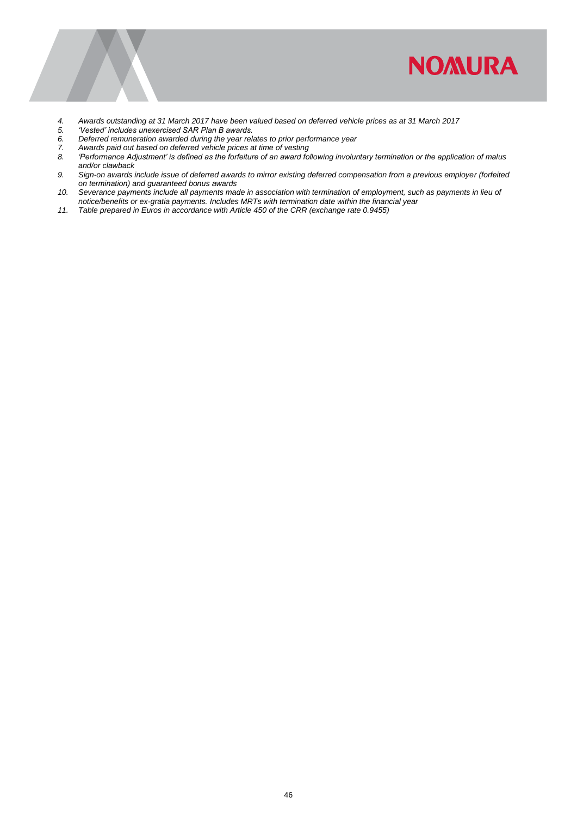![](_page_48_Picture_0.jpeg)

- *4. Awards outstanding at 31 March 2017 have been valued based on deferred vehicle prices as at 31 March 2017*
- 
- *5. 'Vested' includes unexercised SAR Plan B awards. 6. Deferred remuneration awarded during the year relates to prior performance year*
- 
- *7. Awards paid out based on deferred vehicle prices at time of vesting 8. 'Performance Adjustment' is defined as the forfeiture of an award following involuntary termination or the application of malus and/or clawback*
- *9. Sign-on awards include issue of deferred awards to mirror existing deferred compensation from a previous employer (forfeited on termination) and guaranteed bonus awards*
- *10. Severance payments include all payments made in association with termination of employment, such as payments in lieu of notice/benefits or ex-gratia payments. Includes MRTs with termination date within the financial year*
- *11. Table prepared in Euros in accordance with Article 450 of the CRR (exchange rate 0.9455)*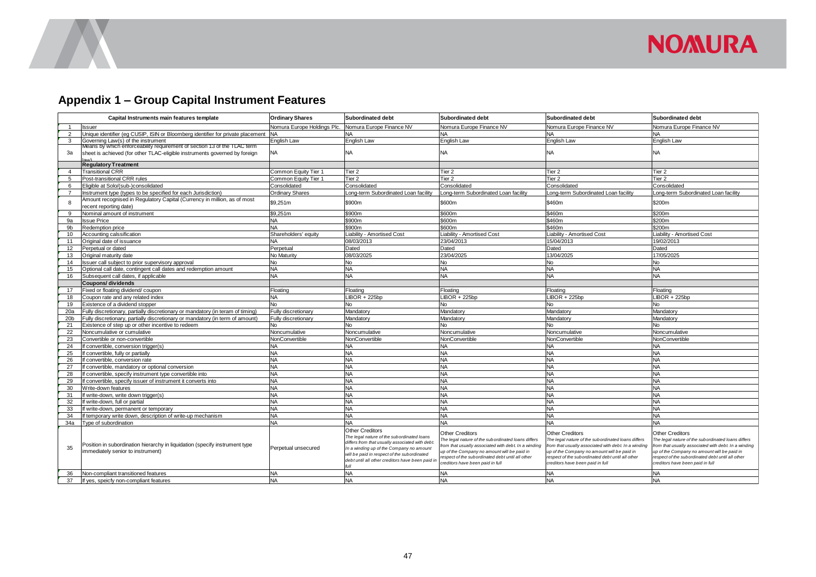![](_page_49_Picture_0.jpeg)

## **Appendix 1 – Group Capital Instrument Features**

<span id="page-49-0"></span>

|                 | Capital Instruments main features template                                                                                                             | <b>Ordinary Shares</b>     | <b>Subordinated debt</b>                                                                                                                                                                                                                                       | <b>Subordinated debt</b>                                                                                                                                                                                                                                                      | <b>Subordinated debt</b>                                                                                                                                                                                                                                             | Subordinated debt                                                                                                                                                                                                                                                    |
|-----------------|--------------------------------------------------------------------------------------------------------------------------------------------------------|----------------------------|----------------------------------------------------------------------------------------------------------------------------------------------------------------------------------------------------------------------------------------------------------------|-------------------------------------------------------------------------------------------------------------------------------------------------------------------------------------------------------------------------------------------------------------------------------|----------------------------------------------------------------------------------------------------------------------------------------------------------------------------------------------------------------------------------------------------------------------|----------------------------------------------------------------------------------------------------------------------------------------------------------------------------------------------------------------------------------------------------------------------|
| $\mathbf{1}$    | Issuer                                                                                                                                                 | Nomura Europe Holdings Plc | Nomura Europe Finance NV                                                                                                                                                                                                                                       | Nomura Europe Finance NV                                                                                                                                                                                                                                                      | <b>Nomura Europe Finance NV</b>                                                                                                                                                                                                                                      | Nomura Europe Finance NV                                                                                                                                                                                                                                             |
| $\overline{2}$  | Unique identifier (eq CUSIP, ISIN or Bloomberg identifier for private placement                                                                        | <b>NA</b>                  | <b>NA</b>                                                                                                                                                                                                                                                      | <b>NA</b>                                                                                                                                                                                                                                                                     | <b>NA</b>                                                                                                                                                                                                                                                            | <b>NA</b>                                                                                                                                                                                                                                                            |
| 3               | Governing Law(s) of the instrument                                                                                                                     | English Law                | English Law                                                                                                                                                                                                                                                    | <b>English Law</b>                                                                                                                                                                                                                                                            | English Law                                                                                                                                                                                                                                                          | English Law                                                                                                                                                                                                                                                          |
| За              | Means by which enforceability requirement of section 13 of the TLAC term<br>sheet is achieved (for other TLAC-eligible instruments governed by foreign | <b>NA</b>                  | <b>NA</b>                                                                                                                                                                                                                                                      | <b>NA</b>                                                                                                                                                                                                                                                                     | <b>NA</b>                                                                                                                                                                                                                                                            | NA                                                                                                                                                                                                                                                                   |
|                 | <b>Regulatory Treatment</b>                                                                                                                            |                            |                                                                                                                                                                                                                                                                |                                                                                                                                                                                                                                                                               |                                                                                                                                                                                                                                                                      |                                                                                                                                                                                                                                                                      |
| $\overline{4}$  | <b>Transitional CRR</b>                                                                                                                                | Common Equity Tier 1       | Tier 2                                                                                                                                                                                                                                                         | Tier <sub>2</sub>                                                                                                                                                                                                                                                             | Tier 2                                                                                                                                                                                                                                                               | Tier 2                                                                                                                                                                                                                                                               |
| 5               | Post-transitional CRR rules                                                                                                                            | Common Equity Tier 1       | Tier 2                                                                                                                                                                                                                                                         | Tier <sub>2</sub>                                                                                                                                                                                                                                                             | Tier <sub>2</sub>                                                                                                                                                                                                                                                    | Tier <sub>2</sub>                                                                                                                                                                                                                                                    |
| 6               | Eligible at Solo/(sub-)consolidated                                                                                                                    | Consolidated               | Consolidated                                                                                                                                                                                                                                                   | Consolidated                                                                                                                                                                                                                                                                  | Consolidated                                                                                                                                                                                                                                                         | Consolidated                                                                                                                                                                                                                                                         |
| $\overline{7}$  | nstrument type (types to be specified for each Jurisdiction)                                                                                           | <b>Ordinary Shares</b>     | ong-term Subordinated Loan facility                                                                                                                                                                                                                            | Long-term Subordinated Loan facility                                                                                                                                                                                                                                          | ong-term Subordinated Loan facility                                                                                                                                                                                                                                  | Long-term Subordinated Loan facility                                                                                                                                                                                                                                 |
| 8               | Amount recognised in Regulatory Capital (Currency in million, as of most<br>ecent reporting date)                                                      | \$9,251m                   | \$900m                                                                                                                                                                                                                                                         | \$600m                                                                                                                                                                                                                                                                        | \$460m                                                                                                                                                                                                                                                               | \$200m                                                                                                                                                                                                                                                               |
| 9               | Nominal amount of instrument                                                                                                                           | \$9,251m                   | \$900m                                                                                                                                                                                                                                                         | \$600m                                                                                                                                                                                                                                                                        | \$460m                                                                                                                                                                                                                                                               | \$200m                                                                                                                                                                                                                                                               |
| 9a              | <b>Issue Price</b>                                                                                                                                     | <b>NA</b>                  | \$900m                                                                                                                                                                                                                                                         | \$600m                                                                                                                                                                                                                                                                        | \$460m                                                                                                                                                                                                                                                               | \$200m                                                                                                                                                                                                                                                               |
| 9 <sub>b</sub>  | Redemption price                                                                                                                                       | <b>NA</b>                  | \$900m                                                                                                                                                                                                                                                         | \$600m                                                                                                                                                                                                                                                                        | \$460m                                                                                                                                                                                                                                                               | \$200m                                                                                                                                                                                                                                                               |
| 10              | Accounting calssification                                                                                                                              | Shareholders' equity       | iability - Amortised Cost                                                                                                                                                                                                                                      | Liability - Amortised Cost                                                                                                                                                                                                                                                    | iability - Amortised Cost                                                                                                                                                                                                                                            | Liability - Amortised Cost                                                                                                                                                                                                                                           |
| 11              | Original date of issuance                                                                                                                              | NA                         | 08/03/2013                                                                                                                                                                                                                                                     | 23/04/2013                                                                                                                                                                                                                                                                    | 15/04/2013                                                                                                                                                                                                                                                           | 19/02/2013                                                                                                                                                                                                                                                           |
| 12              | Perpetual or dated                                                                                                                                     | Perpetual                  | Dated                                                                                                                                                                                                                                                          | Dated                                                                                                                                                                                                                                                                         | Dated                                                                                                                                                                                                                                                                | Dated                                                                                                                                                                                                                                                                |
| 13              | Original maturity date                                                                                                                                 | No Maturity                | 08/03/2025                                                                                                                                                                                                                                                     | 23/04/2025                                                                                                                                                                                                                                                                    | 13/04/2025                                                                                                                                                                                                                                                           | 17/05/2025                                                                                                                                                                                                                                                           |
| 14              | ssuer call subject to prior supervisory approval                                                                                                       | No                         | No                                                                                                                                                                                                                                                             | <b>No</b>                                                                                                                                                                                                                                                                     | No                                                                                                                                                                                                                                                                   | <b>No</b>                                                                                                                                                                                                                                                            |
| 15              | Optional call date, contingent call dates and redemption amount                                                                                        | <b>NA</b>                  | <b>NA</b>                                                                                                                                                                                                                                                      | <b>NA</b>                                                                                                                                                                                                                                                                     | <b>NA</b>                                                                                                                                                                                                                                                            | <b>NA</b>                                                                                                                                                                                                                                                            |
| 16              | Subsequent call dates, if applicable                                                                                                                   | <b>NA</b>                  | <b>NA</b>                                                                                                                                                                                                                                                      | <b>NA</b>                                                                                                                                                                                                                                                                     | <b>NA</b>                                                                                                                                                                                                                                                            | <b>NA</b>                                                                                                                                                                                                                                                            |
|                 | Coupons/dividends                                                                                                                                      |                            |                                                                                                                                                                                                                                                                |                                                                                                                                                                                                                                                                               |                                                                                                                                                                                                                                                                      |                                                                                                                                                                                                                                                                      |
| 17              | Fixed or floating dividend/ coupon                                                                                                                     | Floating                   | Floating                                                                                                                                                                                                                                                       | Floating                                                                                                                                                                                                                                                                      | Floating                                                                                                                                                                                                                                                             | Floating                                                                                                                                                                                                                                                             |
| 18              | Coupon rate and any related index                                                                                                                      | <b>NA</b>                  | $LBOR + 225bp$                                                                                                                                                                                                                                                 | LIBOR + 225bp                                                                                                                                                                                                                                                                 | $LIBOR + 225bp$                                                                                                                                                                                                                                                      | $LBOR + 225bp$                                                                                                                                                                                                                                                       |
| 19              | Existence of a dividend stopper                                                                                                                        | <b>No</b>                  | No.                                                                                                                                                                                                                                                            | <b>No</b>                                                                                                                                                                                                                                                                     | No                                                                                                                                                                                                                                                                   | No                                                                                                                                                                                                                                                                   |
| 20a             | Fully discretionary, partially discretionary or mandatory (in teram of timing)                                                                         | Fully discretionary        | Mandatory                                                                                                                                                                                                                                                      | Mandatory                                                                                                                                                                                                                                                                     | Mandatory                                                                                                                                                                                                                                                            | Mandatory                                                                                                                                                                                                                                                            |
| 20 <sub>b</sub> | Fully discretionary, partially discretionary or mandatory (in term of amount)                                                                          | Fully discretionary        | Mandatory                                                                                                                                                                                                                                                      | Mandatory                                                                                                                                                                                                                                                                     | Mandatory                                                                                                                                                                                                                                                            | Mandatory                                                                                                                                                                                                                                                            |
| 21              | Existence of step up or other incentive to redeem                                                                                                      | No.                        | N <sub>o</sub>                                                                                                                                                                                                                                                 | <b>No</b>                                                                                                                                                                                                                                                                     | No                                                                                                                                                                                                                                                                   | No                                                                                                                                                                                                                                                                   |
| 22              | Noncumulative or cumulative                                                                                                                            | Noncumulative              | Noncumulative                                                                                                                                                                                                                                                  | Noncumulative                                                                                                                                                                                                                                                                 | Noncumulative                                                                                                                                                                                                                                                        | Noncumulative                                                                                                                                                                                                                                                        |
| 23              | Convertible or non-convertible                                                                                                                         | NonConvertible             | NonConvertible                                                                                                                                                                                                                                                 | NonConvertible                                                                                                                                                                                                                                                                | NonConvertible                                                                                                                                                                                                                                                       | NonConvertible                                                                                                                                                                                                                                                       |
| 24              | convertible, conversion trigger(s)                                                                                                                     | NA                         | <b>NA</b>                                                                                                                                                                                                                                                      | <b>NA</b>                                                                                                                                                                                                                                                                     | <b>NA</b>                                                                                                                                                                                                                                                            | <b>NA</b>                                                                                                                                                                                                                                                            |
| 25              | convertible, fully or partially                                                                                                                        | <b>NA</b>                  | <b>NA</b>                                                                                                                                                                                                                                                      | <b>NA</b>                                                                                                                                                                                                                                                                     | <b>NA</b>                                                                                                                                                                                                                                                            | <b>NA</b>                                                                                                                                                                                                                                                            |
| 26              | convertible, conversion rate                                                                                                                           | NA                         | NA.                                                                                                                                                                                                                                                            | <b>NA</b>                                                                                                                                                                                                                                                                     | <b>NA</b>                                                                                                                                                                                                                                                            | <b>NA</b>                                                                                                                                                                                                                                                            |
| 27              | convertible, mandatory or optional conversion                                                                                                          | NA                         | <b>NA</b>                                                                                                                                                                                                                                                      | <b>NA</b>                                                                                                                                                                                                                                                                     | <b>NA</b>                                                                                                                                                                                                                                                            | <b>NA</b>                                                                                                                                                                                                                                                            |
| 28              | convertible, specify instrument type convertible into                                                                                                  | <b>NA</b>                  | <b>NA</b>                                                                                                                                                                                                                                                      | <b>NA</b>                                                                                                                                                                                                                                                                     | <b>NA</b>                                                                                                                                                                                                                                                            | <b>NA</b>                                                                                                                                                                                                                                                            |
| 29              | convertible, specify issuer of instrument it converts into                                                                                             | <b>NA</b>                  | <b>NA</b>                                                                                                                                                                                                                                                      | <b>NA</b>                                                                                                                                                                                                                                                                     | <b>NA</b>                                                                                                                                                                                                                                                            | <b>NA</b>                                                                                                                                                                                                                                                            |
| 30              | Write-down features                                                                                                                                    | <b>NA</b>                  | <b>NA</b>                                                                                                                                                                                                                                                      | <b>NA</b>                                                                                                                                                                                                                                                                     | <b>NA</b>                                                                                                                                                                                                                                                            | <b>NA</b>                                                                                                                                                                                                                                                            |
| 31              | f write-down, write down trigger(s)                                                                                                                    | <b>NA</b>                  | <b>NA</b>                                                                                                                                                                                                                                                      | <b>NA</b>                                                                                                                                                                                                                                                                     | <b>NA</b>                                                                                                                                                                                                                                                            | <b>NA</b>                                                                                                                                                                                                                                                            |
| 32              | f write-down, full or partial                                                                                                                          | <b>NA</b>                  | <b>NA</b>                                                                                                                                                                                                                                                      | <b>NA</b>                                                                                                                                                                                                                                                                     | <b>NA</b>                                                                                                                                                                                                                                                            | <b>NA</b>                                                                                                                                                                                                                                                            |
| 33              | write-down, permanent or temporary                                                                                                                     | <b>NA</b>                  | <b>NA</b>                                                                                                                                                                                                                                                      | <b>NA</b>                                                                                                                                                                                                                                                                     | <b>NA</b>                                                                                                                                                                                                                                                            | <b>NA</b>                                                                                                                                                                                                                                                            |
| 34              | temporary write down, description of write-up mechanism                                                                                                | <b>NA</b>                  | <b>NA</b>                                                                                                                                                                                                                                                      | <b>NA</b>                                                                                                                                                                                                                                                                     | <b>NA</b>                                                                                                                                                                                                                                                            | <b>NA</b>                                                                                                                                                                                                                                                            |
| 34a             | vpe of subordination                                                                                                                                   | <b>NA</b>                  | <b>NA</b>                                                                                                                                                                                                                                                      | <b>NA</b>                                                                                                                                                                                                                                                                     | <b>NA</b>                                                                                                                                                                                                                                                            | <b>NA</b>                                                                                                                                                                                                                                                            |
| 35              | Position in subordination hierarchy in liquidation (specify instrument type<br>immediately senior to instrument)                                       | Perpetual unsecured        | Other Creditors<br>The legal nature of the subordinated loans<br>differs from that usually associated with debt.<br>In a winding up of the Company no amount<br>will be paid in respect of the subordinated<br>debt until all other creditors have been paid i | <b>Other Creditors</b><br>The legal nature of the sub ordinated loans differs<br>from that usually associated with debt. In a winding<br>up of the Company no amount will be paid in<br>respect of the sub ordinated debt until all other<br>creditors have been paid in full | Other Creditors<br>The legal nature of the subordinated loans differs<br>from that usually associated with debt. In a winding<br>up of the Company no amount will be paid in<br>respect of the subordinated debt until all other<br>creditors have been paid in full | Other Creditors<br>The legal nature of the subordinated loans differs<br>from that usually associated with debt. In a winding<br>up of the Company no amount will be paid in<br>respect of the subordinated debt until all other<br>creditors have been paid in full |
| 36              | Non-compliant transitioned features                                                                                                                    | <b>NA</b>                  | <b>NA</b>                                                                                                                                                                                                                                                      | <b>NA</b>                                                                                                                                                                                                                                                                     | <b>NA</b>                                                                                                                                                                                                                                                            | <b>NA</b>                                                                                                                                                                                                                                                            |
| 37              | If yes, speicfy non-compliant features                                                                                                                 | <b>NA</b>                  | <b>NA</b>                                                                                                                                                                                                                                                      | <b>NA</b>                                                                                                                                                                                                                                                                     | <b>NA</b>                                                                                                                                                                                                                                                            | <b>NA</b>                                                                                                                                                                                                                                                            |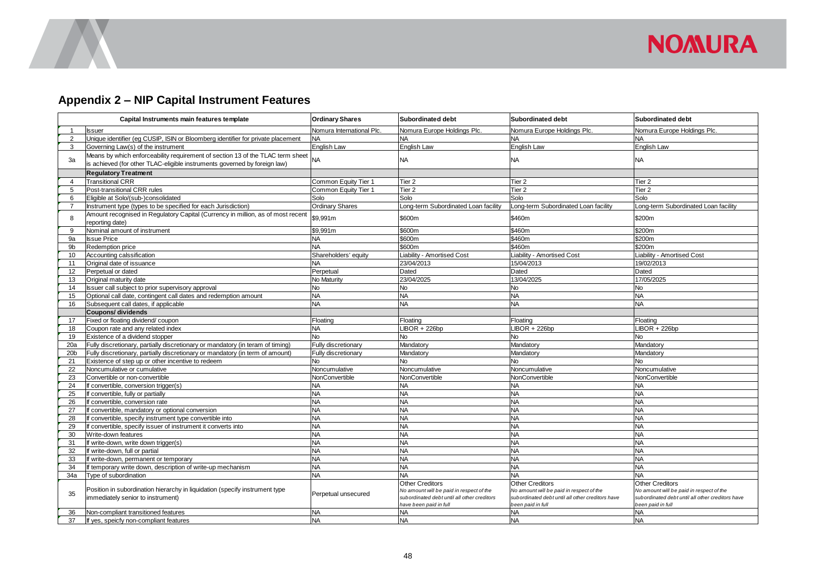![](_page_50_Picture_0.jpeg)

## **Appendix 2 – NIP Capital Instrument Features**

<span id="page-50-0"></span>

|                 | Capital Instruments main features template                                                                                                                  | <b>Ordinary Shares</b>    | <b>Subordinated debt</b>                                                                                                                     | Subordinated debt                                                                                                                           | Subordinated debt                                                                                                                            |
|-----------------|-------------------------------------------------------------------------------------------------------------------------------------------------------------|---------------------------|----------------------------------------------------------------------------------------------------------------------------------------------|---------------------------------------------------------------------------------------------------------------------------------------------|----------------------------------------------------------------------------------------------------------------------------------------------|
|                 | <b>Issuer</b>                                                                                                                                               | Nomura International Plc. | Nomura Europe Holdings Plc.                                                                                                                  | Nomura Europe Holdings Plc.                                                                                                                 | Nomura Europe Holdings Plc.                                                                                                                  |
| $\overline{2}$  | Unique identifier (eg CUSIP, ISIN or Bloomberg identifier for private placement                                                                             | <b>NA</b>                 | <b>NA</b>                                                                                                                                    | <b>NA</b>                                                                                                                                   | NA                                                                                                                                           |
| 3               | Governing Law(s) of the instrument                                                                                                                          | English Law               | English Law                                                                                                                                  | English Law                                                                                                                                 | English Law                                                                                                                                  |
| 3a              | Means by which enforceability requirement of section 13 of the TLAC term sheet<br>is achieved (for other TLAC-eligible instruments governed by foreign law) | <b>NA</b>                 | <b>NA</b>                                                                                                                                    | <b>NA</b>                                                                                                                                   | NА                                                                                                                                           |
|                 | <b>Regulatory Treatment</b>                                                                                                                                 |                           |                                                                                                                                              |                                                                                                                                             |                                                                                                                                              |
| $\overline{4}$  | <b>Transitional CRR</b>                                                                                                                                     | Common Equity Tier 1      | Tier <sub>2</sub>                                                                                                                            | Tier 2                                                                                                                                      | Tier <sub>2</sub>                                                                                                                            |
| 5               | Post-transitional CRR rules                                                                                                                                 | Common Equity Tier 1      | Tier <sub>2</sub>                                                                                                                            | Tier 2                                                                                                                                      | Tier <sub>2</sub>                                                                                                                            |
| 6               | Eligible at Solo/(sub-)consolidated                                                                                                                         | Solo                      | Solo                                                                                                                                         | Solo                                                                                                                                        | Solo                                                                                                                                         |
| 7               | Instrument type (types to be specified for each Jurisdiction)                                                                                               | <b>Ordinary Shares</b>    | Long-term Subordinated Loan facility                                                                                                         | ong-term Subordinated Loan facility                                                                                                         | Long-term Subordinated Loan facility                                                                                                         |
| 8               | Amount recognised in Regulatory Capital (Currency in million, as of most recent<br>reporting date)                                                          | \$9,991m                  | \$600m                                                                                                                                       | \$460m                                                                                                                                      | \$200m                                                                                                                                       |
| 9               | Nominal amount of instrument                                                                                                                                | \$9,991m                  | \$600m                                                                                                                                       | \$460m                                                                                                                                      | \$200m                                                                                                                                       |
| 9a              | <b>Issue Price</b>                                                                                                                                          | <b>NA</b>                 | \$600m                                                                                                                                       | \$460m                                                                                                                                      | \$200m                                                                                                                                       |
| 9 <sub>b</sub>  | Redemption price                                                                                                                                            | <b>NA</b>                 | \$600m                                                                                                                                       | \$460m                                                                                                                                      | \$200m                                                                                                                                       |
| 10              | Accounting calssification                                                                                                                                   | Shareholders' equity      | Liability - Amortised Cost                                                                                                                   | Liability - Amortised Cost                                                                                                                  | Liability - Amortised Cost                                                                                                                   |
| 11              | Original date of issuance                                                                                                                                   | <b>NA</b>                 | 23/04/2013                                                                                                                                   | 15/04/2013                                                                                                                                  | 19/02/2013                                                                                                                                   |
| 12              | Perpetual or dated                                                                                                                                          | Perpetual                 | Dated                                                                                                                                        | Dated                                                                                                                                       | Dated                                                                                                                                        |
| 13              | Original maturity date                                                                                                                                      | No Maturity               | 23/04/2025                                                                                                                                   | 13/04/2025                                                                                                                                  | 17/05/2025                                                                                                                                   |
| 14              | Issuer call subject to prior supervisory approval                                                                                                           | <b>No</b>                 | <b>No</b>                                                                                                                                    | <b>No</b>                                                                                                                                   | No                                                                                                                                           |
| 15              | Optional call date, contingent call dates and redemption amount                                                                                             | <b>NA</b>                 | <b>NA</b>                                                                                                                                    | <b>NA</b>                                                                                                                                   | <b>NA</b>                                                                                                                                    |
| 16              | Subsequent call dates, if applicable                                                                                                                        | <b>NA</b>                 | <b>NA</b>                                                                                                                                    | <b>NA</b>                                                                                                                                   | <b>NA</b>                                                                                                                                    |
|                 | <b>Coupons/ dividends</b>                                                                                                                                   |                           |                                                                                                                                              |                                                                                                                                             |                                                                                                                                              |
| 17              | Fixed or floating dividend/coupon                                                                                                                           | Floating                  | Floating                                                                                                                                     | Floating                                                                                                                                    | Floating                                                                                                                                     |
| 18              | Coupon rate and any related index                                                                                                                           | <b>NA</b>                 | $LIBOR + 226bp$                                                                                                                              | $LIBOR + 226bp$                                                                                                                             | $LBOR + 226bp$                                                                                                                               |
| 19              | Existence of a dividend stopper                                                                                                                             | <b>No</b>                 | No                                                                                                                                           | <b>No</b>                                                                                                                                   | No                                                                                                                                           |
| 20a             | Fully discretionary, partially discretionary or mandatory (in teram of timing)                                                                              | Fully discretionary       | Mandatory                                                                                                                                    | Mandatory                                                                                                                                   | Mandatory                                                                                                                                    |
| 20 <sub>b</sub> | Fully discretionary, partially discretionary or mandatory (in term of amount)                                                                               | Fully discretionary       | Mandatory                                                                                                                                    | Mandatory                                                                                                                                   | Mandatory                                                                                                                                    |
| 21              | Existence of step up or other incentive to redeem                                                                                                           | No                        | <b>No</b>                                                                                                                                    | No.                                                                                                                                         | No.                                                                                                                                          |
| 22              | Noncumulative or cumulative                                                                                                                                 | Noncumulative             | Noncumulative                                                                                                                                | Noncumulative                                                                                                                               | Noncumulative                                                                                                                                |
| 23              | Convertible or non-convertible                                                                                                                              | NonConvertible            | NonConvertible                                                                                                                               | NonConvertible                                                                                                                              | NonConvertible                                                                                                                               |
| 24              | If convertible, conversion trigger(s)                                                                                                                       | <b>NA</b>                 | <b>NA</b>                                                                                                                                    | <b>NA</b>                                                                                                                                   | <b>NA</b>                                                                                                                                    |
| 25              | If convertible, fully or partially                                                                                                                          | <b>NA</b>                 | <b>NA</b>                                                                                                                                    | <b>NA</b>                                                                                                                                   | <b>NA</b>                                                                                                                                    |
| 26              | If convertible, conversion rate                                                                                                                             | <b>NA</b>                 | <b>NA</b>                                                                                                                                    | <b>NA</b>                                                                                                                                   | <b>NA</b>                                                                                                                                    |
| 27              | If convertible, mandatory or optional conversion                                                                                                            | <b>NA</b>                 | <b>NA</b>                                                                                                                                    | <b>NA</b>                                                                                                                                   | <b>NA</b>                                                                                                                                    |
| 28              | If convertible, specify instrument type convertible into                                                                                                    | <b>NA</b>                 | <b>NA</b>                                                                                                                                    | <b>NA</b>                                                                                                                                   | <b>NA</b>                                                                                                                                    |
| 29              | If convertible, specify issuer of instrument it converts into                                                                                               | <b>NA</b>                 | <b>NA</b>                                                                                                                                    | <b>NA</b>                                                                                                                                   | <b>NA</b>                                                                                                                                    |
| 30              | Write-down features                                                                                                                                         | <b>NA</b>                 | <b>NA</b>                                                                                                                                    | <b>NA</b>                                                                                                                                   | <b>NA</b>                                                                                                                                    |
| 31              | If write-down, write down trigger(s)                                                                                                                        | <b>NA</b>                 | <b>NA</b>                                                                                                                                    | <b>NA</b>                                                                                                                                   | <b>NA</b>                                                                                                                                    |
| 32              | If write-down, full or partial                                                                                                                              | <b>NA</b>                 | <b>NA</b>                                                                                                                                    | <b>NA</b>                                                                                                                                   | <b>NA</b>                                                                                                                                    |
| 33              | If write-down, permanent or temporary                                                                                                                       | <b>NA</b>                 | <b>NA</b>                                                                                                                                    | <b>NA</b>                                                                                                                                   | <b>NA</b>                                                                                                                                    |
| 34              | If temporary write down, description of write-up mechanism                                                                                                  | <b>NA</b>                 | <b>NA</b>                                                                                                                                    | <b>NA</b>                                                                                                                                   | <b>NA</b>                                                                                                                                    |
| 34a             | Type of subordination                                                                                                                                       | <b>NA</b>                 | <b>NA</b>                                                                                                                                    | NA                                                                                                                                          | NA                                                                                                                                           |
| 35              | Position in subordination hierarchy in liquidation (specify instrument type<br>immediately senior to instrument)                                            | Perpetual unsecured       | <b>Other Creditors</b><br>No amount will be paid in respect of the<br>sub ordinated debt until all other creditors<br>have been paid in full | <b>Other Creditors</b><br>No amount will be paid in respect of the<br>subordinated debt until all other creditors have<br>been paid in full | <b>Other Creditors</b><br>No amount will be paid in respect of the<br>sub ordinated debt until all other creditors have<br>been paid in full |
| 36              | Non-compliant transitioned features                                                                                                                         | <b>NA</b>                 | <b>NA</b>                                                                                                                                    | <b>NA</b>                                                                                                                                   | <b>NA</b>                                                                                                                                    |
| 37              | If yes, speicfy non-compliant features                                                                                                                      | <b>NA</b>                 | <b>NA</b>                                                                                                                                    | <b>NA</b>                                                                                                                                   | <b>NA</b>                                                                                                                                    |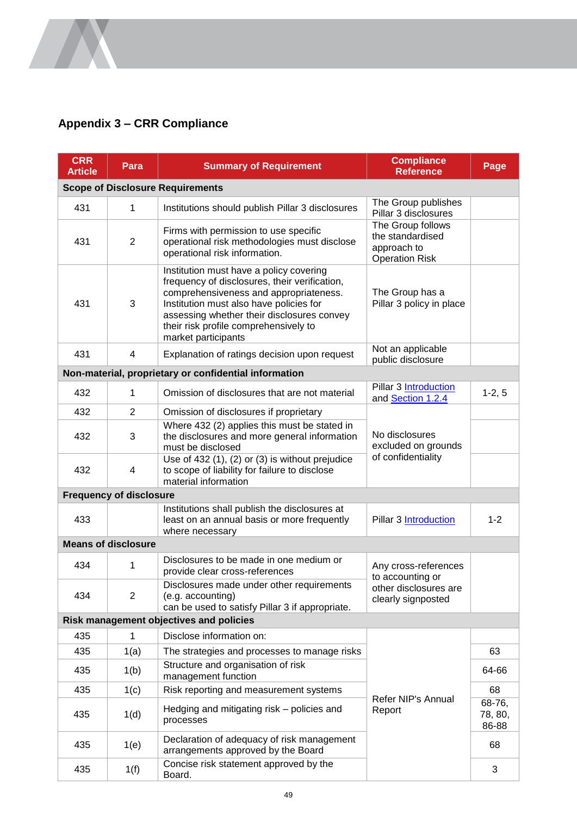## <span id="page-51-0"></span>**Appendix 3 – CRR Compliance**

 $\sqrt{2}$ 

| <b>CRR</b><br><b>Article</b>            | Para                           | <b>Summary of Requirement</b>                                                                                                                                                                                                                                                               | <b>Compliance</b><br><b>Reference</b>                                         | Page                       |  |
|-----------------------------------------|--------------------------------|---------------------------------------------------------------------------------------------------------------------------------------------------------------------------------------------------------------------------------------------------------------------------------------------|-------------------------------------------------------------------------------|----------------------------|--|
| <b>Scope of Disclosure Requirements</b> |                                |                                                                                                                                                                                                                                                                                             |                                                                               |                            |  |
| 431                                     | 1                              | Institutions should publish Pillar 3 disclosures                                                                                                                                                                                                                                            | The Group publishes<br>Pillar 3 disclosures                                   |                            |  |
| 431                                     | $\overline{2}$                 | Firms with permission to use specific<br>operational risk methodologies must disclose<br>operational risk information.                                                                                                                                                                      | The Group follows<br>the standardised<br>approach to<br><b>Operation Risk</b> |                            |  |
| 431                                     | 3                              | Institution must have a policy covering<br>frequency of disclosures, their verification,<br>comprehensiveness and appropriateness.<br>Institution must also have policies for<br>assessing whether their disclosures convey<br>their risk profile comprehensively to<br>market participants | The Group has a<br>Pillar 3 policy in place                                   |                            |  |
| 431                                     | 4                              | Explanation of ratings decision upon request                                                                                                                                                                                                                                                | Not an applicable<br>public disclosure                                        |                            |  |
|                                         |                                | Non-material, proprietary or confidential information                                                                                                                                                                                                                                       |                                                                               |                            |  |
| 432                                     | 1                              | Omission of disclosures that are not material                                                                                                                                                                                                                                               | <b>Pillar 3 Introduction</b><br>and Section 1.2.4                             | $1-2, 5$                   |  |
| 432                                     | 2                              | Omission of disclosures if proprietary                                                                                                                                                                                                                                                      |                                                                               |                            |  |
| 432                                     | 3                              | Where 432 (2) applies this must be stated in<br>the disclosures and more general information<br>must be disclosed                                                                                                                                                                           | No disclosures<br>excluded on grounds<br>of confidentiality                   |                            |  |
| 432                                     | 4                              | Use of $432$ (1), (2) or (3) is without prejudice<br>to scope of liability for failure to disclose<br>material information                                                                                                                                                                  |                                                                               |                            |  |
|                                         | <b>Frequency of disclosure</b> |                                                                                                                                                                                                                                                                                             |                                                                               |                            |  |
| 433                                     |                                | Institutions shall publish the disclosures at<br>least on an annual basis or more frequently<br>where necessary                                                                                                                                                                             | <b>Pillar 3 Introduction</b>                                                  | $1 - 2$                    |  |
|                                         | <b>Means of disclosure</b>     |                                                                                                                                                                                                                                                                                             |                                                                               |                            |  |
| 434                                     | 1                              | Disclosures to be made in one medium or<br>provide clear cross-references                                                                                                                                                                                                                   | Any cross-references<br>to accounting or                                      |                            |  |
| 434                                     | 2                              | Disclosures made under other requirements<br>(e.g. accounting)<br>can be used to satisfy Pillar 3 if appropriate.                                                                                                                                                                           | other disclosures are<br>clearly signposted                                   |                            |  |
| Risk management objectives and policies |                                |                                                                                                                                                                                                                                                                                             |                                                                               |                            |  |
| 435                                     | 1                              | Disclose information on:                                                                                                                                                                                                                                                                    |                                                                               |                            |  |
| 435                                     | 1(a)                           | The strategies and processes to manage risks                                                                                                                                                                                                                                                | Refer NIP's Annual<br>Report                                                  | 63                         |  |
| 435                                     | 1(b)                           | Structure and organisation of risk<br>management function                                                                                                                                                                                                                                   |                                                                               | 64-66                      |  |
| 435                                     | 1(c)                           | Risk reporting and measurement systems                                                                                                                                                                                                                                                      |                                                                               | 68                         |  |
| 435                                     | 1(d)                           | Hedging and mitigating risk – policies and<br>processes                                                                                                                                                                                                                                     |                                                                               | 68-76,<br>78, 80,<br>86-88 |  |
| 435                                     | 1(e)                           | Declaration of adequacy of risk management<br>arrangements approved by the Board                                                                                                                                                                                                            |                                                                               | 68                         |  |
| 435                                     | 1(f)                           | Concise risk statement approved by the<br>Board.                                                                                                                                                                                                                                            |                                                                               | 3                          |  |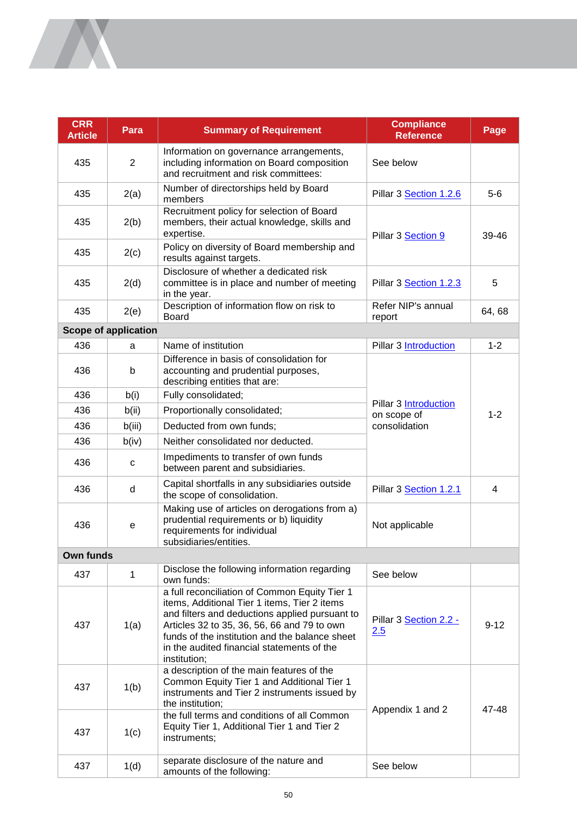| <b>CRR</b><br><b>Article</b> | Para                        | <b>Summary of Requirement</b>                                                                                                                                                                                                                                                                                  | <b>Compliance</b><br><b>Reference</b> | Page           |
|------------------------------|-----------------------------|----------------------------------------------------------------------------------------------------------------------------------------------------------------------------------------------------------------------------------------------------------------------------------------------------------------|---------------------------------------|----------------|
| 435                          | $\overline{2}$              | Information on governance arrangements,<br>including information on Board composition<br>and recruitment and risk committees:                                                                                                                                                                                  | See below                             |                |
| 435                          | 2(a)                        | Number of directorships held by Board<br>members                                                                                                                                                                                                                                                               | Pillar 3 Section 1.2.6                | $5-6$          |
| 435                          | 2(b)                        | Recruitment policy for selection of Board<br>members, their actual knowledge, skills and<br>expertise.                                                                                                                                                                                                         | Pillar 3 Section 9                    | 39-46          |
| 435                          | 2(c)                        | Policy on diversity of Board membership and<br>results against targets.                                                                                                                                                                                                                                        |                                       |                |
| 435                          | 2(d)                        | Disclosure of whether a dedicated risk<br>committee is in place and number of meeting<br>in the year.                                                                                                                                                                                                          | Pillar 3 Section 1.2.3                | 5              |
| 435                          | 2(e)                        | Description of information flow on risk to<br><b>Board</b>                                                                                                                                                                                                                                                     | Refer NIP's annual<br>report          | 64, 68         |
|                              | <b>Scope of application</b> |                                                                                                                                                                                                                                                                                                                |                                       |                |
| 436                          | a                           | Name of institution                                                                                                                                                                                                                                                                                            | <b>Pillar 3 Introduction</b>          | $1 - 2$        |
| 436                          | b                           | Difference in basis of consolidation for<br>accounting and prudential purposes,<br>describing entities that are:                                                                                                                                                                                               |                                       |                |
| 436                          | b(i)                        | Fully consolidated;                                                                                                                                                                                                                                                                                            | <b>Pillar 3 Introduction</b>          |                |
| 436                          | b(ii)                       | Proportionally consolidated;                                                                                                                                                                                                                                                                                   | on scope of                           | $1 - 2$        |
| 436                          | b(iii)                      | Deducted from own funds;                                                                                                                                                                                                                                                                                       | consolidation                         |                |
| 436                          | b(iv)                       | Neither consolidated nor deducted.                                                                                                                                                                                                                                                                             |                                       |                |
| 436                          | с                           | Impediments to transfer of own funds<br>between parent and subsidiaries.                                                                                                                                                                                                                                       |                                       |                |
| 436                          | d                           | Capital shortfalls in any subsidiaries outside<br>the scope of consolidation.                                                                                                                                                                                                                                  | Pillar 3 Section 1.2.1                | $\overline{4}$ |
| 436                          | е                           | Making use of articles on derogations from a)<br>prudential requirements or b) liquidity<br>requirements for individual<br>subsidiaries/entities.                                                                                                                                                              | Not applicable                        |                |
| Own funds                    |                             |                                                                                                                                                                                                                                                                                                                |                                       |                |
| 437                          | $\mathbf 1$                 | Disclose the following information regarding<br>own funds:                                                                                                                                                                                                                                                     | See below                             |                |
| 437                          | 1(a)                        | a full reconciliation of Common Equity Tier 1<br>items, Additional Tier 1 items, Tier 2 items<br>and filters and deductions applied pursuant to<br>Articles 32 to 35, 36, 56, 66 and 79 to own<br>funds of the institution and the balance sheet<br>in the audited financial statements of the<br>institution; | Pillar 3 Section 2.2 -<br>2.5         | $9 - 12$       |
| 437                          | 1(b)                        | a description of the main features of the<br>Common Equity Tier 1 and Additional Tier 1<br>instruments and Tier 2 instruments issued by<br>the institution;                                                                                                                                                    | Appendix 1 and 2                      | 47-48          |
| 437                          | 1(c)                        | the full terms and conditions of all Common<br>Equity Tier 1, Additional Tier 1 and Tier 2<br>instruments;                                                                                                                                                                                                     |                                       |                |
| 437                          | 1(d)                        | separate disclosure of the nature and<br>amounts of the following:                                                                                                                                                                                                                                             | See below                             |                |

**INTERNATIONAL**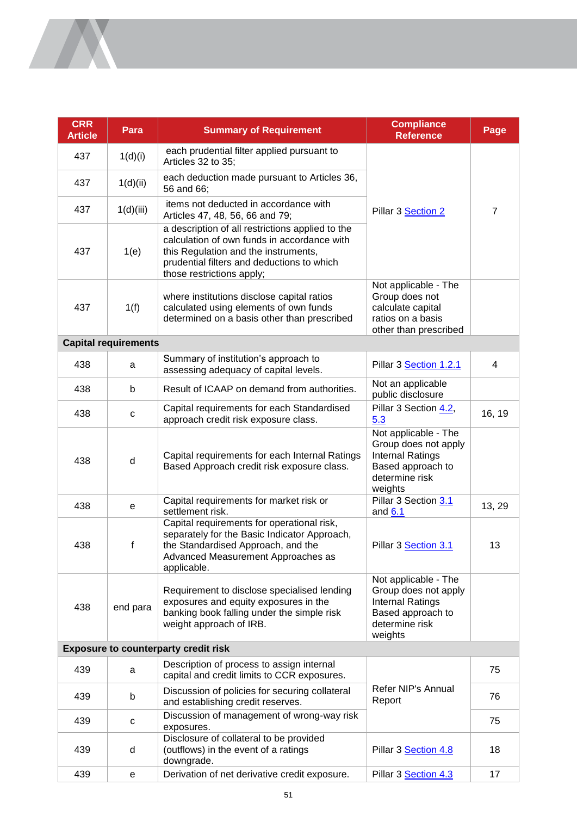| <b>CRR</b><br><b>Article</b>                | Para                        | <b>Summary of Requirement</b>                                                                                                                                                                                      | <b>Compliance</b><br><b>Reference</b>                                                                                     | Page           |  |  |
|---------------------------------------------|-----------------------------|--------------------------------------------------------------------------------------------------------------------------------------------------------------------------------------------------------------------|---------------------------------------------------------------------------------------------------------------------------|----------------|--|--|
| 437                                         | 1(d)(i)                     | each prudential filter applied pursuant to<br>Articles 32 to 35;                                                                                                                                                   |                                                                                                                           |                |  |  |
| 437                                         | 1(d)(ii)                    | each deduction made pursuant to Articles 36,<br>56 and 66:                                                                                                                                                         |                                                                                                                           |                |  |  |
| 437                                         | 1(d)(iii)                   | items not deducted in accordance with<br>Articles 47, 48, 56, 66 and 79;                                                                                                                                           | Pillar 3 Section 2                                                                                                        | $\overline{7}$ |  |  |
| 437                                         | 1(e)                        | a description of all restrictions applied to the<br>calculation of own funds in accordance with<br>this Regulation and the instruments,<br>prudential filters and deductions to which<br>those restrictions apply; |                                                                                                                           |                |  |  |
| 437                                         | 1(f)                        | where institutions disclose capital ratios<br>calculated using elements of own funds<br>determined on a basis other than prescribed                                                                                | Not applicable - The<br>Group does not<br>calculate capital<br>ratios on a basis<br>other than prescribed                 |                |  |  |
|                                             | <b>Capital requirements</b> |                                                                                                                                                                                                                    |                                                                                                                           |                |  |  |
| 438                                         | a                           | Summary of institution's approach to<br>assessing adequacy of capital levels.                                                                                                                                      | Pillar 3 Section 1.2.1                                                                                                    | 4              |  |  |
| 438                                         | b                           | Result of ICAAP on demand from authorities.                                                                                                                                                                        | Not an applicable<br>public disclosure                                                                                    |                |  |  |
| 438                                         | $\mathbf C$                 | Capital requirements for each Standardised<br>approach credit risk exposure class.                                                                                                                                 | Pillar 3 Section 4.2,<br>5.3                                                                                              | 16, 19         |  |  |
| 438                                         | d                           | Capital requirements for each Internal Ratings<br>Based Approach credit risk exposure class.                                                                                                                       | Not applicable - The<br>Group does not apply<br><b>Internal Ratings</b><br>Based approach to<br>determine risk<br>weights |                |  |  |
| 438                                         | е                           | Capital requirements for market risk or<br>settlement risk.                                                                                                                                                        | Pillar 3 Section 3.1<br>and $6.1$                                                                                         | 13, 29         |  |  |
| 438                                         | f                           | Capital requirements for operational risk,<br>separately for the Basic Indicator Approach,<br>the Standardised Approach, and the<br>Advanced Measurement Approaches as<br>applicable.                              | Pillar 3 Section 3.1                                                                                                      | 13             |  |  |
| 438                                         | end para                    | Requirement to disclose specialised lending<br>exposures and equity exposures in the<br>banking book falling under the simple risk<br>weight approach of IRB.                                                      | Not applicable - The<br>Group does not apply<br><b>Internal Ratings</b><br>Based approach to<br>determine risk<br>weights |                |  |  |
| <b>Exposure to counterparty credit risk</b> |                             |                                                                                                                                                                                                                    |                                                                                                                           |                |  |  |
| 439                                         | a                           | Description of process to assign internal<br>capital and credit limits to CCR exposures.                                                                                                                           |                                                                                                                           | 75             |  |  |
| 439                                         | b                           | Discussion of policies for securing collateral<br>and establishing credit reserves.                                                                                                                                | Refer NIP's Annual<br>Report                                                                                              | 76             |  |  |
| 439                                         | с                           | Discussion of management of wrong-way risk<br>exposures.                                                                                                                                                           |                                                                                                                           | 75             |  |  |
| 439                                         | d                           | Disclosure of collateral to be provided<br>(outflows) in the event of a ratings<br>downgrade.                                                                                                                      | Pillar 3 Section 4.8                                                                                                      | 18             |  |  |
| 439                                         | е                           | Derivation of net derivative credit exposure.                                                                                                                                                                      | Pillar 3 Section 4.3                                                                                                      | 17             |  |  |

A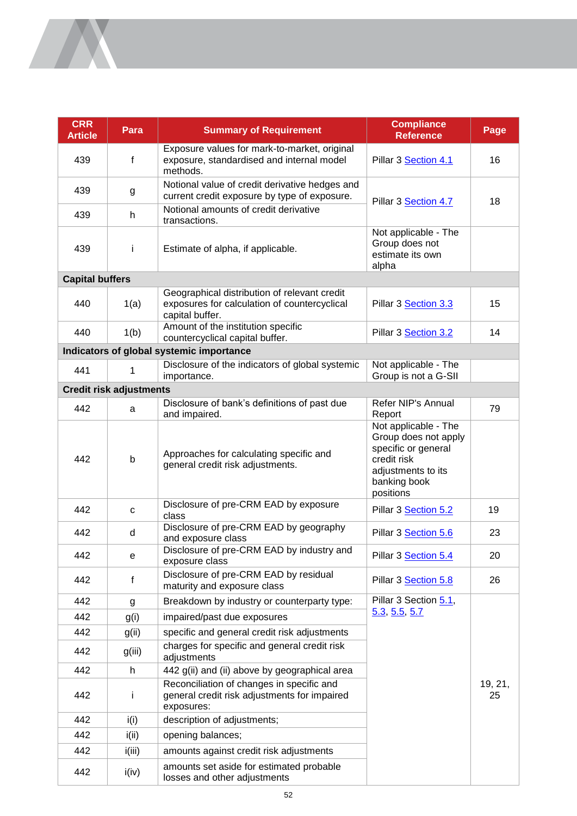| <b>CRR</b><br><b>Article</b> | Para                           | <b>Summary of Requirement</b>                                                                                   | <b>Compliance</b><br><b>Reference</b>                                                                                                 | Page          |
|------------------------------|--------------------------------|-----------------------------------------------------------------------------------------------------------------|---------------------------------------------------------------------------------------------------------------------------------------|---------------|
| 439                          | f                              | Exposure values for mark-to-market, original<br>exposure, standardised and internal model<br>methods.           | Pillar 3 Section 4.1                                                                                                                  | 16            |
| 439                          | g                              | Notional value of credit derivative hedges and<br>current credit exposure by type of exposure.                  | Pillar 3 Section 4.7                                                                                                                  | 18            |
| 439                          | h                              | Notional amounts of credit derivative<br>transactions.                                                          |                                                                                                                                       |               |
| 439                          | Ť                              | Estimate of alpha, if applicable.                                                                               | Not applicable - The<br>Group does not<br>estimate its own<br>alpha                                                                   |               |
| <b>Capital buffers</b>       |                                |                                                                                                                 |                                                                                                                                       |               |
| 440                          | 1(a)                           | Geographical distribution of relevant credit<br>exposures for calculation of countercyclical<br>capital buffer. | Pillar 3 Section 3.3                                                                                                                  | 15            |
| 440                          | 1(b)                           | Amount of the institution specific<br>countercyclical capital buffer.                                           | Pillar 3 Section 3.2                                                                                                                  | 14            |
|                              |                                | Indicators of global systemic importance                                                                        |                                                                                                                                       |               |
| 441                          | 1                              | Disclosure of the indicators of global systemic<br>importance.                                                  | Not applicable - The<br>Group is not a G-SII                                                                                          |               |
|                              | <b>Credit risk adjustments</b> |                                                                                                                 |                                                                                                                                       |               |
| 442                          | a                              | Disclosure of bank's definitions of past due<br>and impaired.                                                   | Refer NIP's Annual<br>Report                                                                                                          | 79            |
| 442                          | $\mathsf b$                    | Approaches for calculating specific and<br>general credit risk adjustments.                                     | Not applicable - The<br>Group does not apply<br>specific or general<br>credit risk<br>adjustments to its<br>banking book<br>positions |               |
| 442                          | $\mathbf C$                    | Disclosure of pre-CRM EAD by exposure<br>class                                                                  | Pillar 3 Section 5.2                                                                                                                  | 19            |
| 442                          | d                              | Disclosure of pre-CRM EAD by geography<br>and exposure class                                                    | Pillar 3 Section 5.6                                                                                                                  | 23            |
| 442                          | е                              | Disclosure of pre-CRM EAD by industry and<br>exposure class                                                     | Pillar 3 Section 5.4                                                                                                                  | 20            |
| 442                          | f                              | Disclosure of pre-CRM EAD by residual<br>maturity and exposure class                                            | Pillar 3 Section 5.8                                                                                                                  | 26            |
| 442                          | g                              | Breakdown by industry or counterparty type:                                                                     | Pillar 3 Section 5.1                                                                                                                  |               |
| 442                          | g(i)                           | impaired/past due exposures                                                                                     | 5.3, 5.5, 5.7                                                                                                                         |               |
| 442                          | g(ii)                          | specific and general credit risk adjustments                                                                    |                                                                                                                                       |               |
| 442                          | g(iii)                         | charges for specific and general credit risk<br>adjustments                                                     |                                                                                                                                       |               |
| 442                          | h                              | 442 g(ii) and (ii) above by geographical area                                                                   |                                                                                                                                       |               |
| 442                          | Ť                              | Reconciliation of changes in specific and<br>general credit risk adjustments for impaired<br>exposures:         |                                                                                                                                       | 19, 21,<br>25 |
| 442                          | i(i)                           | description of adjustments;                                                                                     |                                                                                                                                       |               |
| 442                          | i(i)                           | opening balances;                                                                                               |                                                                                                                                       |               |
| 442                          | i(iii)                         | amounts against credit risk adjustments                                                                         |                                                                                                                                       |               |
| 442                          | i(iv)                          | amounts set aside for estimated probable<br>losses and other adjustments                                        |                                                                                                                                       |               |

**IN**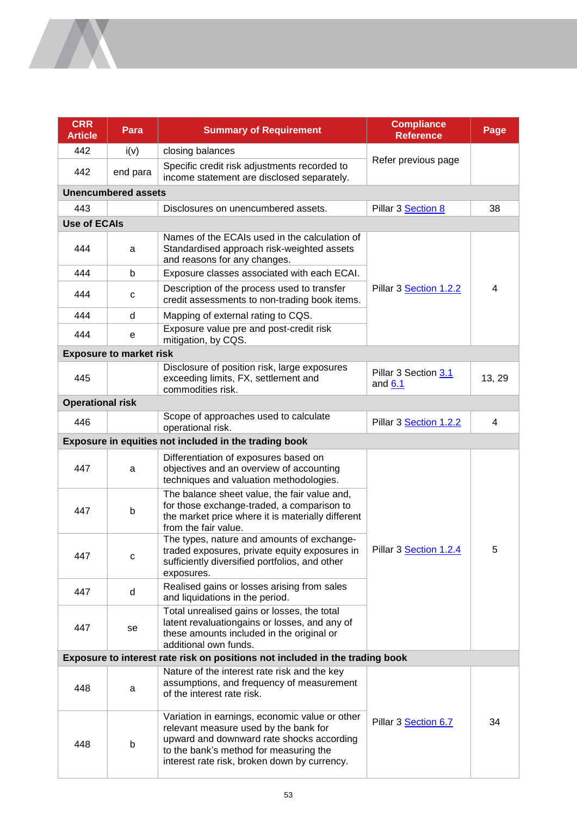| <b>CRR</b><br><b>Article</b>                                                 | Para                           | <b>Summary of Requirement</b>                                                                                                                                                                                                  | <b>Compliance</b><br><b>Reference</b> | Page   |
|------------------------------------------------------------------------------|--------------------------------|--------------------------------------------------------------------------------------------------------------------------------------------------------------------------------------------------------------------------------|---------------------------------------|--------|
| 442                                                                          | i(v)                           | closing balances                                                                                                                                                                                                               | Refer previous page                   |        |
| 442                                                                          | end para                       | Specific credit risk adjustments recorded to<br>income statement are disclosed separately.                                                                                                                                     |                                       |        |
|                                                                              | <b>Unencumbered assets</b>     |                                                                                                                                                                                                                                |                                       |        |
| 443                                                                          |                                | Disclosures on unencumbered assets.                                                                                                                                                                                            | Pillar 3 Section 8                    | 38     |
| <b>Use of ECAIs</b>                                                          |                                |                                                                                                                                                                                                                                |                                       |        |
| 444                                                                          | a                              | Names of the ECAIs used in the calculation of<br>Standardised approach risk-weighted assets<br>and reasons for any changes.                                                                                                    |                                       |        |
| 444                                                                          | b                              | Exposure classes associated with each ECAI.                                                                                                                                                                                    |                                       |        |
| 444                                                                          | c                              | Description of the process used to transfer<br>credit assessments to non-trading book items.                                                                                                                                   | Pillar 3 Section 1.2.2                | 4      |
| 444                                                                          | d                              | Mapping of external rating to CQS.                                                                                                                                                                                             |                                       |        |
| 444                                                                          | е                              | Exposure value pre and post-credit risk<br>mitigation, by CQS.                                                                                                                                                                 |                                       |        |
|                                                                              | <b>Exposure to market risk</b> |                                                                                                                                                                                                                                |                                       |        |
| 445                                                                          |                                | Disclosure of position risk, large exposures<br>exceeding limits, FX, settlement and<br>commodities risk.                                                                                                                      | Pillar 3 Section 3.1<br>and 6.1       | 13, 29 |
| <b>Operational risk</b>                                                      |                                |                                                                                                                                                                                                                                |                                       |        |
| 446                                                                          |                                | Scope of approaches used to calculate<br>operational risk.                                                                                                                                                                     | Pillar 3 Section 1.2.2                | 4      |
|                                                                              |                                | Exposure in equities not included in the trading book                                                                                                                                                                          |                                       |        |
| 447                                                                          | a                              | Differentiation of exposures based on<br>objectives and an overview of accounting<br>techniques and valuation methodologies.                                                                                                   | Pillar 3 Section 1.2.4                | 5      |
| 447                                                                          | b                              | The balance sheet value, the fair value and,<br>for those exchange-traded, a comparison to<br>the market price where it is materially different<br>from the fair value.                                                        |                                       |        |
| 447                                                                          | c                              | The types, nature and amounts of exchange-<br>traded exposures, private equity exposures in<br>sufficiently diversified portfolios, and other<br>exposures.                                                                    |                                       |        |
| 447                                                                          | d                              | Realised gains or losses arising from sales<br>and liquidations in the period.                                                                                                                                                 |                                       |        |
| 447                                                                          | se                             | Total unrealised gains or losses, the total<br>latent revaluationgains or losses, and any of<br>these amounts included in the original or<br>additional own funds.                                                             |                                       |        |
| Exposure to interest rate risk on positions not included in the trading book |                                |                                                                                                                                                                                                                                |                                       |        |
| 448                                                                          | a                              | Nature of the interest rate risk and the key<br>assumptions, and frequency of measurement<br>of the interest rate risk.                                                                                                        |                                       |        |
| 448                                                                          | b                              | Variation in earnings, economic value or other<br>relevant measure used by the bank for<br>upward and downward rate shocks according<br>to the bank's method for measuring the<br>interest rate risk, broken down by currency. | Pillar 3 Section 6.7                  | 34     |

<u>Note</u>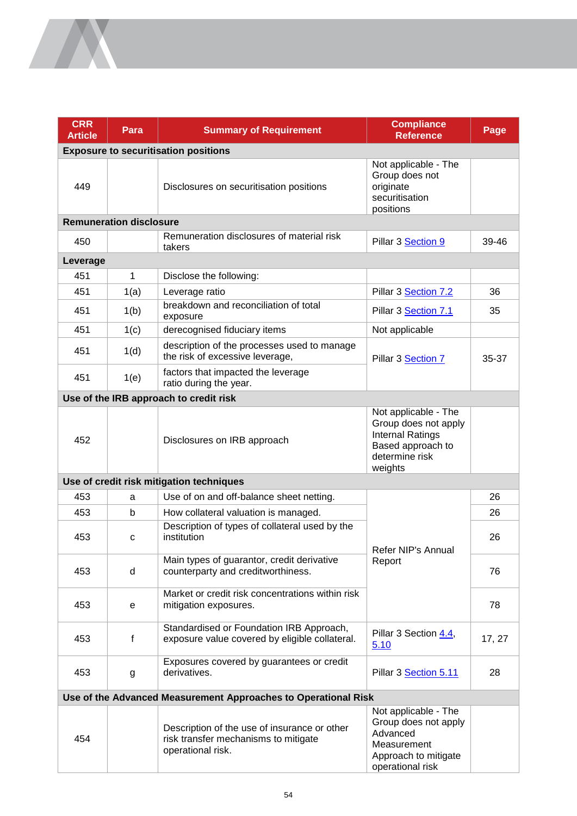| <b>CRR</b><br><b>Article</b> | Para                           | <b>Summary of Requirement</b>                                                                             | <b>Compliance</b><br><b>Reference</b>                                                                                     | Page   |
|------------------------------|--------------------------------|-----------------------------------------------------------------------------------------------------------|---------------------------------------------------------------------------------------------------------------------------|--------|
|                              |                                | <b>Exposure to securitisation positions</b>                                                               |                                                                                                                           |        |
| 449                          |                                | Disclosures on securitisation positions                                                                   | Not applicable - The<br>Group does not<br>originate<br>securitisation<br>positions                                        |        |
|                              | <b>Remuneration disclosure</b> |                                                                                                           |                                                                                                                           |        |
| 450                          |                                | Remuneration disclosures of material risk<br>takers                                                       | Pillar 3 Section 9                                                                                                        | 39-46  |
| Leverage                     |                                |                                                                                                           |                                                                                                                           |        |
| 451                          | 1                              | Disclose the following:                                                                                   |                                                                                                                           |        |
| 451                          | 1(a)                           | Leverage ratio                                                                                            | Pillar 3 Section 7.2                                                                                                      | 36     |
| 451                          | 1(b)                           | breakdown and reconciliation of total<br>exposure                                                         | Pillar 3 Section 7.1                                                                                                      | 35     |
| 451                          | 1(c)                           | derecognised fiduciary items                                                                              | Not applicable                                                                                                            |        |
| 451                          | 1(d)                           | description of the processes used to manage<br>the risk of excessive leverage,                            | Pillar 3 Section 7                                                                                                        | 35-37  |
| 451                          | 1(e)                           | factors that impacted the leverage<br>ratio during the year.                                              |                                                                                                                           |        |
|                              |                                | Use of the IRB approach to credit risk                                                                    |                                                                                                                           |        |
| 452                          |                                | Disclosures on IRB approach                                                                               | Not applicable - The<br>Group does not apply<br><b>Internal Ratings</b><br>Based approach to<br>determine risk<br>weights |        |
|                              |                                | Use of credit risk mitigation techniques                                                                  |                                                                                                                           |        |
| 453                          | a                              | Use of on and off-balance sheet netting.                                                                  |                                                                                                                           | 26     |
| 453                          | b                              | How collateral valuation is managed.                                                                      |                                                                                                                           | 26     |
| 453                          | с                              | Description of types of collateral used by the<br>institution                                             | Refer NIP's Annual<br>Report                                                                                              | 26     |
| 453                          | d                              | Main types of guarantor, credit derivative<br>counterparty and creditworthiness.                          |                                                                                                                           | 76     |
| 453                          | е                              | Market or credit risk concentrations within risk<br>mitigation exposures.                                 |                                                                                                                           | 78     |
| 453                          | f                              | Standardised or Foundation IRB Approach,<br>exposure value covered by eligible collateral.                | Pillar 3 Section 4.4,<br>5.10                                                                                             | 17, 27 |
| 453                          | g                              | Exposures covered by guarantees or credit<br>derivatives.                                                 | Pillar 3 Section 5.11                                                                                                     | 28     |
|                              |                                | Use of the Advanced Measurement Approaches to Operational Risk                                            |                                                                                                                           |        |
| 454                          |                                | Description of the use of insurance or other<br>risk transfer mechanisms to mitigate<br>operational risk. | Not applicable - The<br>Group does not apply<br>Advanced<br>Measurement<br>Approach to mitigate<br>operational risk       |        |

**SANTA**